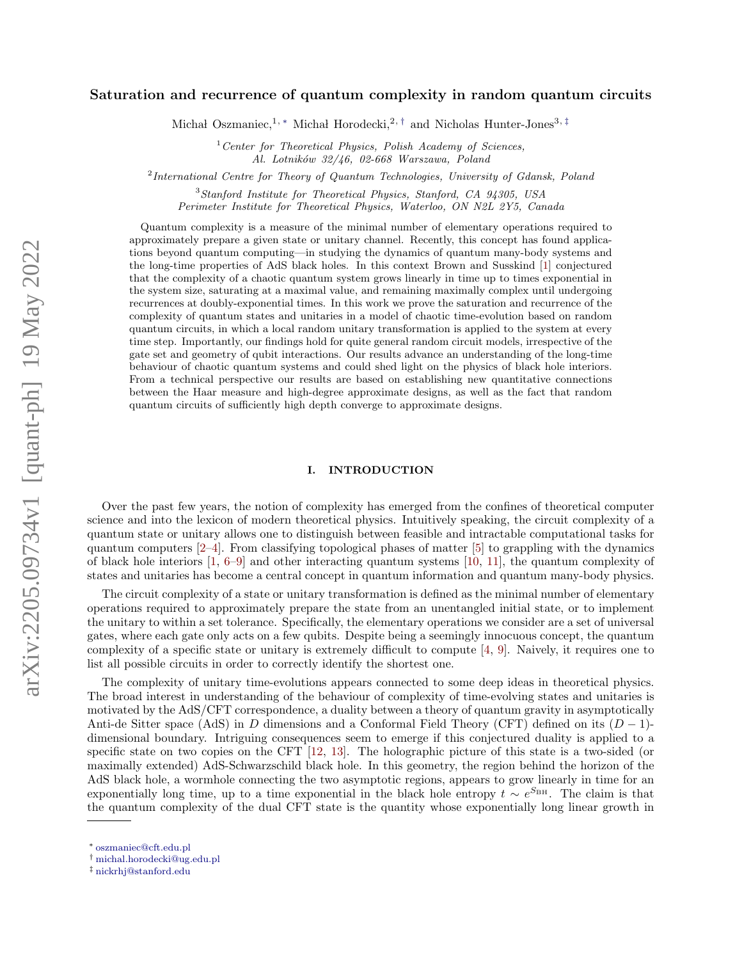# Saturation and recurrence of quantum complexity in random quantum circuits

Michał Oszmaniec,<sup>1, [∗](#page-0-0)</sup> Michał Horodecki,<sup>2,[†](#page-0-1)</sup> and Nicholas Hunter-Jones<sup>3,[‡](#page-0-2)</sup>

 $1$ <sup>1</sup> Center for Theoretical Physics, Polish Academy of Sciences, Al. Lotników 32/46, 02-668 Warszawa, Poland

<sup>2</sup> International Centre for Theory of Quantum Technologies, University of Gdansk, Poland

<sup>3</sup>Stanford Institute for Theoretical Physics, Stanford, CA 94305, USA Perimeter Institute for Theoretical Physics, Waterloo, ON N2L 2Y5, Canada

Quantum complexity is a measure of the minimal number of elementary operations required to approximately prepare a given state or unitary channel. Recently, this concept has found applications beyond quantum computing—in studying the dynamics of quantum many-body systems and the long-time properties of AdS black holes. In this context Brown and Susskind [\[1\]](#page-44-0) conjectured that the complexity of a chaotic quantum system grows linearly in time up to times exponential in the system size, saturating at a maximal value, and remaining maximally complex until undergoing recurrences at doubly-exponential times. In this work we prove the saturation and recurrence of the complexity of quantum states and unitaries in a model of chaotic time-evolution based on random quantum circuits, in which a local random unitary transformation is applied to the system at every time step. Importantly, our findings hold for quite general random circuit models, irrespective of the gate set and geometry of qubit interactions. Our results advance an understanding of the long-time behaviour of chaotic quantum systems and could shed light on the physics of black hole interiors. From a technical perspective our results are based on establishing new quantitative connections between the Haar measure and high-degree approximate designs, as well as the fact that random quantum circuits of sufficiently high depth converge to approximate designs.

# <span id="page-0-3"></span>I. INTRODUCTION

Over the past few years, the notion of complexity has emerged from the confines of theoretical computer science and into the lexicon of modern theoretical physics. Intuitively speaking, the circuit complexity of a quantum state or unitary allows one to distinguish between feasible and intractable computational tasks for quantum computers [\[2–](#page-44-1)[4\]](#page-44-2). From classifying topological phases of matter [\[5\]](#page-44-3) to grappling with the dynamics of black hole interiors [\[1,](#page-44-0) [6–](#page-44-4)[9\]](#page-44-5) and other interacting quantum systems [\[10,](#page-44-6) [11\]](#page-44-7), the quantum complexity of states and unitaries has become a central concept in quantum information and quantum many-body physics.

The circuit complexity of a state or unitary transformation is defined as the minimal number of elementary operations required to approximately prepare the state from an unentangled initial state, or to implement the unitary to within a set tolerance. Specifically, the elementary operations we consider are a set of universal gates, where each gate only acts on a few qubits. Despite being a seemingly innocuous concept, the quantum complexity of a specific state or unitary is extremely difficult to compute [\[4,](#page-44-2) [9\]](#page-44-5). Naively, it requires one to list all possible circuits in order to correctly identify the shortest one.

The complexity of unitary time-evolutions appears connected to some deep ideas in theoretical physics. The broad interest in understanding of the behaviour of complexity of time-evolving states and unitaries is motivated by the AdS/CFT correspondence, a duality between a theory of quantum gravity in asymptotically Anti-de Sitter space (AdS) in D dimensions and a Conformal Field Theory (CFT) defined on its  $(D-1)$ dimensional boundary. Intriguing consequences seem to emerge if this conjectured duality is applied to a specific state on two copies on the CFT [\[12,](#page-44-8) [13\]](#page-44-9). The holographic picture of this state is a two-sided (or maximally extended) AdS-Schwarzschild black hole. In this geometry, the region behind the horizon of the AdS black hole, a wormhole connecting the two asymptotic regions, appears to grow linearly in time for an exponentially long time, up to a time exponential in the black hole entropy  $t \sim e^{S_{\text{BH}}}$ . The claim is that the quantum complexity of the dual CFT state is the quantity whose exponentially long linear growth in

<span id="page-0-0"></span><sup>∗</sup> [oszmaniec@cft.edu.pl](mailto:\protect \leavevmode@ifvmode \kern -.1667em\relax oszmaniec@cft.edu.pl)

<span id="page-0-1"></span><sup>†</sup> [michal.horodecki@ug.edu.pl](mailto:\protect \leavevmode@ifvmode \kern -.1667em\relax michal.horodecki@ug.edu.pl)

<span id="page-0-2"></span><sup>‡</sup> [nickrhj@stanford.edu](mailto:\protect \leavevmode@ifvmode \kern -.1667em\relax nickrhj@stanford.edu)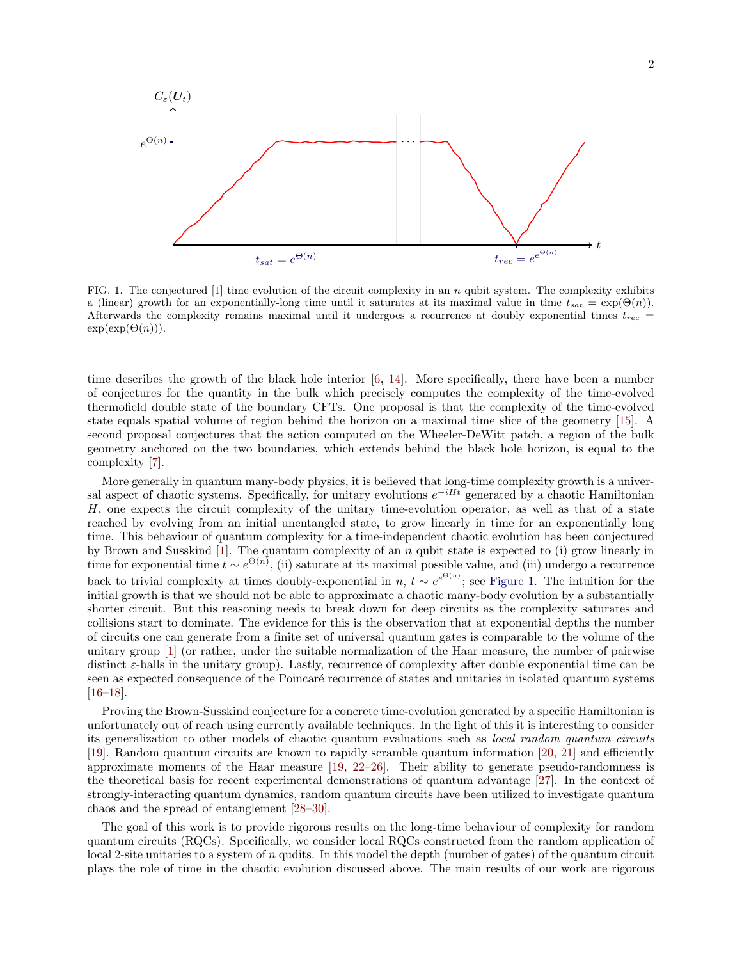

<span id="page-1-0"></span>FIG. 1. The conjectured  $[1]$  time evolution of the circuit complexity in an n qubit system. The complexity exhibits a (linear) growth for an exponentially-long time until it saturates at its maximal value in time  $t_{sat} = \exp(\Theta(n))$ . Afterwards the complexity remains maximal until it undergoes a recurrence at doubly exponential times  $t_{rec}$  =  $exp(exp(\Theta(n))).$ 

time describes the growth of the black hole interior [\[6,](#page-44-4) [14\]](#page-44-10). More specifically, there have been a number of conjectures for the quantity in the bulk which precisely computes the complexity of the time-evolved thermofield double state of the boundary CFTs. One proposal is that the complexity of the time-evolved state equals spatial volume of region behind the horizon on a maximal time slice of the geometry [\[15\]](#page-44-11). A second proposal conjectures that the action computed on the Wheeler-DeWitt patch, a region of the bulk geometry anchored on the two boundaries, which extends behind the black hole horizon, is equal to the complexity [\[7\]](#page-44-12).

More generally in quantum many-body physics, it is believed that long-time complexity growth is a universal aspect of chaotic systems. Specifically, for unitary evolutions  $e^{-iHt}$  generated by a chaotic Hamiltonian H, one expects the circuit complexity of the unitary time-evolution operator, as well as that of a state reached by evolving from an initial unentangled state, to grow linearly in time for an exponentially long time. This behaviour of quantum complexity for a time-independent chaotic evolution has been conjectured by Brown and Susskind  $[1]$ . The quantum complexity of an n qubit state is expected to (i) grow linearly in time for exponential time  $t \sim e^{\Theta(n)}$ , (ii) saturate at its maximal possible value, and (iii) undergo a recurrence back to trivial complexity at times doubly-exponential in  $n, t \sim e^{e^{\Theta(n)}}$ ; see [Figure 1.](#page-1-0) The intuition for the initial growth is that we should not be able to approximate a chaotic many-body evolution by a substantially shorter circuit. But this reasoning needs to break down for deep circuits as the complexity saturates and collisions start to dominate. The evidence for this is the observation that at exponential depths the number of circuits one can generate from a finite set of universal quantum gates is comparable to the volume of the unitary group [\[1\]](#page-44-0) (or rather, under the suitable normalization of the Haar measure, the number of pairwise distinct  $\varepsilon$ -balls in the unitary group). Lastly, recurrence of complexity after double exponential time can be seen as expected consequence of the Poincaré recurrence of states and unitaries in isolated quantum systems [\[16–](#page-44-13)[18\]](#page-44-14).

Proving the Brown-Susskind conjecture for a concrete time-evolution generated by a specific Hamiltonian is unfortunately out of reach using currently available techniques. In the light of this it is interesting to consider its generalization to other models of chaotic quantum evaluations such as local random quantum circuits [\[19\]](#page-44-15). Random quantum circuits are known to rapidly scramble quantum information [\[20,](#page-45-0) [21\]](#page-45-1) and efficiently approximate moments of the Haar measure [\[19,](#page-44-15) [22–](#page-45-2)[26\]](#page-45-3). Their ability to generate pseudo-randomness is the theoretical basis for recent experimental demonstrations of quantum advantage [\[27\]](#page-45-4). In the context of strongly-interacting quantum dynamics, random quantum circuits have been utilized to investigate quantum chaos and the spread of entanglement [\[28–](#page-45-5)[30\]](#page-45-6).

The goal of this work is to provide rigorous results on the long-time behaviour of complexity for random quantum circuits (RQCs). Specifically, we consider local RQCs constructed from the random application of local 2-site unitaries to a system of n qudits. In this model the depth (number of gates) of the quantum circuit plays the role of time in the chaotic evolution discussed above. The main results of our work are rigorous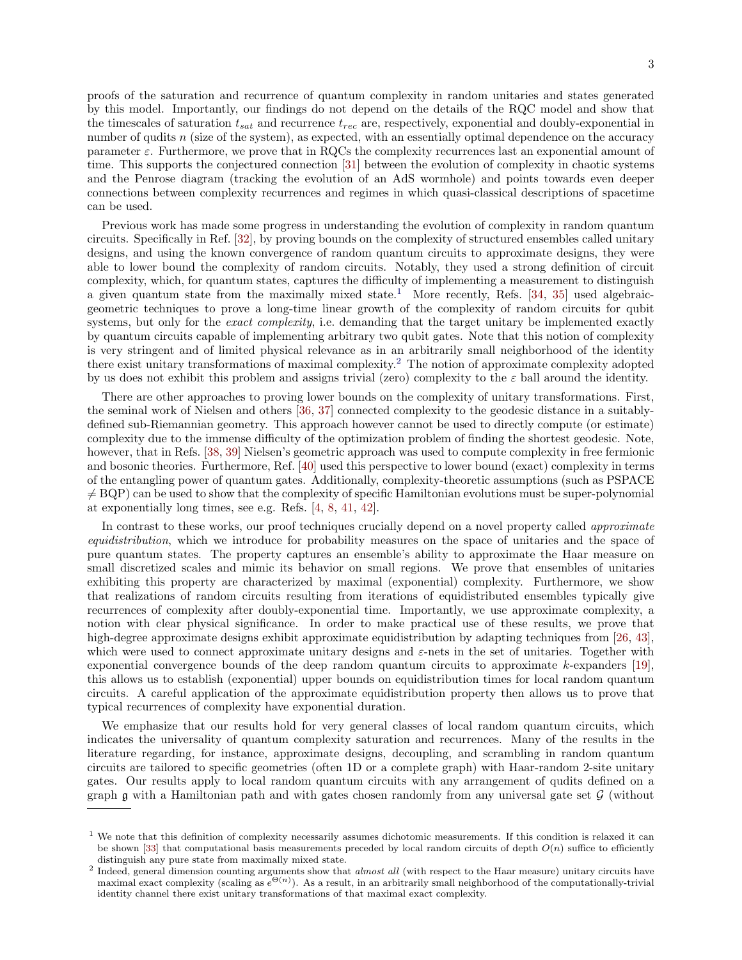proofs of the saturation and recurrence of quantum complexity in random unitaries and states generated by this model. Importantly, our findings do not depend on the details of the RQC model and show that the timescales of saturation  $t_{sat}$  and recurrence  $t_{rec}$  are, respectively, exponential and doubly-exponential in number of qudits n (size of the system), as expected, with an essentially optimal dependence on the accuracy parameter  $\varepsilon$ . Furthermore, we prove that in RQCs the complexity recurrences last an exponential amount of time. This supports the conjectured connection [\[31\]](#page-45-7) between the evolution of complexity in chaotic systems and the Penrose diagram (tracking the evolution of an AdS wormhole) and points towards even deeper connections between complexity recurrences and regimes in which quasi-classical descriptions of spacetime can be used.

Previous work has made some progress in understanding the evolution of complexity in random quantum circuits. Specifically in Ref. [\[32\]](#page-45-8), by proving bounds on the complexity of structured ensembles called unitary designs, and using the known convergence of random quantum circuits to approximate designs, they were able to lower bound the complexity of random circuits. Notably, they used a strong definition of circuit complexity, which, for quantum states, captures the difficulty of implementing a measurement to distinguish a given quantum state from the maximally mixed state.<sup>[1](#page-2-0)</sup> More recently, Refs.  $[34, 35]$  $[34, 35]$  used algebraicgeometric techniques to prove a long-time linear growth of the complexity of random circuits for qubit systems, but only for the *exact complexity*, i.e. demanding that the target unitary be implemented exactly by quantum circuits capable of implementing arbitrary two qubit gates. Note that this notion of complexity is very stringent and of limited physical relevance as in an arbitrarily small neighborhood of the identity there exist unitary transformations of maximal complexity.[2](#page-2-1) The notion of approximate complexity adopted by us does not exhibit this problem and assigns trivial (zero) complexity to the  $\varepsilon$  ball around the identity.

There are other approaches to proving lower bounds on the complexity of unitary transformations. First, the seminal work of Nielsen and others [\[36,](#page-45-11) [37\]](#page-45-12) connected complexity to the geodesic distance in a suitablydefined sub-Riemannian geometry. This approach however cannot be used to directly compute (or estimate) complexity due to the immense difficulty of the optimization problem of finding the shortest geodesic. Note, however, that in Refs. [\[38,](#page-45-13) [39\]](#page-45-14) Nielsen's geometric approach was used to compute complexity in free fermionic and bosonic theories. Furthermore, Ref. [\[40\]](#page-45-15) used this perspective to lower bound (exact) complexity in terms of the entangling power of quantum gates. Additionally, complexity-theoretic assumptions (such as PSPACE  $\neq$  BQP) can be used to show that the complexity of specific Hamiltonian evolutions must be super-polynomial at exponentially long times, see e.g. Refs. [\[4,](#page-44-2) [8,](#page-44-16) [41,](#page-45-16) [42\]](#page-45-17).

In contrast to these works, our proof techniques crucially depend on a novel property called *approximate* equidistribution, which we introduce for probability measures on the space of unitaries and the space of pure quantum states. The property captures an ensemble's ability to approximate the Haar measure on small discretized scales and mimic its behavior on small regions. We prove that ensembles of unitaries exhibiting this property are characterized by maximal (exponential) complexity. Furthermore, we show that realizations of random circuits resulting from iterations of equidistributed ensembles typically give recurrences of complexity after doubly-exponential time. Importantly, we use approximate complexity, a notion with clear physical significance. In order to make practical use of these results, we prove that high-degree approximate designs exhibit approximate equidistribution by adapting techniques from [\[26,](#page-45-3) [43\]](#page-45-18), which were used to connect approximate unitary designs and  $\varepsilon$ -nets in the set of unitaries. Together with exponential convergence bounds of the deep random quantum circuits to approximate k-expanders [\[19\]](#page-44-15), this allows us to establish (exponential) upper bounds on equidistribution times for local random quantum circuits. A careful application of the approximate equidistribution property then allows us to prove that typical recurrences of complexity have exponential duration.

We emphasize that our results hold for very general classes of local random quantum circuits, which indicates the universality of quantum complexity saturation and recurrences. Many of the results in the literature regarding, for instance, approximate designs, decoupling, and scrambling in random quantum circuits are tailored to specific geometries (often 1D or a complete graph) with Haar-random 2-site unitary gates. Our results apply to local random quantum circuits with any arrangement of qudits defined on a graph  $\mathfrak g$  with a Hamiltonian path and with gates chosen randomly from any universal gate set  $\mathcal G$  (without

<span id="page-2-0"></span><sup>&</sup>lt;sup>1</sup> We note that this definition of complexity necessarily assumes dichotomic measurements. If this condition is relaxed it can be shown [\[33\]](#page-45-19) that computational basis measurements preceded by local random circuits of depth  $O(n)$  suffice to efficiently distinguish any pure state from maximally mixed state.

<span id="page-2-1"></span><sup>&</sup>lt;sup>2</sup> Indeed, general dimension counting arguments show that *almost all* (with respect to the Haar measure) unitary circuits have maximal exact complexity (scaling as  $e^{\Theta(n)}$ ). As a result, in an arbitrarily small neighborhood of the computationally-trivial identity channel there exist unitary transformations of that maximal exact complexity.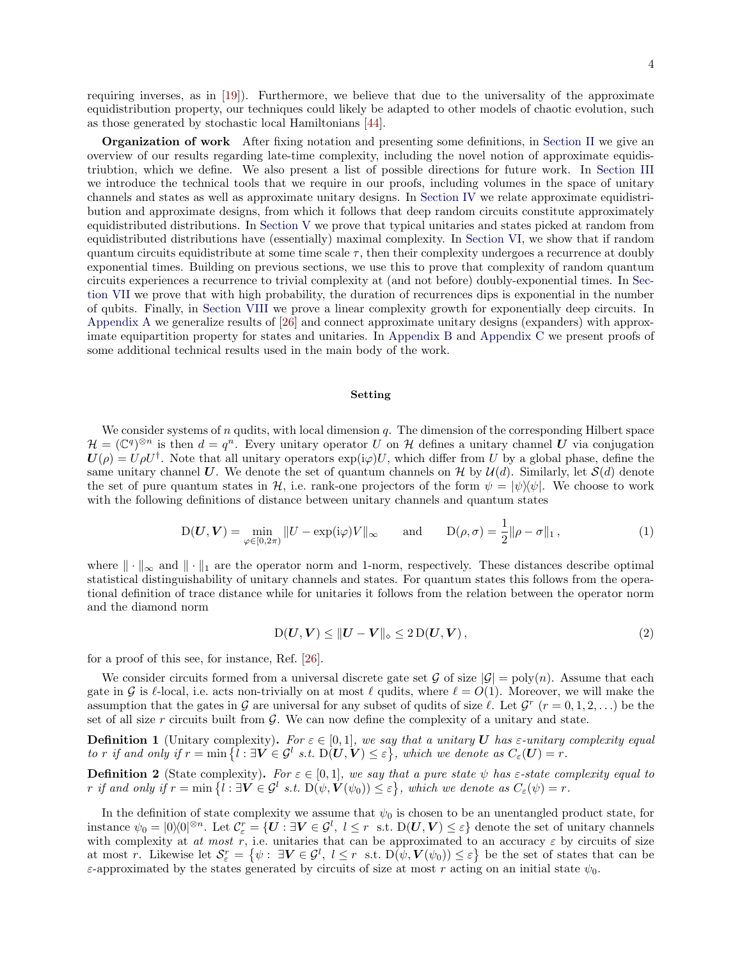requiring inverses, as in [\[19\]](#page-44-15)). Furthermore, we believe that due to the universality of the approximate equidistribution property, our techniques could likely be adapted to other models of chaotic evolution, such as those generated by stochastic local Hamiltonians [\[44\]](#page-45-20).

Organization of work After fixing notation and presenting some definitions, in [Section II](#page-4-0) we give an overview of our results regarding late-time complexity, including the novel notion of approximate equidistriubtion, which we define. We also present a list of possible directions for future work. In [Section III](#page-9-0) we introduce the technical tools that we require in our proofs, including volumes in the space of unitary channels and states as well as approximate unitary designs. In [Section IV](#page-13-0) we relate approximate equidistribution and approximate designs, from which it follows that deep random circuits constitute approximately equidistributed distributions. In [Section V](#page-15-0) we prove that typical unitaries and states picked at random from equidistributed distributions have (essentially) maximal complexity. In [Section VI,](#page-19-0) we show that if random quantum circuits equidistribute at some time scale  $\tau$ , then their complexity undergoes a recurrence at doubly exponential times. Building on previous sections, we use this to prove that complexity of random quantum circuits experiences a recurrence to trivial complexity at (and not before) doubly-exponential times. In [Sec](#page-23-0)[tion VII](#page-23-0) we prove that with high probability, the duration of recurrences dips is exponential in the number of qubits. Finally, in [Section VIII](#page-27-0) we prove a linear complexity growth for exponentially deep circuits. In [Appendix A](#page-29-0) we generalize results of [\[26\]](#page-45-3) and connect approximate unitary designs (expanders) with approximate equipartition property for states and unitaries. In [Appendix B](#page-39-0) and [Appendix C](#page-41-0) we present proofs of some additional technical results used in the main body of the work.

# Setting

We consider systems of  $n$  qudits, with local dimension  $q$ . The dimension of the corresponding Hilbert space  $\mathcal{H} = (\mathbb{C}^q)^{\otimes n}$  is then  $d = q^n$ . Every unitary operator U on H defines a unitary channel U via conjugation  $U(\rho) = U \rho U^{\dagger}$ . Note that all unitary operators  $\exp(i\varphi)U$ , which differ from U by a global phase, define the same unitary channel U. We denote the set of quantum channels on  $\mathcal H$  by  $\mathcal U(d)$ . Similarly, let  $\mathcal S(d)$  denote the set of pure quantum states in H, i.e. rank-one projectors of the form  $\psi = |\psi\rangle\langle\psi|$ . We choose to work with the following definitions of distance between unitary channels and quantum states

<span id="page-3-0"></span>
$$
D(\boldsymbol{U}, \boldsymbol{V}) = \min_{\varphi \in [0, 2\pi)} \|U - \exp(i\varphi)V\|_{\infty} \quad \text{and} \quad D(\rho, \sigma) = \frac{1}{2} \|\rho - \sigma\|_{1}, \tag{1}
$$

where  $\|\cdot\|_{\infty}$  and  $\|\cdot\|_{1}$  are the operator norm and 1-norm, respectively. These distances describe optimal statistical distinguishability of unitary channels and states. For quantum states this follows from the operational definition of trace distance while for unitaries it follows from the relation between the operator norm and the diamond norm

$$
D(U, V) \leq ||U - V||_{\diamond} \leq 2 D(U, V), \qquad (2)
$$

for a proof of this see, for instance, Ref. [\[26\]](#page-45-3).

We consider circuits formed from a universal discrete gate set G of size  $|G| = poly(n)$ . Assume that each gate in G is  $\ell$ -local, i.e. acts non-trivially on at most  $\ell$  qudits, where  $\ell = O(1)$ . Moreover, we will make the assumption that the gates in G are universal for any subset of qudits of size  $\ell$ . Let  $\mathcal{G}^r$   $(r = 0, 1, 2, ...)$  be the set of all size  $r$  circuits built from  $\mathcal{G}$ . We can now define the complexity of a unitary and state.

<span id="page-3-1"></span>**Definition 1** (Unitary complexity). For  $\varepsilon \in [0,1]$ , we say that a unitary U has  $\varepsilon$ -unitary complexity equal to r if and only if  $r = \min\{l : \exists V \in \mathcal{G}^l \text{ s.t. } D(U, V) \leq \varepsilon\}$ , which we denote as  $C_{\varepsilon}(U) = r$ .

<span id="page-3-2"></span>**Definition 2** (State complexity). For  $\varepsilon \in [0,1]$ , we say that a pure state  $\psi$  has  $\varepsilon$ -state complexity equal to r if and only if  $r = \min\{l : \exists V \in \mathcal{G}^l \text{ s.t. } D(\psi, V(\psi_0)) \leq \varepsilon\}$ , which we denote as  $C_{\varepsilon}(\psi) = r$ .

In the definition of state complexity we assume that  $\psi_0$  is chosen to be an unentangled product state, for instance  $\psi_0 = |0\rangle\!\langle 0|^{\otimes n}$ . Let  $\mathcal{C}^r_\varepsilon = \{ \boldsymbol{U} : \exists \boldsymbol{V} \in \mathcal{G}^l, \ l \leq r \ \text{ s.t. } D(\boldsymbol{U}, \boldsymbol{V}) \leq \varepsilon \}$  denote the set of unitary channels with complexity at at most r, i.e. unitaries that can be approximated to an accuracy  $\varepsilon$  by circuits of size at most r. Likewise let  $\mathcal{S}_{\varepsilon}^r = \{ \psi : \exists \mathbf{V} \in \mathcal{G}^l, l \leq r \text{ s.t. } D(\psi, \mathbf{V}(\psi_0)) \leq \varepsilon \}$  be the set of states that can be ε-approximated by the states generated by circuits of size at most r acting on an initial state  $ψ_0$ .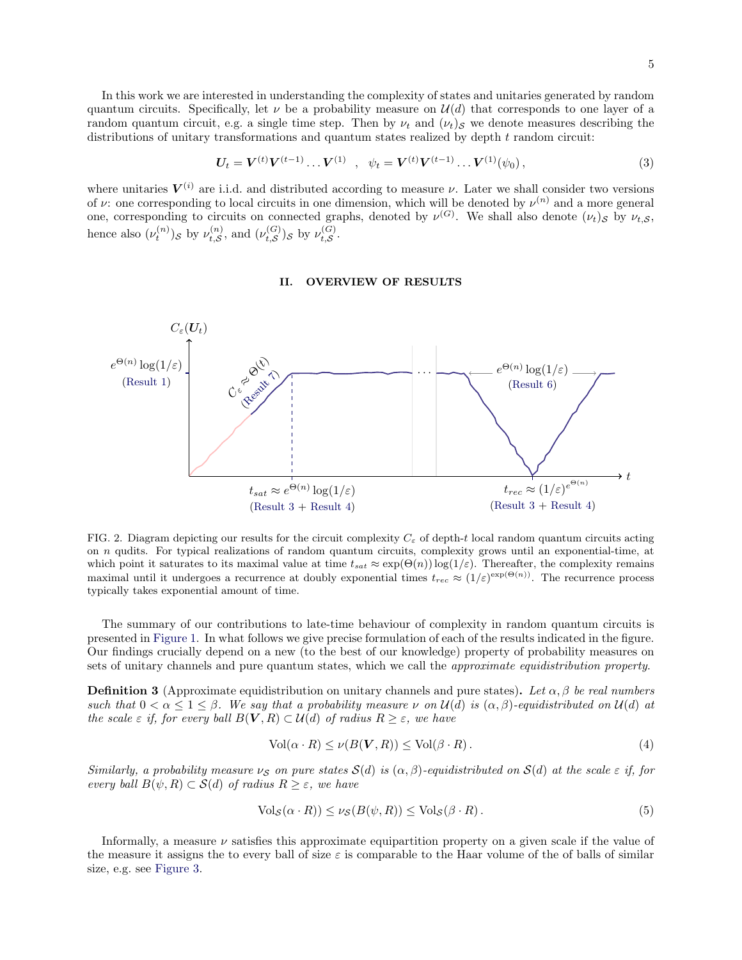In this work we are interested in understanding the complexity of states and unitaries generated by random quantum circuits. Specifically, let  $\nu$  be a probability measure on  $\mathcal{U}(d)$  that corresponds to one layer of a random quantum circuit, e.g. a single time step. Then by  $\nu_t$  and  $(\nu_t)_\mathcal{S}$  we denote measures describing the distributions of unitary transformations and quantum states realized by depth t random circuit:

$$
U_t = V^{(t)} V^{(t-1)} \dots V^{(1)} \quad , \quad \psi_t = V^{(t)} V^{(t-1)} \dots V^{(1)}(\psi_0) \,, \tag{3}
$$

where unitaries  $V^{(i)}$  are i.i.d. and distributed according to measure  $\nu$ . Later we shall consider two versions of  $\nu$ : one corresponding to local circuits in one dimension, which will be denoted by  $\nu^{(n)}$  and a more general one, corresponding to circuits on connected graphs, denoted by  $\nu^{(G)}$ . We shall also denote  $(\nu_t)_S$  by  $\nu_{t,S}$ , hence also  $(\nu_t^{(n)})_{\mathcal{S}}$  by  $\nu_{t,\mathcal{S}}^{(n)}$  $\mathcal{L}_{t, \mathcal{S}}^{(n)}$ , and  $(\nu_{t, \mathcal{S}}^{(G)})$  $\mathcal{L}_{t, \mathcal{S}}^{(G)}$ ) $s$  by  $\nu_{t, \mathcal{S}}^{(G)}$  $_{t,\mathcal{S}}^{(\mathbf{\mathbf{G}})}.$ 

### <span id="page-4-0"></span>II. OVERVIEW OF RESULTS



FIG. 2. Diagram depicting our results for the circuit complexity  $C_{\varepsilon}$  of depth-t local random quantum circuits acting on n qudits. For typical realizations of random quantum circuits, complexity grows until an exponential-time, at which point it saturates to its maximal value at time  $t_{sat} \approx \exp(\Theta(n)) \log(1/\varepsilon)$ . Thereafter, the complexity remains maximal until it undergoes a recurrence at doubly exponential times  $t_{rec} \approx (1/\varepsilon)^{\exp(\Theta(n))}$ . The recurrence process typically takes exponential amount of time.

The summary of our contributions to late-time behaviour of complexity in random quantum circuits is presented in [Figure 1.](#page-1-0) In what follows we give precise formulation of each of the results indicated in the figure. Our findings crucially depend on a new (to the best of our knowledge) property of probability measures on sets of unitary channels and pure quantum states, which we call the *approximate equidistribution property*.

<span id="page-4-1"></span>**Definition 3** (Approximate equidistribution on unitary channels and pure states). Let  $\alpha$ ,  $\beta$  be real numbers such that  $0 < \alpha \leq 1 \leq \beta$ . We say that a probability measure  $\nu$  on  $\mathcal{U}(d)$  is  $(\alpha, \beta)$ -equidistributed on  $\mathcal{U}(d)$  at the scale  $\varepsilon$  if, for every ball  $B(V, R) \subset \mathcal{U}(d)$  of radius  $R \geq \varepsilon$ , we have

<span id="page-4-2"></span>
$$
Vol(\alpha \cdot R) \le \nu(B(\mathbf{V}, R)) \le Vol(\beta \cdot R). \tag{4}
$$

Similarly, a probability measure  $\nu_S$  on pure states  $S(d)$  is  $(\alpha, \beta)$ -equidistributed on  $S(d)$  at the scale  $\varepsilon$  if, for every ball  $B(\psi, R) \subset S(d)$  of radius  $R \geq \varepsilon$ , we have

$$
\text{Vol}_{\mathcal{S}}(\alpha \cdot R)) \le \nu_{\mathcal{S}}(B(\psi, R)) \le \text{Vol}_{\mathcal{S}}(\beta \cdot R). \tag{5}
$$

Informally, a measure  $\nu$  satisfies this approximate equipartition property on a given scale if the value of the measure it assigns the to every ball of size  $\varepsilon$  is comparable to the Haar volume of the of balls of similar size, e.g. see [Figure 3.](#page-5-1)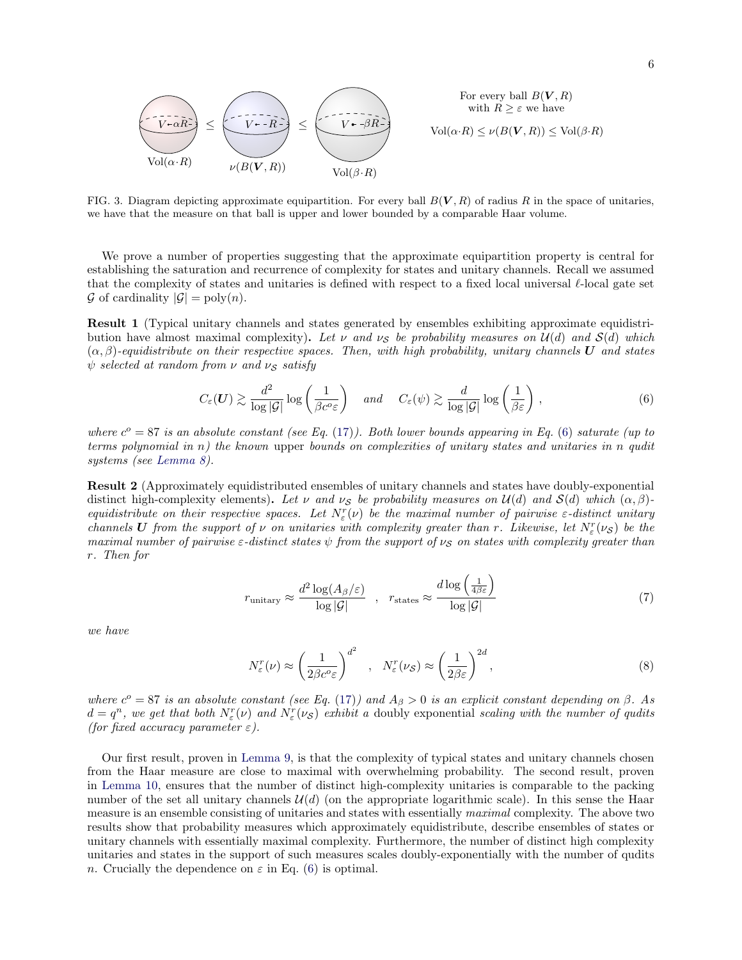

<span id="page-5-1"></span>FIG. 3. Diagram depicting approximate equipartition. For every ball  $B(V, R)$  of radius R in the space of unitaries, we have that the measure on that ball is upper and lower bounded by a comparable Haar volume.

We prove a number of properties suggesting that the approximate equipartition property is central for establishing the saturation and recurrence of complexity for states and unitary channels. Recall we assumed that the complexity of states and unitaries is defined with respect to a fixed local universal  $\ell$ -local gate set  $\mathcal G$  of cardinality  $|\mathcal G| = \text{poly}(n)$ .

<span id="page-5-0"></span>Result 1 (Typical unitary channels and states generated by ensembles exhibiting approximate equidistribution have almost maximal complexity). Let  $\nu$  and  $\nu_s$  be probability measures on  $\mathcal{U}(d)$  and  $\mathcal{S}(d)$  which  $(\alpha, \beta)$ -equidistribute on their respective spaces. Then, with high probability, unitary channels U and states  $\psi$  selected at random from  $\nu$  and  $\nu_S$  satisfy

<span id="page-5-2"></span>
$$
C_{\varepsilon}(\boldsymbol{U}) \gtrsim \frac{d^2}{\log |\mathcal{G}|} \log \left( \frac{1}{\beta c^o \varepsilon} \right) \quad \text{and} \quad C_{\varepsilon}(\psi) \gtrsim \frac{d}{\log |\mathcal{G}|} \log \left( \frac{1}{\beta \varepsilon} \right) , \tag{6}
$$

where  $c^{\circ} = 87$  is an absolute constant (see Eq. [\(17\)](#page-9-1)). Both lower bounds appearing in Eq. [\(6\)](#page-5-2) saturate (up to terms polynomial in  $n$ ) the known upper bounds on complexities of unitary states and unitaries in n qudit systems (see [Lemma 8\)](#page-16-0).

Result 2 (Approximately equidistributed ensembles of unitary channels and states have doubly-exponential distinct high-complexity elements). Let v and v<sub>S</sub> be probability measures on  $\mathcal{U}(d)$  and  $\mathcal{S}(d)$  which  $(\alpha, \beta)$ equidistribute on their respective spaces. Let  $N_{\varepsilon}^r(\nu)$  be the maximal number of pairwise  $\varepsilon$ -distinct unitary channels U from the support of  $\nu$  on unitaries with complexity greater than r. Likewise, let  $N_{\varepsilon}^r(\nu_{\mathcal{S}})$  be the maximal number of pairwise  $\varepsilon$ -distinct states  $\psi$  from the support of  $\nu_{\mathcal{S}}$  on states with complexity greater than r. Then for

$$
r_{\text{unitary}} \approx \frac{d^2 \log(A_\beta/\varepsilon)}{\log|\mathcal{G}|} \quad , \quad r_{\text{states}} \approx \frac{d \log\left(\frac{1}{4\beta\varepsilon}\right)}{\log|\mathcal{G}|} \tag{7}
$$

we have

$$
N_{\varepsilon}^r(\nu) \approx \left(\frac{1}{2\beta c^o \varepsilon}\right)^{d^2} \quad , \quad N_{\varepsilon}^r(\nu_{\mathcal{S}}) \approx \left(\frac{1}{2\beta \varepsilon}\right)^{2d},\tag{8}
$$

where  $c^{\circ} = 87$  is an absolute constant (see Eq. [\(17\)](#page-9-1)) and  $A_{\beta} > 0$  is an explicit constant depending on  $\beta$ . As  $d = q^n$ , we get that both  $N_\varepsilon^r(\nu)$  and  $N_\varepsilon^r(\nu)$  exhibit a doubly exponential scaling with the number of qudits (for fixed accuracy parameter  $\varepsilon$ ).

Our first result, proven in [Lemma 9,](#page-16-1) is that the complexity of typical states and unitary channels chosen from the Haar measure are close to maximal with overwhelming probability. The second result, proven in [Lemma 10,](#page-17-0) ensures that the number of distinct high-complexity unitaries is comparable to the packing number of the set all unitary channels  $\mathcal{U}(d)$  (on the appropriate logarithmic scale). In this sense the Haar measure is an ensemble consisting of unitaries and states with essentially maximal complexity. The above two results show that probability measures which approximately equidistribute, describe ensembles of states or unitary channels with essentially maximal complexity. Furthermore, the number of distinct high complexity unitaries and states in the support of such measures scales doubly-exponentially with the number of qudits n. Crucially the dependence on  $\varepsilon$  in Eq. [\(6\)](#page-5-2) is optimal.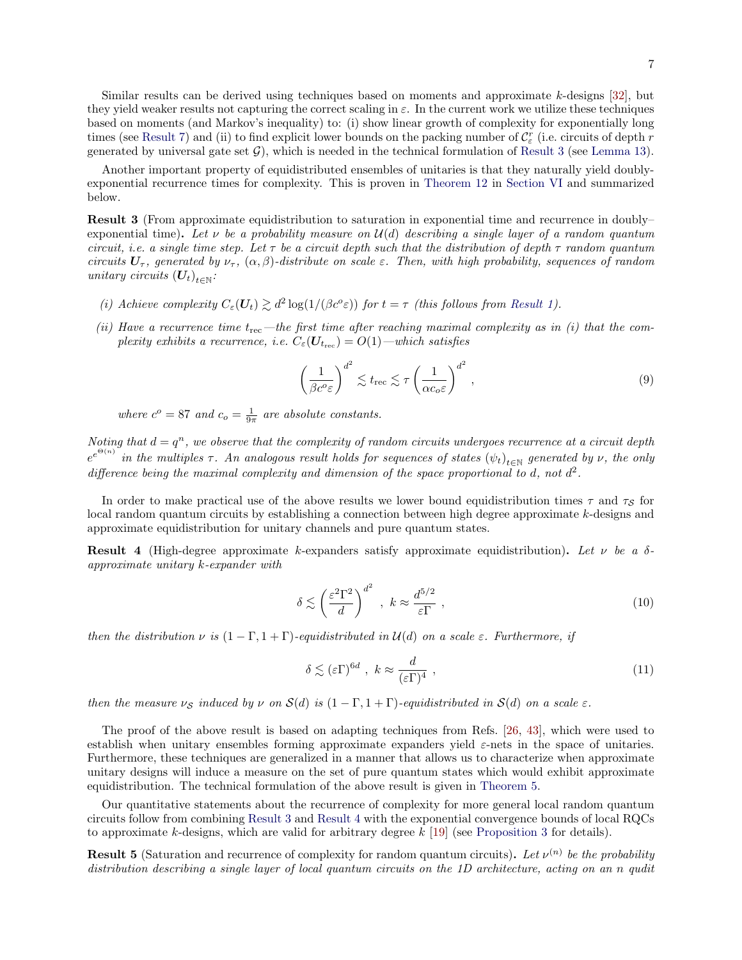Another important property of equidistributed ensembles of unitaries is that they naturally yield doublyexponential recurrence times for complexity. This is proven in [Theorem 12](#page-21-0) in [Section VI](#page-19-0) and summarized below.

<span id="page-6-0"></span>Result 3 (From approximate equidistribution to saturation in exponential time and recurrence in doubly– exponential time). Let  $\nu$  be a probability measure on  $\mathcal{U}(d)$  describing a single layer of a random quantum circuit, i.e. a single time step. Let  $\tau$  be a circuit depth such that the distribution of depth  $\tau$  random quantum circuits  $U_{\tau}$ , generated by  $\nu_{\tau}$ ,  $(\alpha, \beta)$ -distribute on scale  $\varepsilon$ . Then, with high probability, sequences of random unitary circuits  $(U_t)_{t \in \mathbb{N}}$ :

- (i) Achieve complexity  $C_{\varepsilon}(U_t) \gtrsim d^2 \log(1/(\beta c^o \varepsilon))$  for  $t = \tau$  (this follows from [Result 1\)](#page-5-0).
- (ii) Have a recurrence time  $t_{\text{rec}}$ —the first time after reaching maximal complexity as in (i) that the complexity exhibits a recurrence, i.e.  $C_{\varepsilon}(\boldsymbol{U}_{t_{\text{rec}}}) = O(1) -$  which satisfies

$$
\left(\frac{1}{\beta c^o \varepsilon}\right)^{d^2} \lesssim t_{\text{rec}} \lesssim \tau \left(\frac{1}{\alpha c_o \varepsilon}\right)^{d^2},\tag{9}
$$

where  $c^{\circ} = 87$  and  $c_{\circ} = \frac{1}{9\pi}$  are absolute constants.

Noting that  $d = q^n$ , we observe that the complexity of random circuits undergoes recurrence at a circuit depth  $e^{e^{\Theta(n)}}$  in the multiples  $\tau$ . An analogous result holds for sequences of states  $(\psi_t)_{t\in\mathbb{N}}$  generated by  $\nu$ , the only difference being the maximal complexity and dimension of the space proportional to d, not  $d^2$ .

In order to make practical use of the above results we lower bound equidistribution times  $\tau$  and  $\tau_s$  for local random quantum circuits by establishing a connection between high degree approximate k-designs and approximate equidistribution for unitary channels and pure quantum states.

<span id="page-6-1"></span>**Result 4** (High-degree approximate k-expanders satisfy approximate equidistribution). Let  $\nu$  be a  $\delta$ approximate unitary k-expander with

$$
\delta \lesssim \left(\frac{\varepsilon^2 \Gamma^2}{d}\right)^{d^2} , \ k \approx \frac{d^{5/2}}{\varepsilon \Gamma} , \tag{10}
$$

then the distribution  $\nu$  is  $(1 - \Gamma, 1 + \Gamma)$ -equidistributed in  $\mathcal{U}(d)$  on a scale  $\varepsilon$ . Furthermore, if

$$
\delta \lesssim (\varepsilon \Gamma)^{6d} , \ k \approx \frac{d}{(\varepsilon \Gamma)^4} , \tag{11}
$$

then the measure  $\nu_{\mathcal{S}}$  induced by  $\nu$  on  $\mathcal{S}(d)$  is  $(1-\Gamma,1+\Gamma)$ -equidistributed in  $\mathcal{S}(d)$  on a scale  $\varepsilon$ .

The proof of the above result is based on adapting techniques from Refs. [\[26,](#page-45-3) [43\]](#page-45-18), which were used to establish when unitary ensembles forming approximate expanders yield  $\varepsilon$ -nets in the space of unitaries. Furthermore, these techniques are generalized in a manner that allows us to characterize when approximate unitary designs will induce a measure on the set of pure quantum states which would exhibit approximate equidistribution. The technical formulation of the above result is given in [Theorem 5.](#page-13-1)

Our quantitative statements about the recurrence of complexity for more general local random quantum circuits follow from combining [Result 3](#page-6-0) and [Result 4](#page-6-1) with the exponential convergence bounds of local RQCs to approximate k-designs, which are valid for arbitrary degree  $k$  [\[19\]](#page-44-15) (see [Proposition 3](#page-12-0) for details).

<span id="page-6-2"></span>**Result 5** (Saturation and recurrence of complexity for random quantum circuits). Let  $\nu^{(n)}$  be the probability distribution describing a single layer of local quantum circuits on the 1D architecture, acting on an n qudit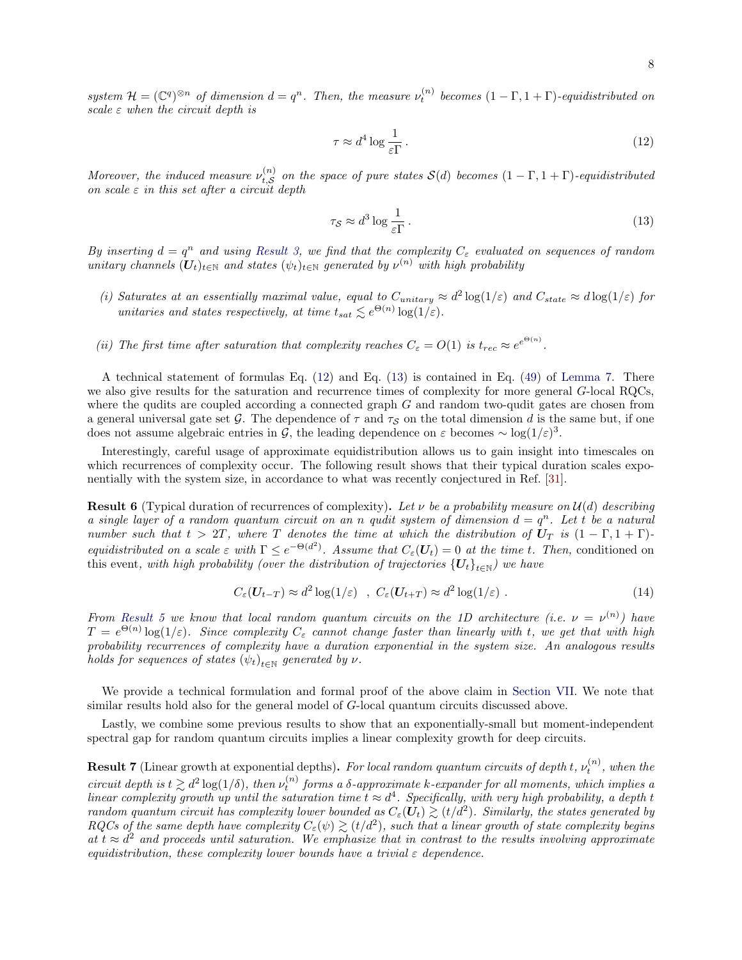system  $\mathcal{H} = (\mathbb{C}^q)^{\otimes n}$  of dimension  $d = q^n$ . Then, the measure  $\nu_t^{(n)}$  becomes  $(1 - \Gamma, 1 + \Gamma)$ -equidistributed on scale  $\varepsilon$  when the circuit depth is

<span id="page-7-2"></span>
$$
\tau \approx d^4 \log \frac{1}{\varepsilon \Gamma} \,. \tag{12}
$$

Moreover, the induced measure  $\nu_t^{(n)}$  $\mathcal{L}_{t,S}^{(n)}$  on the space of pure states  $\mathcal{S}(d)$  becomes  $(1-\Gamma,1+\Gamma)$ -equidistributed on scale  $\varepsilon$  in this set after a circuit depth

<span id="page-7-3"></span>
$$
\tau_{\mathcal{S}} \approx d^3 \log \frac{1}{\varepsilon \Gamma} \,. \tag{13}
$$

By inserting  $d = q^n$  and using [Result 3,](#page-6-0) we find that the complexity  $C_\varepsilon$  evaluated on sequences of random unitary channels  $(U_t)_{t \in \mathbb{N}}$  and states  $(\psi_t)_{t \in \mathbb{N}}$  generated by  $\nu^{(n)}$  with high probability

- (i) Saturates at an essentially maximal value, equal to  $C_{unitary} \approx d^2 \log(1/\varepsilon)$  and  $C_{state} \approx d \log(1/\varepsilon)$  for unitaries and states respectively, at time  $t_{sat} \lesssim e^{\Theta(n)} \log(1/\varepsilon)$ .
- (ii) The first time after saturation that complexity reaches  $C_{\varepsilon} = O(1)$  is  $t_{rec} \approx e^{e^{\Theta(n)}}$ .

A technical statement of formulas Eq. [\(12\)](#page-7-2) and Eq. [\(13\)](#page-7-3) is contained in Eq. [\(49\)](#page-15-1) of [Lemma 7.](#page-15-2) There we also give results for the saturation and recurrence times of complexity for more general G-local RQCs, where the qudits are coupled according a connected graph G and random two-qudit gates are chosen from a general universal gate set G. The dependence of  $\tau$  and  $\tau_S$  on the total dimension d is the same but, if one does not assume algebraic entries in G, the leading dependence on  $\varepsilon$  becomes ~ log(1/ $\varepsilon$ )<sup>3</sup>.

Interestingly, careful usage of approximate equidistribution allows us to gain insight into timescales on which recurrences of complexity occur. The following result shows that their typical duration scales exponentially with the system size, in accordance to what was recently conjectured in Ref. [\[31\]](#page-45-7).

<span id="page-7-0"></span>**Result 6** (Typical duration of recurrences of complexity). Let v be a probability measure on  $\mathcal{U}(d)$  describing a single layer of a random quantum circuit on an n qudit system of dimension  $d = q^n$ . Let t be a natural number such that  $t > 2T$ , where T denotes the time at which the distribution of  $U_T$  is  $(1 - \Gamma, 1 + \Gamma)$ . equidistributed on a scale  $\varepsilon$  with  $\Gamma \leq e^{-\Theta(d^2)}$ . Assume that  $C_{\varepsilon}(\mathbf{U}_t) = 0$  at the time t. Then, conditioned on this event, with high probability (over the distribution of trajectories  $\left\{ \bm{U}_t \right\}_{t\in \mathbb{N}}$ ) we have

$$
C_{\varepsilon}(\mathbf{U}_{t-T}) \approx d^2 \log(1/\varepsilon) \quad , \ C_{\varepsilon}(\mathbf{U}_{t+T}) \approx d^2 \log(1/\varepsilon) \ . \tag{14}
$$

From [Result 5](#page-6-2) we know that local random quantum circuits on the 1D architecture (i.e.  $\nu = \nu^{(n)}$ ) have  $T = e^{\Theta(n)} \log(1/\varepsilon)$ . Since complexity  $C_{\varepsilon}$  cannot change faster than linearly with t, we get that with high probability recurrences of complexity have a duration exponential in the system size. An analogous results holds for sequences of states  $(\psi_t)_{t \in \mathbb{N}}$  generated by  $\nu$ .

We provide a technical formulation and formal proof of the above claim in [Section VII.](#page-23-0) We note that similar results hold also for the general model of G-local quantum circuits discussed above.

Lastly, we combine some previous results to show that an exponentially-small but moment-independent spectral gap for random quantum circuits implies a linear complexity growth for deep circuits.

<span id="page-7-1"></span>**Result 7** (Linear growth at exponential depths). For local random quantum circuits of depth t,  $\nu_t^{(n)}$ , when the circuit depth is  $t \gtrsim d^2 \log(1/\delta)$ , then  $\nu_t^{(n)}$  forms a  $\delta$ -approximate k-expander for all moments, which implies a linear complexity growth up until the saturation time  $t \approx d^4$ . Specifically, with very high probability, a depth t random quantum circuit has complexity lower bounded as  $C_\varepsilon(\tilde{\bm{U}_t}) \gtrsim (t/d^2)$ . Similarly, the states generated by RQCs of the same depth have complexity  $C_\varepsilon(\psi) \gtrsim (t/d^2)$ , such that a linear growth of state complexity begins at  $t \approx d^2$  and proceeds until saturation. We emphasize that in contrast to the results involving approximate equidistribution, these complexity lower bounds have a trivial  $\varepsilon$  dependence.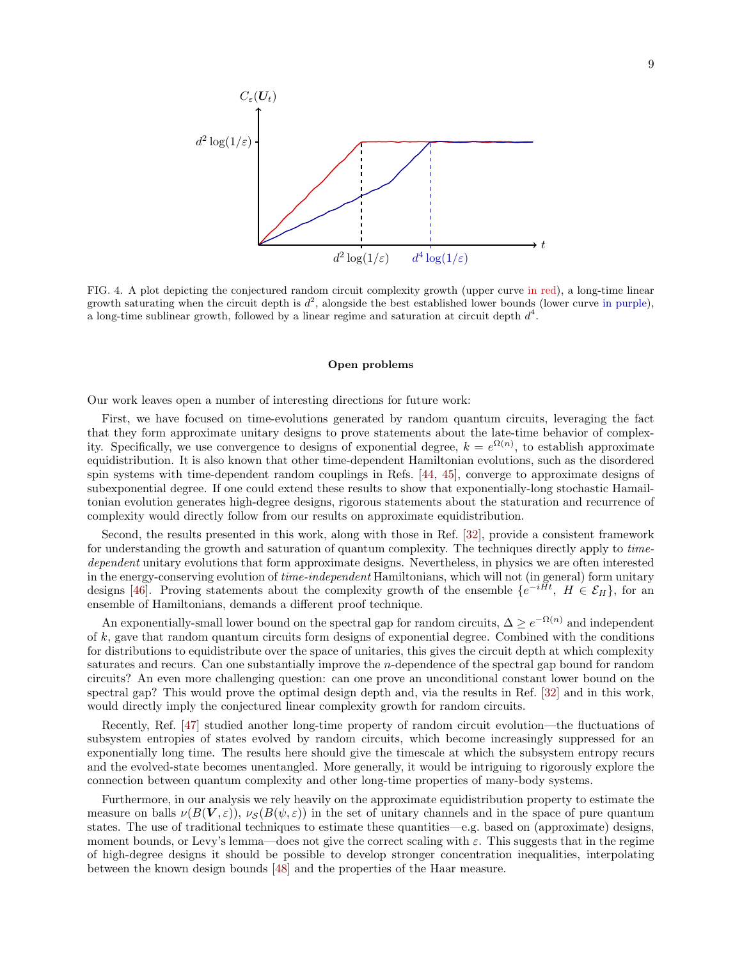

FIG. 4. A plot depicting the conjectured random circuit complexity growth (upper curve in red), a long-time linear growth saturating when the circuit depth is  $d^2$ , alongside the best established lower bounds (lower curve in purple), a long-time sublinear growth, followed by a linear regime and saturation at circuit depth  $d^4$ .

#### Open problems

Our work leaves open a number of interesting directions for future work:

First, we have focused on time-evolutions generated by random quantum circuits, leveraging the fact that they form approximate unitary designs to prove statements about the late-time behavior of complexity. Specifically, we use convergence to designs of exponential degree,  $k = e^{\Omega(n)}$ , to establish approximate equidistribution. It is also known that other time-dependent Hamiltonian evolutions, such as the disordered spin systems with time-dependent random couplings in Refs. [\[44,](#page-45-20) [45\]](#page-45-21), converge to approximate designs of subexponential degree. If one could extend these results to show that exponentially-long stochastic Hamailtonian evolution generates high-degree designs, rigorous statements about the staturation and recurrence of complexity would directly follow from our results on approximate equidistribution.

Second, the results presented in this work, along with those in Ref. [\[32\]](#page-45-8), provide a consistent framework for understanding the growth and saturation of quantum complexity. The techniques directly apply to timedependent unitary evolutions that form approximate designs. Nevertheless, in physics we are often interested in the energy-conserving evolution of *time-independent* Hamiltonians, which will not (in general) form unitary designs [\[46\]](#page-45-22). Proving statements about the complexity growth of the ensemble  $\{e^{-iHt}, H \in \mathcal{E}_H\}$ , for an ensemble of Hamiltonians, demands a different proof technique.

An exponentially-small lower bound on the spectral gap for random circuits,  $\Delta \geq e^{-\Omega(n)}$  and independent of  $k$ , gave that random quantum circuits form designs of exponential degree. Combined with the conditions for distributions to equidistribute over the space of unitaries, this gives the circuit depth at which complexity saturates and recurs. Can one substantially improve the n-dependence of the spectral gap bound for random circuits? An even more challenging question: can one prove an unconditional constant lower bound on the spectral gap? This would prove the optimal design depth and, via the results in Ref. [\[32\]](#page-45-8) and in this work, would directly imply the conjectured linear complexity growth for random circuits.

Recently, Ref. [\[47\]](#page-45-23) studied another long-time property of random circuit evolution—the fluctuations of subsystem entropies of states evolved by random circuits, which become increasingly suppressed for an exponentially long time. The results here should give the timescale at which the subsystem entropy recurs and the evolved-state becomes unentangled. More generally, it would be intriguing to rigorously explore the connection between quantum complexity and other long-time properties of many-body systems.

Furthermore, in our analysis we rely heavily on the approximate equidistribution property to estimate the measure on balls  $\nu(B(\mathbf{V}, \varepsilon)), \nu_{\mathcal{S}}(B(\psi, \varepsilon))$  in the set of unitary channels and in the space of pure quantum states. The use of traditional techniques to estimate these quantities—e.g. based on (approximate) designs, moment bounds, or Levy's lemma—does not give the correct scaling with  $\varepsilon$ . This suggests that in the regime of high-degree designs it should be possible to develop stronger concentration inequalities, interpolating between the known design bounds [\[48\]](#page-45-24) and the properties of the Haar measure.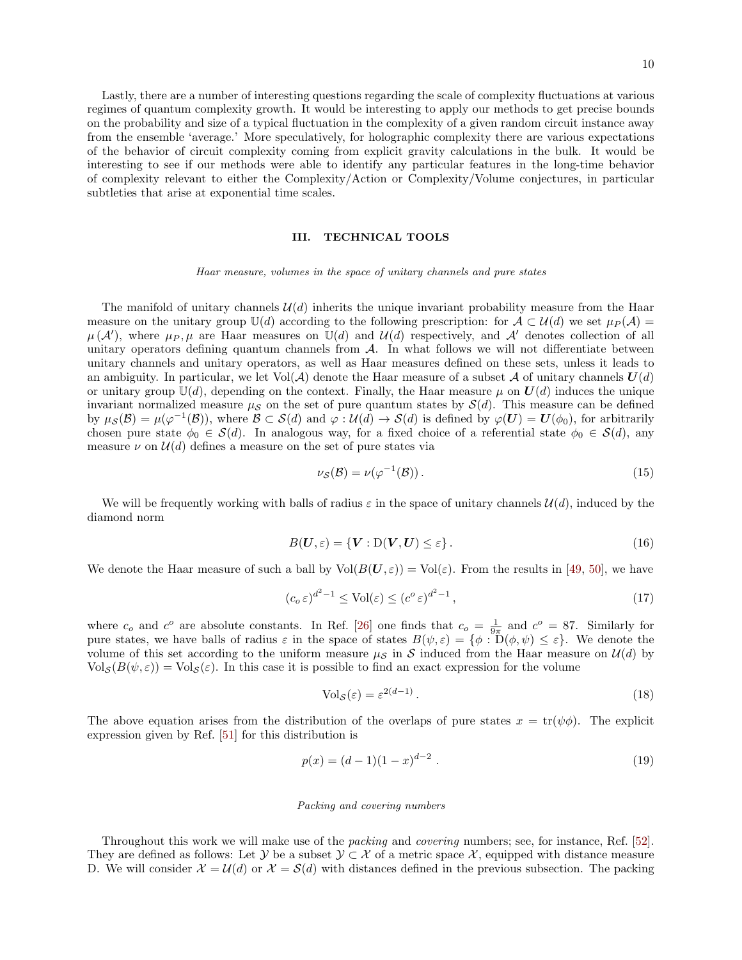Lastly, there are a number of interesting questions regarding the scale of complexity fluctuations at various regimes of quantum complexity growth. It would be interesting to apply our methods to get precise bounds on the probability and size of a typical fluctuation in the complexity of a given random circuit instance away from the ensemble 'average.' More speculatively, for holographic complexity there are various expectations of the behavior of circuit complexity coming from explicit gravity calculations in the bulk. It would be interesting to see if our methods were able to identify any particular features in the long-time behavior of complexity relevant to either the Complexity/Action or Complexity/Volume conjectures, in particular subtleties that arise at exponential time scales.

### <span id="page-9-0"></span>III. TECHNICAL TOOLS

Haar measure, volumes in the space of unitary channels and pure states

The manifold of unitary channels  $\mathcal{U}(d)$  inherits the unique invariant probability measure from the Haar measure on the unitary group  $\mathbb{U}(d)$  according to the following prescription: for  $\mathcal{A} \subset \mathcal{U}(d)$  we set  $\mu_P(\mathcal{A}) =$  $\mu(\mathcal{A}')$ , where  $\mu_P, \mu$  are Haar measures on  $\mathbb{U}(d)$  and  $\mathcal{U}(d)$  respectively, and  $\mathcal{A}'$  denotes collection of all unitary operators defining quantum channels from  $A$ . In what follows we will not differentiate between unitary channels and unitary operators, as well as Haar measures defined on these sets, unless it leads to an ambiguity. In particular, we let  $Vol(A)$  denote the Haar measure of a subset A of unitary channels  $U(d)$ or unitary group  $U(d)$ , depending on the context. Finally, the Haar measure  $\mu$  on  $U(d)$  induces the unique invariant normalized measure  $\mu_{\mathcal{S}}$  on the set of pure quantum states by  $\mathcal{S}(d)$ . This measure can be defined by  $\mu_{\mathcal{S}}(\mathcal{B}) = \mu(\varphi^{-1}(\mathcal{B}))$ , where  $\mathcal{B} \subset \mathcal{S}(d)$  and  $\varphi : \mathcal{U}(d) \to \mathcal{S}(d)$  is defined by  $\varphi(\mathbf{U}) = \mathbf{U}(\phi_0)$ , for arbitrarily chosen pure state  $\phi_0 \in \mathcal{S}(d)$ . In analogous way, for a fixed choice of a referential state  $\phi_0 \in \mathcal{S}(d)$ , any measure  $\nu$  on  $\mathcal{U}(d)$  defines a measure on the set of pure states via

$$
\nu_{\mathcal{S}}(\mathcal{B}) = \nu(\varphi^{-1}(\mathcal{B})). \tag{15}
$$

We will be frequently working with balls of radius  $\varepsilon$  in the space of unitary channels  $\mathcal{U}(d)$ , induced by the diamond norm

$$
B(\mathbf{U}, \varepsilon) = \{ \mathbf{V} : D(\mathbf{V}, \mathbf{U}) \le \varepsilon \}. \tag{16}
$$

We denote the Haar measure of such a ball by  $Vol(B(\mathbf{U}, \varepsilon)) = Vol(\varepsilon)$ . From the results in [\[49,](#page-45-25) [50\]](#page-45-26), we have

$$
(c_o \varepsilon)^{d^2 - 1} \le \text{Vol}(\varepsilon) \le (c^o \varepsilon)^{d^2 - 1},\tag{17}
$$

where  $c_o$  and  $c^o$  are absolute constants. In Ref. [\[26\]](#page-45-3) one finds that  $c_o = \frac{1}{9\pi}$  and  $c^o = 87$ . Similarly for pure states, we have balls of radius  $\varepsilon$  in the space of states  $B(\psi, \varepsilon) = {\phi : D(\phi, \psi) \leq \varepsilon}.$  We denote the volume of this set according to the uniform measure  $\mu_{\mathcal{S}}$  in S induced from the Haar measure on  $\mathcal{U}(d)$  by  $Vol_S(B(\psi, \varepsilon)) = Vol_S(\varepsilon)$ . In this case it is possible to find an exact expression for the volume

<span id="page-9-2"></span><span id="page-9-1"></span>
$$
\text{Vol}_{\mathcal{S}}(\varepsilon) = \varepsilon^{2(d-1)}\,. \tag{18}
$$

The above equation arises from the distribution of the overlaps of pure states  $x = \text{tr}(\psi \phi)$ . The explicit expression given by Ref. [\[51\]](#page-46-0) for this distribution is

<span id="page-9-3"></span>
$$
p(x) = (d-1)(1-x)^{d-2} . \t\t(19)
$$

### Packing and covering numbers

Throughout this work we will make use of the packing and covering numbers; see, for instance, Ref. [\[52\]](#page-46-1). They are defined as follows: Let  $\mathcal{Y}$  be a subset  $\mathcal{Y} \subset \mathcal{X}$  of a metric space X, equipped with distance measure D. We will consider  $\mathcal{X} = \mathcal{U}(d)$  or  $\mathcal{X} = \mathcal{S}(d)$  with distances defined in the previous subsection. The packing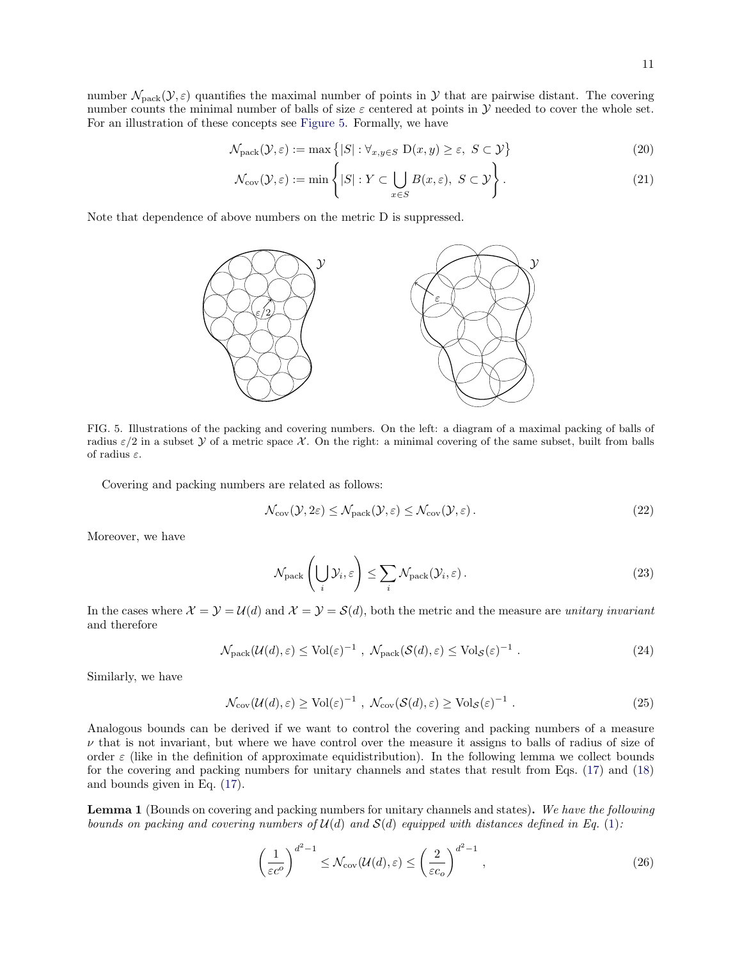$$
\mathcal{N}_{\text{pack}}(\mathcal{Y}, \varepsilon) := \max\left\{ |S| : \forall_{x, y \in S} \ D(x, y) \ge \varepsilon, \ S \subset \mathcal{Y} \right\} \tag{20}
$$

$$
\mathcal{N}_{\text{cov}}(\mathcal{Y}, \varepsilon) := \min \left\{ |S| : Y \subset \bigcup_{x \in S} B(x, \varepsilon), \ S \subset \mathcal{Y} \right\}.
$$
\n(21)

Note that dependence of above numbers on the metric D is suppressed.



<span id="page-10-0"></span>FIG. 5. Illustrations of the packing and covering numbers. On the left: a diagram of a maximal packing of balls of radius  $\varepsilon/2$  in a subset Y of a metric space X. On the right: a minimal covering of the same subset, built from balls of radius  $\varepsilon$ .

Covering and packing numbers are related as follows:

$$
\mathcal{N}_{\text{cov}}(\mathcal{Y}, 2\varepsilon) \le \mathcal{N}_{\text{pack}}(\mathcal{Y}, \varepsilon) \le \mathcal{N}_{\text{cov}}(\mathcal{Y}, \varepsilon). \tag{22}
$$

Moreover, we have

<span id="page-10-1"></span>
$$
\mathcal{N}_{\text{pack}}\left(\bigcup_{i} \mathcal{Y}_i, \varepsilon\right) \le \sum_{i} \mathcal{N}_{\text{pack}}(\mathcal{Y}_i, \varepsilon). \tag{23}
$$

In the cases where  $\mathcal{X} = \mathcal{Y} = \mathcal{U}(d)$  and  $\mathcal{X} = \mathcal{Y} = \mathcal{S}(d)$ , both the metric and the measure are unitary invariant and therefore

$$
\mathcal{N}_{\text{pack}}(\mathcal{U}(d), \varepsilon) \le \text{Vol}(\varepsilon)^{-1} \ , \ \mathcal{N}_{\text{pack}}(\mathcal{S}(d), \varepsilon) \le \text{Vol}_{\mathcal{S}}(\varepsilon)^{-1} \ . \tag{24}
$$

Similarly, we have

$$
\mathcal{N}_{\text{cov}}(\mathcal{U}(d), \varepsilon) \ge \text{Vol}(\varepsilon)^{-1} , \ \mathcal{N}_{\text{cov}}(\mathcal{S}(d), \varepsilon) \ge \text{Vol}_{\mathcal{S}}(\varepsilon)^{-1} . \tag{25}
$$

Analogous bounds can be derived if we want to control the covering and packing numbers of a measure  $\nu$  that is not invariant, but where we have control over the measure it assigns to balls of radius of size of order  $\varepsilon$  (like in the definition of approximate equidistribution). In the following lemma we collect bounds for the covering and packing numbers for unitary channels and states that result from Eqs. [\(17\)](#page-9-1) and [\(18\)](#page-9-2) and bounds given in Eq. [\(17\)](#page-9-1).

Lemma 1 (Bounds on covering and packing numbers for unitary channels and states). We have the following bounds on packing and covering numbers of  $\mathcal{U}(d)$  and  $\mathcal{S}(d)$  equipped with distances defined in Eq. [\(1\)](#page-3-0):

$$
\left(\frac{1}{\varepsilon c^o}\right)^{d^2 - 1} \le \mathcal{N}_{\text{cov}}(\mathcal{U}(d), \varepsilon) \le \left(\frac{2}{\varepsilon c_o}\right)^{d^2 - 1},\tag{26}
$$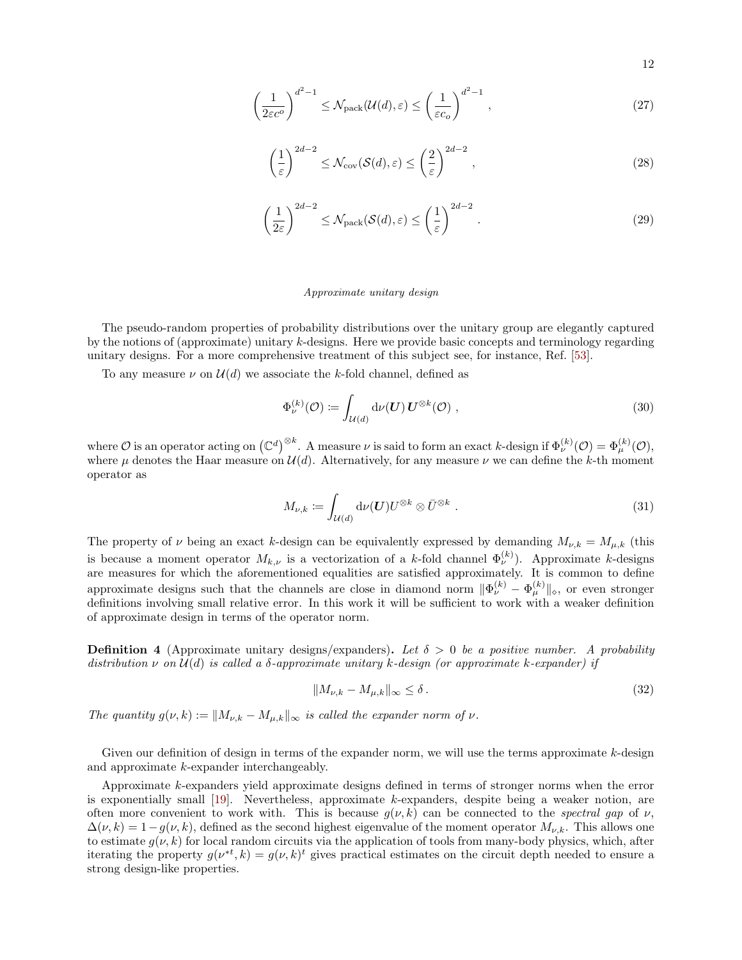<span id="page-11-0"></span>
$$
\left(\frac{1}{2\varepsilon c^o}\right)^{d^2-1} \le \mathcal{N}_{\text{pack}}(\mathcal{U}(d), \varepsilon) \le \left(\frac{1}{\varepsilon c_o}\right)^{d^2-1},\tag{27}
$$

$$
\left(\frac{1}{\varepsilon}\right)^{2d-2} \le \mathcal{N}_{\text{cov}}(\mathcal{S}(d), \varepsilon) \le \left(\frac{2}{\varepsilon}\right)^{2d-2},\tag{28}
$$

$$
\left(\frac{1}{2\varepsilon}\right)^{2d-2} \le \mathcal{N}_{\text{pack}}(\mathcal{S}(d), \varepsilon) \le \left(\frac{1}{\varepsilon}\right)^{2d-2}.\tag{29}
$$

### Approximate unitary design

The pseudo-random properties of probability distributions over the unitary group are elegantly captured by the notions of (approximate) unitary k-designs. Here we provide basic concepts and terminology regarding unitary designs. For a more comprehensive treatment of this subject see, for instance, Ref. [\[53\]](#page-46-2).

To any measure  $\nu$  on  $\mathcal{U}(d)$  we associate the k-fold channel, defined as

$$
\Phi_{\nu}^{(k)}(\mathcal{O}) \coloneqq \int_{\mathcal{U}(d)} \mathrm{d}\nu(\mathbf{U}) \, \mathbf{U}^{\otimes k}(\mathcal{O}) \;, \tag{30}
$$

where  $\mathcal O$  is an operator acting on  $(\mathbb C^d)^{\otimes k}$ . A measure  $\nu$  is said to form an exact k-design if  $\Phi_{\nu}^{(k)}(\mathcal O)=\Phi_{\mu}^{(k)}(\mathcal O),$ where  $\mu$  denotes the Haar measure on  $\mathcal{U}(d)$ . Alternatively, for any measure  $\nu$  we can define the k-th moment operator as

$$
M_{\nu,k} := \int_{\mathcal{U}(d)} \mathrm{d}\nu(\boldsymbol{U}) U^{\otimes k} \otimes \bar{U}^{\otimes k} . \tag{31}
$$

The property of  $\nu$  being an exact k-design can be equivalently expressed by demanding  $M_{\nu,k} = M_{\mu,k}$  (this is because a moment operator  $M_{k,\nu}$  is a vectorization of a k-fold channel  $\Phi_{\nu}^{(k)}$ ). Approximate k-designs are measures for which the aforementioned equalities are satisfied approximately. It is common to define approximate designs such that the channels are close in diamond norm  $\|\Phi_{\nu}^{(k)} - \Phi_{\mu}^{(k)}\|_{\diamond}$ , or even stronger definitions involving small relative error. In this work it will be sufficient to work with a weaker definition of approximate design in terms of the operator norm.

<span id="page-11-1"></span>**Definition 4** (Approximate unitary designs/expanders). Let  $\delta > 0$  be a positive number. A probability distribution  $\nu$  on  $\mathcal{U}(d)$  is called a  $\delta$ -approximate unitary k-design (or approximate k-expander) if

$$
||M_{\nu,k} - M_{\mu,k}||_{\infty} \le \delta.
$$
\n(32)

The quantity  $g(\nu, k) := ||M_{\nu,k} - M_{\mu,k}||_{\infty}$  is called the expander norm of  $\nu$ .

Given our definition of design in terms of the expander norm, we will use the terms approximate  $k$ -design and approximate k-expander interchangeably.

Approximate k-expanders yield approximate designs defined in terms of stronger norms when the error is exponentially small [\[19\]](#page-44-15). Nevertheless, approximate k-expanders, despite being a weaker notion, are often more convenient to work with. This is because  $g(\nu, k)$  can be connected to the spectral gap of  $\nu$ ,  $\Delta(\nu, k) = 1 - g(\nu, k)$ , defined as the second highest eigenvalue of the moment operator  $M_{\nu, k}$ . This allows one to estimate  $g(\nu, k)$  for local random circuits via the application of tools from many-body physics, which, after iterating the property  $g(\nu^{*t}, k) = g(\nu, k)^t$  gives practical estimates on the circuit depth needed to ensure a strong design-like properties.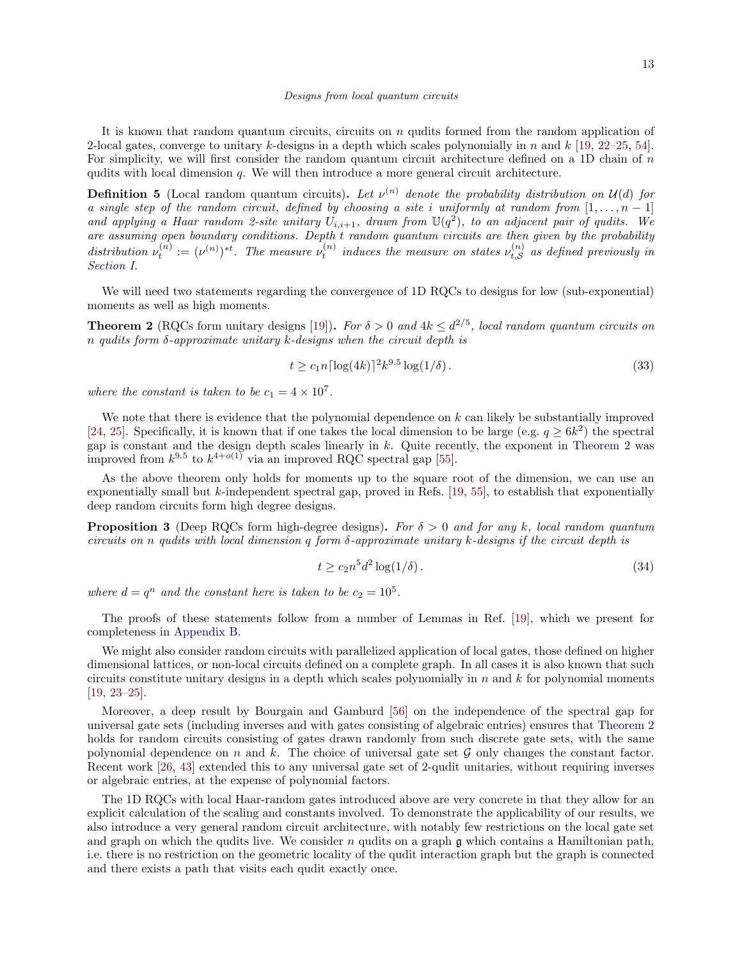It is known that random quantum circuits, circuits on n qudits formed from the random application of 2-local gates, converge to unitary k-designs in a depth which scales polynomially in n and  $k$  [\[19,](#page-44-15) [22–](#page-45-2)[25,](#page-45-27) [54\]](#page-46-3). For simplicity, we will first consider the random quantum circuit architecture defined on a 1D chain of n qudits with local dimension  $q$ . We will then introduce a more general circuit architecture.

<span id="page-12-2"></span>**Definition 5** (Local random quantum circuits). Let  $\nu^{(n)}$  denote the probability distribution on  $\mathcal{U}(d)$  for a single step of the random circuit, defined by choosing a site i uniformly at random from  $[1, \ldots, n-1]$ and applying a Haar random 2-site unitary  $U_{i,i+1}$ , drawn from  $\mathbb{U}(q^2)$ , to an adjacent pair of qudits. We are assuming open boundary conditions. Depth t random quantum circuits are then given by the probability distribution  $\nu_t^{(n)} := (\nu^{(n)})^{*t}$ . The measure  $\nu_t^{(n)}$  induces the measure on states  $\nu_{t, S}^{(n)}$  $t_{t,S}^{(n)}$  as defined previously in [Section I.](#page-0-3)

We will need two statements regarding the convergence of 1D RQCs to designs for low (sub-exponential) moments as well as high moments.

<span id="page-12-1"></span>**Theorem 2** (RQCs form unitary designs [\[19\]](#page-44-15)). For  $\delta > 0$  and  $4k \leq d^{2/5}$ , local random quantum circuits on n qudits form  $\delta$ -approximate unitary k-designs when the circuit depth is

$$
t \ge c_1 n \lceil \log(4k) \rceil^2 k^{9.5} \log(1/\delta). \tag{33}
$$

where the constant is taken to be  $c_1 = 4 \times 10^7$ .

We note that there is evidence that the polynomial dependence on  $k$  can likely be substantially improved [\[24,](#page-45-28) [25\]](#page-45-27). Specifically, it is known that if one takes the local dimension to be large (e.g.  $q \ge 6k^2$ ) the spectral gap is constant and the design depth scales linearly in  $k$ . Quite recently, the exponent in [Theorem 2](#page-12-1) was improved from  $k^{9.5}$  to  $k^{4+o(1)}$  via an improved RQC spectral gap [\[55\]](#page-46-4).

As the above theorem only holds for moments up to the square root of the dimension, we can use an exponentially small but  $k$ -independent spectral gap, proved in Refs. [\[19,](#page-44-15) [55\]](#page-46-4), to establish that exponentially deep random circuits form high degree designs.

<span id="page-12-0"></span>**Proposition 3** (Deep RQCs form high-degree designs). For  $\delta > 0$  and for any k, local random quantum circuits on n qudits with local dimension q form  $\delta$ -approximate unitary k-designs if the circuit depth is

<span id="page-12-4"></span>
$$
t \ge c_2 n^5 d^2 \log(1/\delta). \tag{34}
$$

where  $d = q^n$  and the constant here is taken to be  $c_2 = 10^5$ .

The proofs of these statements follow from a number of Lemmas in Ref. [\[19\]](#page-44-15), which we present for completeness in [Appendix B.](#page-39-0)

We might also consider random circuits with parallelized application of local gates, those defined on higher dimensional lattices, or non-local circuits defined on a complete graph. In all cases it is also known that such circuits constitute unitary designs in a depth which scales polynomially in  $n$  and  $k$  for polynomial moments [\[19,](#page-44-15) [23–](#page-45-29)[25\]](#page-45-27).

Moreover, a deep result by Bourgain and Gamburd [\[56\]](#page-46-5) on the independence of the spectral gap for universal gate sets (including inverses and with gates consisting of algebraic entries) ensures that [Theorem 2](#page-12-1) holds for random circuits consisting of gates drawn randomly from such discrete gate sets, with the same polynomial dependence on n and k. The choice of universal gate set  $\mathcal G$  only changes the constant factor. Recent work [\[26,](#page-45-3) [43\]](#page-45-18) extended this to any universal gate set of 2-qudit unitaries, without requiring inverses or algebraic entries, at the expense of polynomial factors.

<span id="page-12-3"></span>The 1D RQCs with local Haar-random gates introduced above are very concrete in that they allow for an explicit calculation of the scaling and constants involved. To demonstrate the applicability of our results, we also introduce a very general random circuit architecture, with notably few restrictions on the local gate set and graph on which the qudits live. We consider n qudits on a graph  $\mathfrak g$  which contains a Hamiltonian path, i.e. there is no restriction on the geometric locality of the qudit interaction graph but the graph is connected and there exists a path that visits each qudit exactly once.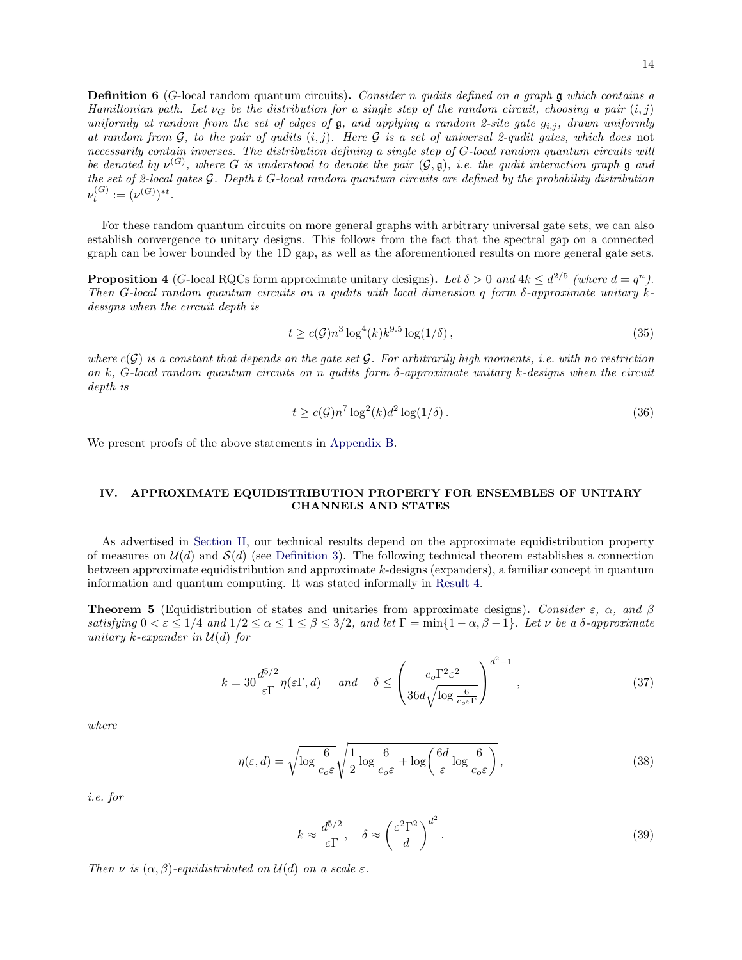**Definition 6** (G-local random quantum circuits). Consider n qudits defined on a graph  $\mathfrak{g}$  which contains a Hamiltonian path. Let  $\nu_G$  be the distribution for a single step of the random circuit, choosing a pair  $(i, j)$ uniformly at random from the set of edges of g, and applying a random 2-site gate  $g_{i,j}$ , drawn uniformly at random from  $G$ , to the pair of qudits  $(i, j)$ . Here  $G$  is a set of universal 2-qudit gates, which does not necessarily contain inverses. The distribution defining a single step of G-local random quantum circuits will be denoted by  $\nu^{(G)}$ , where G is understood to denote the pair  $(\mathcal{G}, \mathfrak{g})$ , i.e. the qudit interaction graph  $\mathfrak g$  and the set of 2-local gates G. Depth t G-local random quantum circuits are defined by the probability distribution  $\nu_t^{(G)} := (\nu^{(G)})^{*t}.$ 

For these random quantum circuits on more general graphs with arbitrary universal gate sets, we can also establish convergence to unitary designs. This follows from the fact that the spectral gap on a connected graph can be lower bounded by the 1D gap, as well as the aforementioned results on more general gate sets.

<span id="page-13-2"></span>**Proposition 4** (G-local RQCs form approximate unitary designs). Let  $\delta > 0$  and  $4k \leq d^{2/5}$  (where  $d = q^n$ ). Then G-local random quantum circuits on n qudits with local dimension q form  $\delta$ -approximate unitary kdesigns when the circuit depth is

$$
t \ge c(\mathcal{G}) n^3 \log^4(k) k^{9.5} \log(1/\delta), \tag{35}
$$

where  $c(G)$  is a constant that depends on the gate set G. For arbitrarily high moments, i.e. with no restriction on k, G-local random quantum circuits on n qudits form  $\delta$ -approximate unitary k-designs when the circuit depth is

<span id="page-13-4"></span>
$$
t \ge c(\mathcal{G})n^7 \log^2(k) d^2 \log(1/\delta). \tag{36}
$$

We present proofs of the above statements in [Appendix B.](#page-39-0)

# <span id="page-13-0"></span>IV. APPROXIMATE EQUIDISTRIBUTION PROPERTY FOR ENSEMBLES OF UNITARY CHANNELS AND STATES

As advertised in [Section II,](#page-4-0) our technical results depend on the approximate equidistribution property of measures on  $\mathcal{U}(d)$  and  $\mathcal{S}(d)$  (see [Definition 3\)](#page-4-1). The following technical theorem establishes a connection between approximate equidistribution and approximate k-designs (expanders), a familiar concept in quantum information and quantum computing. It was stated informally in [Result 4.](#page-6-1)

<span id="page-13-1"></span>**Theorem 5** (Equidistribution of states and unitaries from approximate designs). Consider  $\varepsilon$ ,  $\alpha$ , and  $\beta$ satisfying  $0 < \varepsilon \leq 1/4$  and  $1/2 \leq \alpha \leq 1 \leq \beta \leq 3/2$ , and let  $\Gamma = \min\{1-\alpha, \beta-1\}$ . Let  $\nu$  be a  $\delta$ -approximate unitary k-expander in  $\mathcal{U}(d)$  for

$$
k = 30 \frac{d^{5/2}}{\varepsilon \Gamma} \eta(\varepsilon \Gamma, d) \quad \text{and} \quad \delta \le \left( \frac{c_o \Gamma^2 \varepsilon^2}{36 d \sqrt{\log \frac{6}{c_o \varepsilon \Gamma}}} \right)^{d^2 - 1}, \tag{37}
$$

where

$$
\eta(\varepsilon, d) = \sqrt{\log \frac{6}{c_o \varepsilon}} \sqrt{\frac{1}{2} \log \frac{6}{c_o \varepsilon} + \log \left( \frac{6d}{\varepsilon} \log \frac{6}{c_o \varepsilon} \right)},
$$
\n(38)

i.e. for

<span id="page-13-3"></span>
$$
k \approx \frac{d^{5/2}}{\varepsilon \Gamma}, \quad \delta \approx \left(\frac{\varepsilon^2 \Gamma^2}{d}\right)^{d^2}.
$$
 (39)

Then  $\nu$  is  $(\alpha, \beta)$ -equidistributed on  $\mathcal{U}(d)$  on a scale  $\varepsilon$ .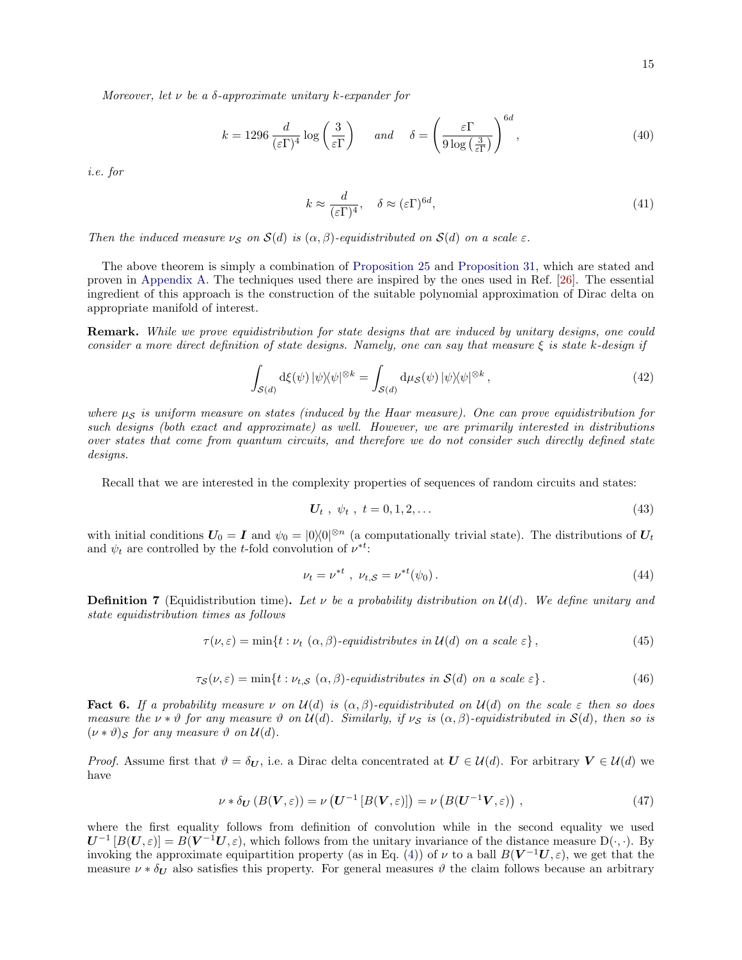Moreover, let  $\nu$  be a  $\delta$ -approximate unitary k-expander for

$$
k = 1296 \frac{d}{(\varepsilon \Gamma)^4} \log \left( \frac{3}{\varepsilon \Gamma} \right) \quad \text{and} \quad \delta = \left( \frac{\varepsilon \Gamma}{9 \log \left( \frac{3}{\varepsilon \Gamma} \right)} \right)^{6d},\tag{40}
$$

i.e. for

<span id="page-14-1"></span>
$$
k \approx \frac{d}{(\varepsilon \Gamma)^4}, \quad \delta \approx (\varepsilon \Gamma)^{6d}, \tag{41}
$$

Then the induced measure  $\nu_S$  on  $S(d)$  is  $(\alpha, \beta)$ -equidistributed on  $S(d)$  on a scale  $\varepsilon$ .

The above theorem is simply a combination of [Proposition 25](#page-35-0) and [Proposition 31,](#page-39-1) which are stated and proven in [Appendix A.](#page-29-0) The techniques used there are inspired by the ones used in Ref. [\[26\]](#page-45-3). The essential ingredient of this approach is the construction of the suitable polynomial approximation of Dirac delta on appropriate manifold of interest.

Remark. While we prove equidistribution for state designs that are induced by unitary designs, one could consider a more direct definition of state designs. Namely, one can say that measure  $\xi$  is state k-design if

$$
\int_{S(d)} d\xi(\psi) |\psi\rangle\langle\psi|^{\otimes k} = \int_{S(d)} d\mu_S(\psi) |\psi\rangle\langle\psi|^{\otimes k}, \qquad (42)
$$

where  $\mu_{\mathcal{S}}$  is uniform measure on states (induced by the Haar measure). One can prove equidistribution for such designs (both exact and approximate) as well. However, we are primarily interested in distributions over states that come from quantum circuits, and therefore we do not consider such directly defined state designs.

Recall that we are interested in the complexity properties of sequences of random circuits and states:

<span id="page-14-2"></span>
$$
U_t, \psi_t, t = 0, 1, 2, \dots \tag{43}
$$

with initial conditions  $U_0 = I$  and  $\psi_0 = |0\rangle\langle 0|^{\otimes n}$  (a computationally trivial state). The distributions of  $U_t$ and  $\psi_t$  are controlled by the *t*-fold convolution of  $\nu^{*t}$ :

$$
\nu_t = \nu^{*t} \ , \ \nu_{t,S} = \nu^{*t}(\psi_0). \tag{44}
$$

<span id="page-14-0"></span>**Definition 7** (Equidistribution time). Let  $\nu$  be a probability distribution on  $\mathcal{U}(d)$ . We define unitary and state equidistribution times as follows

$$
\tau(\nu,\varepsilon) = \min\{t : \nu_t\ (\alpha,\beta)\text{-}\mathit{equidistributes in } U(d)\ \text{on a scale }\varepsilon\},\tag{45}
$$

$$
\tau_{\mathcal{S}}(\nu,\varepsilon) = \min\{t : \nu_{t,\mathcal{S}}(\alpha,\beta)\text{-equidistributions in } \mathcal{S}(d) \text{ on a scale } \varepsilon\}.
$$
\n(46)

<span id="page-14-3"></span>**Fact 6.** If a probability measure  $\nu$  on  $\mathcal{U}(d)$  is  $(\alpha, \beta)$ -equidistributed on  $\mathcal{U}(d)$  on the scale  $\varepsilon$  then so does measure the  $\nu * \vartheta$  for any measure  $\vartheta$  on  $\mathcal{U}(d)$ . Similarly, if  $\nu_{\mathcal{S}}$  is  $(\alpha, \beta)$ -equidistributed in  $\mathcal{S}(d)$ , then so is  $(\nu * \vartheta)$ <sub>S</sub> for any measure  $\vartheta$  on  $\mathcal{U}(d)$ .

*Proof.* Assume first that  $\vartheta = \delta_U$ , i.e. a Dirac delta concentrated at  $U \in \mathcal{U}(d)$ . For arbitrary  $V \in \mathcal{U}(d)$  we have

$$
\nu * \delta_{\mathbf{U}}\left(B(\mathbf{V},\varepsilon)\right) = \nu\left(\mathbf{U}^{-1}\left[B(\mathbf{V},\varepsilon)\right]\right) = \nu\left(B(\mathbf{U}^{-1}\mathbf{V},\varepsilon)\right),\tag{47}
$$

where the first equality follows from definition of convolution while in the second equality we used  $U^{-1}[B(U,\varepsilon)] = B(V^{-1}U,\varepsilon)$ , which follows from the unitary invariance of the distance measure  $D(\cdot,\cdot)$ . By invoking the approximate equipartition property (as in Eq. [\(4\)](#page-4-2)) of  $\nu$  to a ball  $B(V^{-1}U,\varepsilon)$ , we get that the measure  $\nu * \delta_U$  also satisfies this property. For general measures  $\vartheta$  the claim follows because an arbitrary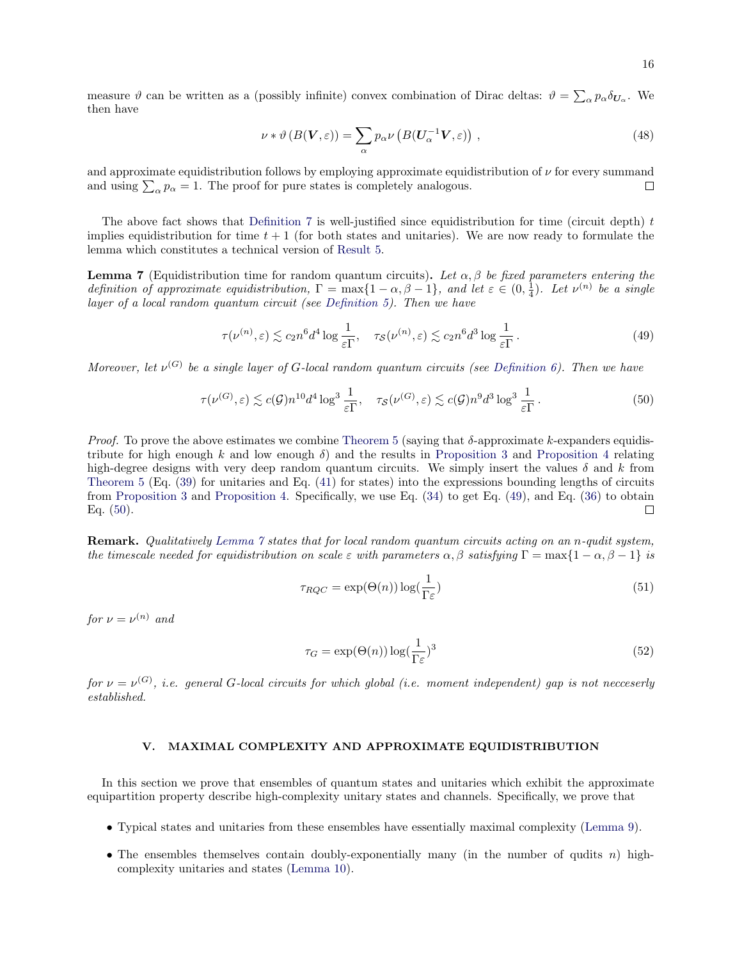measure  $\vartheta$  can be written as a (possibly infinite) convex combination of Dirac deltas:  $\vartheta = \sum_{\alpha} p_{\alpha} \delta_{U_{\alpha}}$ . We then have

$$
\nu * \vartheta (B(\mathbf{V}, \varepsilon)) = \sum_{\alpha} p_{\alpha} \nu (B(\mathbf{U}_{\alpha}^{-1} \mathbf{V}, \varepsilon)), \qquad (48)
$$

and approximate equidistribution follows by employing approximate equidistribution of  $\nu$  for every summand and using  $\sum_{\alpha} p_{\alpha} = 1$ . The proof for pure states is completely analogous.  $\Box$ 

The above fact shows that [Definition 7](#page-14-0) is well-justified since equidistribution for time (circuit depth) t implies equidistribution for time  $t + 1$  (for both states and unitaries). We are now ready to formulate the lemma which constitutes a technical version of [Result 5.](#page-6-2)

<span id="page-15-2"></span>**Lemma 7** (Equidistribution time for random quantum circuits). Let  $\alpha, \beta$  be fixed parameters entering the definition of approximate equidistribution,  $\Gamma = \max\{1 - \alpha, \beta - 1\}$ , and let  $\varepsilon \in (0, \frac{1}{4})$ . Let  $\nu^{(n)}$  be a single layer of a local random quantum circuit (see [Definition 5\)](#page-12-2). Then we have

<span id="page-15-1"></span>
$$
\tau(\nu^{(n)}, \varepsilon) \lesssim c_2 n^6 d^4 \log \frac{1}{\varepsilon \Gamma}, \quad \tau_{\mathcal{S}}(\nu^{(n)}, \varepsilon) \lesssim c_2 n^6 d^3 \log \frac{1}{\varepsilon \Gamma} \,. \tag{49}
$$

Moreover, let  $\nu^{(G)}$  be a single layer of G-local random quantum circuits (see [Definition 6\)](#page-12-3). Then we have

$$
\tau(\nu^{(G)}, \varepsilon) \lesssim c(\mathcal{G}) n^{10} d^4 \log^3 \frac{1}{\varepsilon \Gamma}, \quad \tau_{\mathcal{S}}(\nu^{(G)}, \varepsilon) \lesssim c(\mathcal{G}) n^9 d^3 \log^3 \frac{1}{\varepsilon \Gamma}.
$$
 (50)

*Proof.* To prove the above estimates we combine [Theorem 5](#page-13-1) (saying that  $\delta$ -approximate k-expanders equidistribute for high enough k and low enough  $\delta$ ) and the results in [Proposition 3](#page-12-0) and [Proposition 4](#page-13-2) relating high-degree designs with very deep random quantum circuits. We simply insert the values  $\delta$  and k from [Theorem 5](#page-13-1) (Eq. [\(39\)](#page-13-3) for unitaries and Eq. [\(41\)](#page-14-1) for states) into the expressions bounding lengths of circuits from [Proposition 3](#page-12-0) and [Proposition 4.](#page-13-2) Specifically, we use Eq. [\(34\)](#page-12-4) to get Eq. [\(49\)](#page-15-1), and Eq. [\(36\)](#page-13-4) to obtain Eq.  $(50)$ .  $\Box$ 

Remark. Qualitatively [Lemma 7](#page-15-2) states that for local random quantum circuits acting on an n-qudit system, the timescale needed for equidistribution on scale  $\varepsilon$  with parameters  $\alpha, \beta$  satisfying  $\Gamma = \max\{1 - \alpha, \beta - 1\}$  is

<span id="page-15-3"></span>
$$
\tau_{RQC} = \exp(\Theta(n)) \log(\frac{1}{\Gamma \varepsilon}) \tag{51}
$$

for  $\nu = \nu^{(n)}$  and

$$
\tau_G = \exp(\Theta(n)) \log(\frac{1}{\Gamma \varepsilon})^3 \tag{52}
$$

for  $\nu = \nu^{(G)}$ , i.e. general G-local circuits for which global (i.e. moment independent) gap is not necceserly established.

### <span id="page-15-0"></span>V. MAXIMAL COMPLEXITY AND APPROXIMATE EQUIDISTRIBUTION

In this section we prove that ensembles of quantum states and unitaries which exhibit the approximate equipartition property describe high-complexity unitary states and channels. Specifically, we prove that

- Typical states and unitaries from these ensembles have essentially maximal complexity [\(Lemma 9\)](#page-16-1).
- The ensembles themselves contain doubly-exponentially many (in the number of qudits  $n$ ) highcomplexity unitaries and states [\(Lemma 10\)](#page-17-0).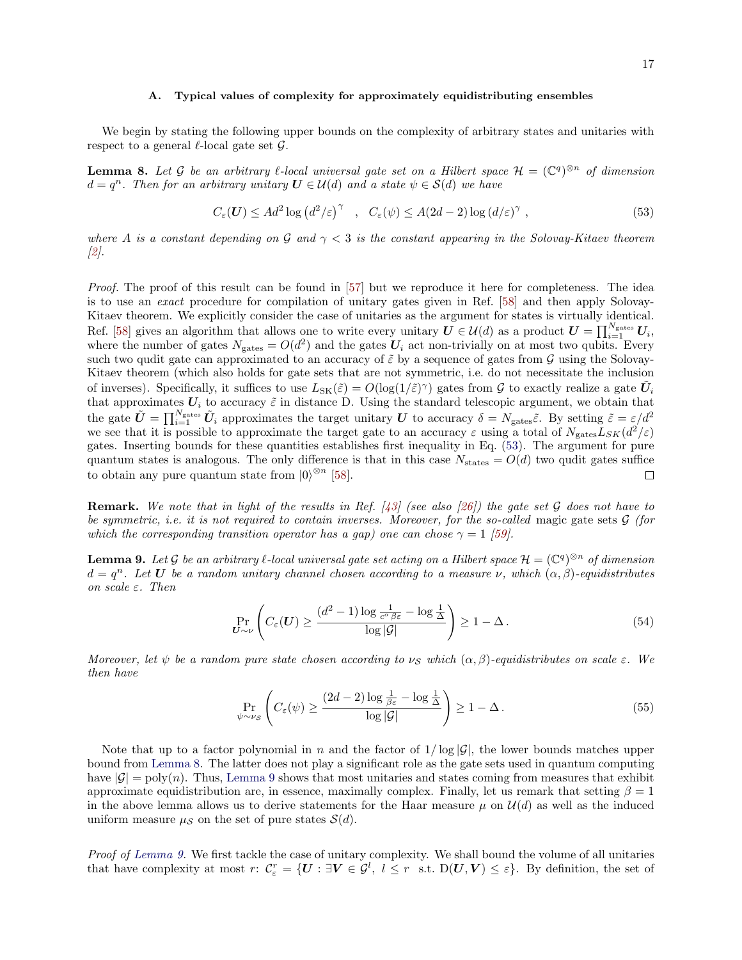#### A. Typical values of complexity for approximately equidistributing ensembles

We begin by stating the following upper bounds on the complexity of arbitrary states and unitaries with respect to a general  $\ell$ -local gate set  $\mathcal{G}$ .

<span id="page-16-0"></span>**Lemma 8.** Let G be an arbitrary  $\ell$ -local universal gate set on a Hilbert space  $\mathcal{H} = (\mathbb{C}^q)^{\otimes n}$  of dimension  $d = q^n$ . Then for an arbitrary unitary  $U \in \mathcal{U}(d)$  and a state  $\psi \in \mathcal{S}(d)$  we have

<span id="page-16-2"></span>
$$
C_{\varepsilon}(U) \le Ad^2 \log \left( d^2/\varepsilon \right)^\gamma \quad , \quad C_{\varepsilon}(\psi) \le A(2d-2) \log \left( d/\varepsilon \right)^\gamma \,, \tag{53}
$$

where A is a constant depending on G and  $\gamma < 3$  is the constant appearing in the Solovay-Kitaev theorem [\[2\]](#page-44-1).

Proof. The proof of this result can be found in [\[57\]](#page-46-6) but we reproduce it here for completeness. The idea is to use an exact procedure for compilation of unitary gates given in Ref. [\[58\]](#page-46-7) and then apply Solovay-Kitaev theorem. We explicitly consider the case of unitaries as the argument for states is virtually identical. Ref. [\[58\]](#page-46-7) gives an algorithm that allows one to write every unitary  $U \in \mathcal{U}(d)$  as a product  $U = \prod_{i=1}^{N_{\text{gates}}} U_i$ , where the number of gates  $N_{\text{gates}} = O(d^2)$  and the gates  $U_i$  act non-trivially on at most two qubits. Every such two qudit gate can approximated to an accuracy of  $\tilde{\varepsilon}$  by a sequence of gates from  $\mathcal G$  using the Solovay-Kitaev theorem (which also holds for gate sets that are not symmetric, i.e. do not necessitate the inclusion of inverses). Specifically, it suffices to use  $L_{SK}(\tilde{\varepsilon}) = O(\log(1/\tilde{\varepsilon})^{\gamma})$  gates from G to exactly realize a gate  $\tilde{U}_i$ that approximates  $U_i$  to accuracy  $\tilde{\varepsilon}$  in distance D. Using the standard telescopic argument, we obtain that the gate  $\tilde{U} = \prod_{i=1}^{N_{\text{gates}}} \tilde{U}_i$  approximates the target unitary U to accuracy  $\delta = N_{\text{gates}} \tilde{\varepsilon}$ . By setting  $\tilde{\varepsilon} = \varepsilon/d^2$ we see that it is possible to approximate the target gate to an accuracy  $\varepsilon$  using a total of  $N_{\text{gates}}L_{SK}(d^2/\varepsilon)$ gates. Inserting bounds for these quantities establishes first inequality in Eq. [\(53\)](#page-16-2). The argument for pure quantum states is analogous. The only difference is that in this case  $N_{\text{states}} = O(d)$  two qudit gates suffice to obtain any pure quantum state from  $|0\rangle^{\otimes n}$  [\[58\]](#page-46-7).

**Remark.** We note that in light of the results in Ref.  $[43]$  (see also [\[26\]](#page-45-3)) the gate set G does not have to be symmetric, i.e. it is not required to contain inverses. Moreover, for the so-called magic gate sets  $\mathcal G$  (for which the corresponding transition operator has a gap) one can chose  $\gamma = 1$  [\[59\]](#page-46-8).

<span id="page-16-1"></span>**Lemma 9.** Let G be an arbitrary  $\ell$ -local universal gate set acting on a Hilbert space  $\mathcal{H} = (\mathbb{C}^q)^{\otimes n}$  of dimension  $d = q^n$ . Let  $\bm{U}$  be a random unitary channel chosen according to a measure  $\nu$ , which  $(\alpha, \beta)$ -equidistributes on scale  $\varepsilon$ . Then

$$
\Pr_{\boldsymbol{U} \sim \nu} \left( C_{\varepsilon}(\boldsymbol{U}) \ge \frac{(d^2 - 1) \log \frac{1}{c^{\circ} \beta \varepsilon} - \log \frac{1}{\Delta}}{\log |\mathcal{G}|} \right) \ge 1 - \Delta. \tag{54}
$$

Moreover, let  $\psi$  be a random pure state chosen according to  $\nu_S$  which  $(\alpha, \beta)$ -equidistributes on scale  $\varepsilon$ . We then have

$$
\Pr_{\psi \sim \nu_{\mathcal{S}}} \left( C_{\varepsilon}(\psi) \ge \frac{(2d-2) \log \frac{1}{\beta \varepsilon} - \log \frac{1}{\Delta}}{\log |\mathcal{G}|} \right) \ge 1 - \Delta. \tag{55}
$$

Note that up to a factor polynomial in n and the factor of  $1/\log |\mathcal{G}|$ , the lower bounds matches upper bound from [Lemma 8.](#page-16-0) The latter does not play a significant role as the gate sets used in quantum computing have  $|\mathcal{G}| = \text{poly}(n)$ . Thus, [Lemma 9](#page-16-1) shows that most unitaries and states coming from measures that exhibit approximate equidistribution are, in essence, maximally complex. Finally, let us remark that setting  $\beta = 1$ in the above lemma allows us to derive statements for the Haar measure  $\mu$  on  $\mathcal{U}(d)$  as well as the induced uniform measure  $\mu_{\mathcal{S}}$  on the set of pure states  $\mathcal{S}(d)$ .

Proof of [Lemma 9.](#page-16-1) We first tackle the case of unitary complexity. We shall bound the volume of all unitaries that have complexity at most  $r: \mathcal{C}_{\varepsilon}^r = \{ \mathbf{U} : \exists \mathbf{V} \in \mathcal{G}^l, l \leq r \text{ s.t. } D(\mathbf{U}, \mathbf{V}) \leq \varepsilon \}.$  By definition, the set of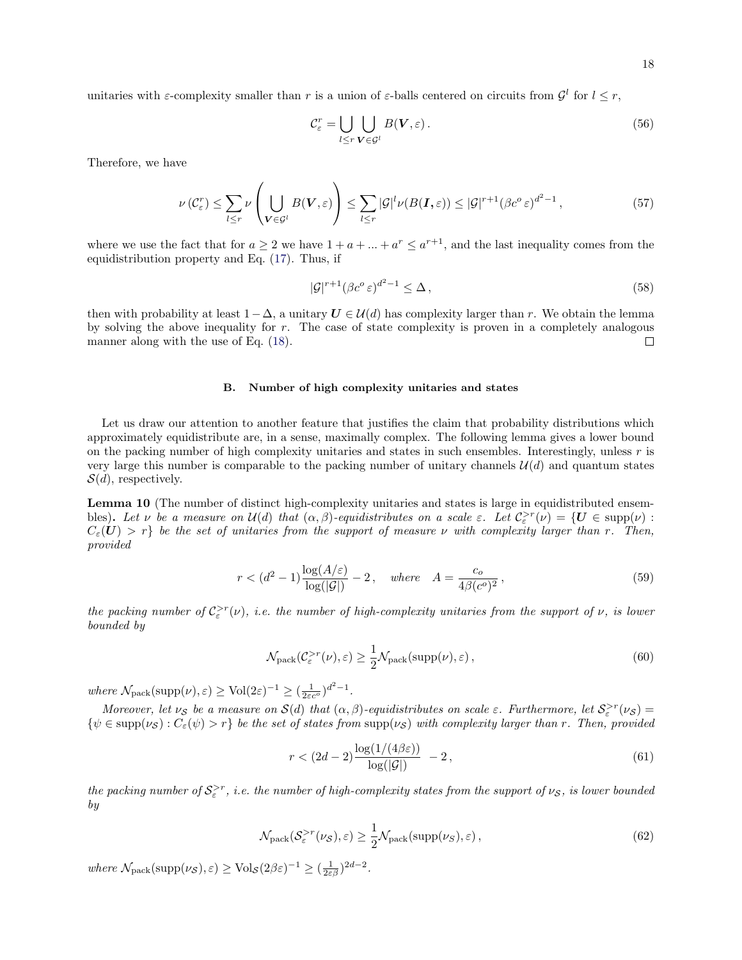unitaries with  $\varepsilon$ -complexity smaller than r is a union of  $\varepsilon$ -balls centered on circuits from  $\mathcal{G}^l$  for  $l \leq r$ ,

$$
\mathcal{C}_{\varepsilon}^{r} = \bigcup_{l \leq r} \bigcup_{\mathbf{V} \in \mathcal{G}^{l}} B(\mathbf{V}, \varepsilon).
$$
\n(56)

Therefore, we have

<span id="page-17-1"></span>
$$
\nu(C_{\varepsilon}^{r}) \leq \sum_{l \leq r} \nu\left(\bigcup_{\mathbf{V} \in \mathcal{G}^{l}} B(\mathbf{V}, \varepsilon)\right) \leq \sum_{l \leq r} |\mathcal{G}|^{l} \nu(B(\mathbf{I}, \varepsilon)) \leq |\mathcal{G}|^{r+1} (\beta c^{\circ} \varepsilon)^{d^{2}-1},\tag{57}
$$

where we use the fact that for  $a \geq 2$  we have  $1 + a + \ldots + a^r \leq a^{r+1}$ , and the last inequality comes from the equidistribution property and Eq. [\(17\)](#page-9-1). Thus, if

$$
|\mathcal{G}|^{r+1} (\beta c^o \varepsilon)^{d^2 - 1} \le \Delta \,,\tag{58}
$$

then with probability at least  $1-\Delta$ , a unitary  $U \in \mathcal{U}(d)$  has complexity larger than r. We obtain the lemma by solving the above inequality for r. The case of state complexity is proven in a completely analogous manner along with the use of Eq.  $(18)$ .  $\Box$ 

# B. Number of high complexity unitaries and states

Let us draw our attention to another feature that justifies the claim that probability distributions which approximately equidistribute are, in a sense, maximally complex. The following lemma gives a lower bound on the packing number of high complexity unitaries and states in such ensembles. Interestingly, unless  $r$  is very large this number is comparable to the packing number of unitary channels  $\mathcal{U}(d)$  and quantum states  $S(d)$ , respectively.

<span id="page-17-0"></span>Lemma 10 (The number of distinct high-complexity unitaries and states is large in equidistributed ensembles). Let  $\nu$  be a measure on  $\mathcal{U}(d)$  that  $(\alpha, \beta)$ -equidistributes on a scale  $\varepsilon$ . Let  $\mathcal{C}_{\varepsilon}^{>r}(\nu) = \{U \in \text{supp}(\nu) :$  $C_{\varepsilon}(\mathbf{U}) > r$  be the set of unitaries from the support of measure v with complexity larger than r. Then, provided

<span id="page-17-2"></span>
$$
r < (d^2 - 1)\frac{\log(A/\varepsilon)}{\log(|\mathcal{G}|)} - 2\,, \quad \text{where} \quad A = \frac{c_o}{4\beta(c^o)^2}\,,\tag{59}
$$

the packing number of  $C_{\varepsilon}^{>r}(\nu)$ , i.e. the number of high-complexity unitaries from the support of  $\nu$ , is lower bounded by

$$
\mathcal{N}_{\text{pack}}(\mathcal{C}_{\varepsilon}^{>r}(\nu), \varepsilon) \ge \frac{1}{2} \mathcal{N}_{\text{pack}}(\text{supp}(\nu), \varepsilon), \qquad (60)
$$

where  $\mathcal{N}_{\text{pack}}(\text{supp}(\nu), \varepsilon) \geq \text{Vol}(2\varepsilon)^{-1} \geq (\frac{1}{2\varepsilon c^{\sigma}})^{d^2-1}.$ 

Moreover, let  $\nu_S$  be a measure on  $S(d)$  that  $(\alpha, \beta)$ -equidistributes on scale  $\varepsilon$ . Furthermore, let  $S_\varepsilon^{>r}(\nu_S)$  =  $\{\psi \in \text{supp}(\nu_{\mathcal{S}}): C_{\varepsilon}(\psi) > r\}$  be the set of states from  $\text{supp}(\nu_{\mathcal{S}})$  with complexity larger than r. Then, provided

$$
r < (2d - 2) \frac{\log(1/(4\beta \varepsilon))}{\log(|\mathcal{G}|)} - 2\,,\tag{61}
$$

the packing number of  $S^{>r}_\varepsilon$ , i.e. the number of high-complexity states from the support of  $\nu_{\mathcal{S}}$ , is lower bounded by

$$
\mathcal{N}_{\text{pack}}(\mathcal{S}_{\varepsilon}^{>r}(\nu_{\mathcal{S}}), \varepsilon) \ge \frac{1}{2} \mathcal{N}_{\text{pack}}(\text{supp}(\nu_{\mathcal{S}}), \varepsilon), \tag{62}
$$

where  $\mathcal{N}_{\text{pack}}(\text{supp}(\nu_{\mathcal{S}}), \varepsilon) \geq \text{Vol}_{\mathcal{S}}(2\beta \varepsilon)^{-1} \geq (\frac{1}{2\varepsilon\beta})^{2d-2}$ .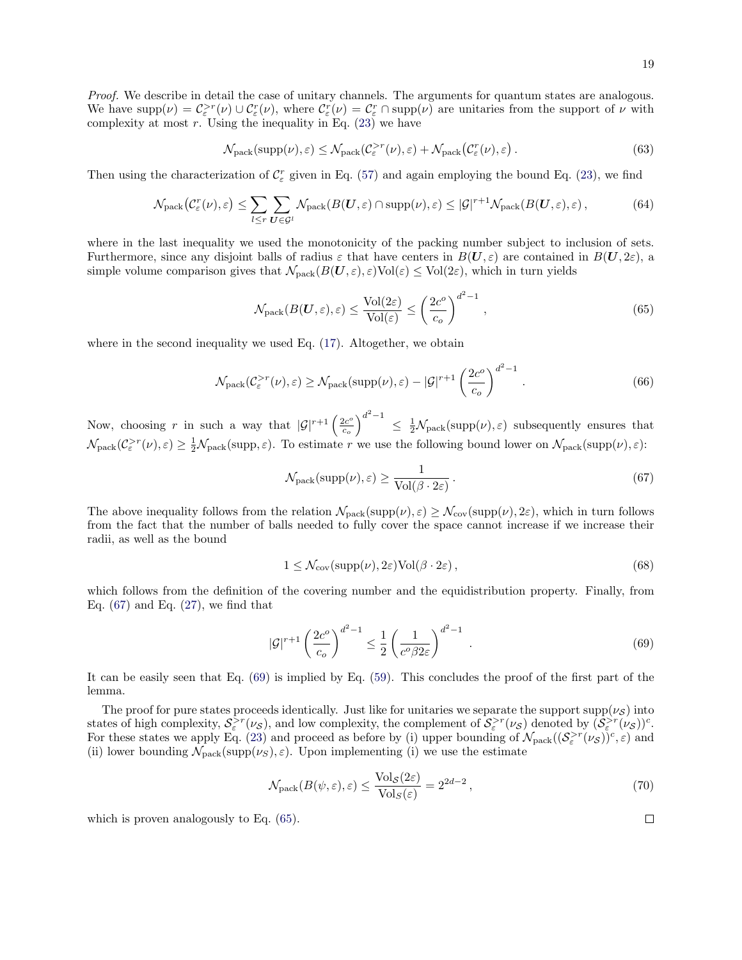$$
\mathcal{N}_{\text{pack}}(\text{supp}(\nu), \varepsilon) \le \mathcal{N}_{\text{pack}}(\mathcal{C}_{\varepsilon}^{>r}(\nu), \varepsilon) + \mathcal{N}_{\text{pack}}(\mathcal{C}_{\varepsilon}^{r}(\nu), \varepsilon).
$$
\n(63)

Then using the characterization of  $C_{\varepsilon}$  given in Eq. [\(57\)](#page-17-1) and again employing the bound Eq. [\(23\)](#page-10-1), we find

$$
\mathcal{N}_{\text{pack}}(\mathcal{C}_{\varepsilon}^r(\nu), \varepsilon) \le \sum_{l \le r} \sum_{U \in \mathcal{G}^l} \mathcal{N}_{\text{pack}}(B(U, \varepsilon) \cap \text{supp}(\nu), \varepsilon) \le |\mathcal{G}|^{r+1} \mathcal{N}_{\text{pack}}(B(U, \varepsilon), \varepsilon), \tag{64}
$$

where in the last inequality we used the monotonicity of the packing number subject to inclusion of sets. Furthermore, since any disjoint balls of radius  $\varepsilon$  that have centers in  $B(U, \varepsilon)$  are contained in  $B(U, 2\varepsilon)$ , a simple volume comparison gives that  $\mathcal{N}_{\text{pack}}(B(U, \varepsilon), \varepsilon) \text{Vol}(\varepsilon) \leq \text{Vol}(2\varepsilon)$ , which in turn yields

<span id="page-18-2"></span>
$$
\mathcal{N}_{\text{pack}}(B(\mathbf{U}, \varepsilon), \varepsilon) \le \frac{\text{Vol}(2\varepsilon)}{\text{Vol}(\varepsilon)} \le \left(\frac{2c^o}{c_o}\right)^{d^2 - 1},\tag{65}
$$

where in the second inequality we used Eq.  $(17)$ . Altogether, we obtain

$$
\mathcal{N}_{\text{pack}}(\mathcal{C}_{\varepsilon}^{>r}(\nu), \varepsilon) \ge \mathcal{N}_{\text{pack}}(\text{supp}(\nu), \varepsilon) - |\mathcal{G}|^{r+1} \left(\frac{2c^o}{c_o}\right)^{d^2 - 1}.
$$
\n(66)

Now, choosing r in such a way that  $|\mathcal{G}|^{r+1} \left( \frac{2c^{\circ}}{c} \right)$  $\left(\frac{2c^o}{c_o}\right)^{d^2-1} \leq \frac{1}{2} \mathcal{N}_{\text{pack}}(\text{supp}(\nu), \varepsilon)$  subsequently ensures that  $\mathcal{N}_{\text{pack}}(\mathcal{C}_{\varepsilon}^{>r}(\nu), \varepsilon) \geq \frac{1}{2} \mathcal{N}_{\text{pack}}(\text{supp}, \varepsilon).$  To estimate r we use the following bound lower on  $\mathcal{N}_{\text{pack}}(\text{supp}(\nu), \varepsilon)$ :

<span id="page-18-0"></span>
$$
\mathcal{N}_{\text{pack}}(\text{supp}(\nu), \varepsilon) \ge \frac{1}{\text{Vol}(\beta \cdot 2\varepsilon)}\,. \tag{67}
$$

The above inequality follows from the relation  $\mathcal{N}_{\text{pack}}(\text{supp}(\nu), \varepsilon) \geq \mathcal{N}_{\text{cov}}(\text{supp}(\nu), 2\varepsilon)$ , which in turn follows from the fact that the number of balls needed to fully cover the space cannot increase if we increase their radii, as well as the bound

$$
1 \le \mathcal{N}_{cov}(\text{supp}(\nu), 2\varepsilon) \text{Vol}(\beta \cdot 2\varepsilon), \tag{68}
$$

which follows from the definition of the covering number and the equidistribution property. Finally, from Eq.  $(67)$  and Eq.  $(27)$ , we find that

<span id="page-18-1"></span>
$$
|\mathcal{G}|^{r+1} \left(\frac{2c^o}{c_o}\right)^{d^2-1} \le \frac{1}{2} \left(\frac{1}{c^o \beta 2\varepsilon}\right)^{d^2-1} . \tag{69}
$$

It can be easily seen that Eq. [\(69\)](#page-18-1) is implied by Eq. [\(59\)](#page-17-2). This concludes the proof of the first part of the lemma.

The proof for pure states proceeds identically. Just like for unitaries we separate the support supp( $\nu_s$ ) into states of high complexity,  $S_{\varepsilon}^{>r}(\nu_{\mathcal{S}})$ , and low complexity, the complement of  $S_{\varepsilon}^{>r}(\nu_{\mathcal{S}})$  denoted by  $(S_{\varepsilon}^{>r}(\nu_{\mathcal{S}}))^c$ . For these states we apply Eq. [\(23\)](#page-10-1) and proceed as before by (i) upper bounding of  $\mathcal{N}_{\text{pack}}((\mathcal{S}_{\varepsilon}^{>r}(\nu_{\mathcal{S}}))^c, \varepsilon)$  and (ii) lower bounding  $\mathcal{N}_{\text{pack}}(\text{supp}(\nu_S), \varepsilon)$ . Upon implementing (i) we use the estimate

$$
\mathcal{N}_{\text{pack}}(B(\psi,\varepsilon),\varepsilon) \le \frac{\text{Vol}_{\mathcal{S}}(2\varepsilon)}{\text{Vol}_{\mathcal{S}}(\varepsilon)} = 2^{2d-2},\tag{70}
$$

which is proven analogously to Eq. [\(65\)](#page-18-2).

 $\Box$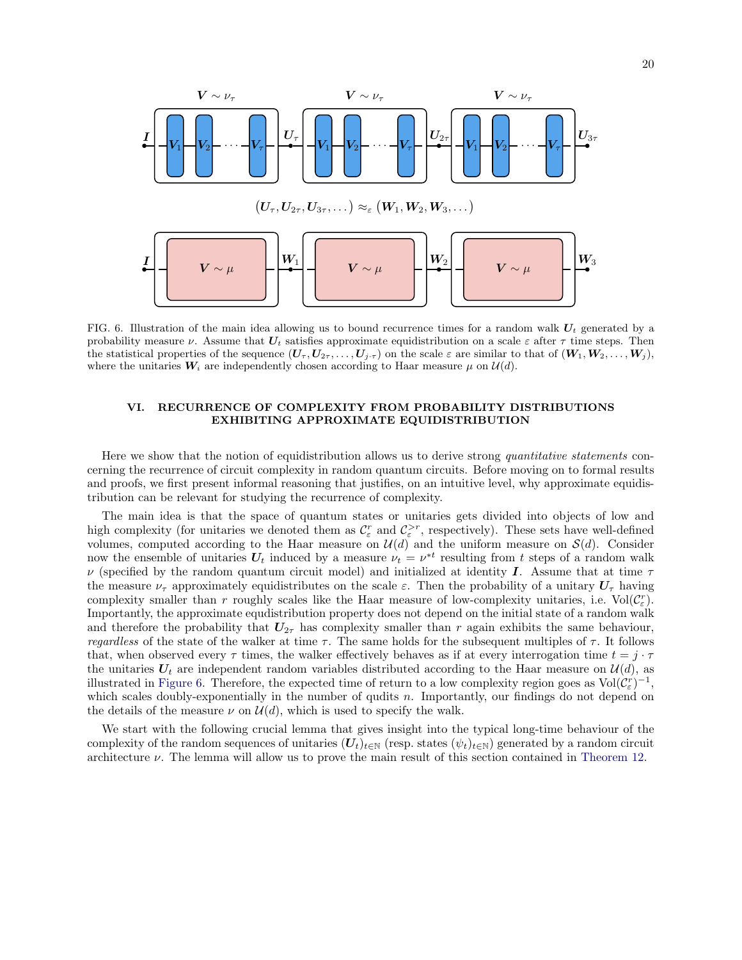

<span id="page-19-1"></span>FIG. 6. Illustration of the main idea allowing us to bound recurrence times for a random walk  $U_t$  generated by a probability measure  $\nu$ . Assume that  $U_t$  satisfies approximate equidistribution on a scale  $\varepsilon$  after  $\tau$  time steps. Then the statistical properties of the sequence  $(U_\tau, U_{2\tau}, \ldots, U_{j\tau})$  on the scale  $\varepsilon$  are similar to that of  $(W_1, W_2, \ldots, W_j)$ , where the unitaries  $W_i$  are independently chosen according to Haar measure  $\mu$  on  $\mathcal{U}(d)$ .

# <span id="page-19-0"></span>VI. RECURRENCE OF COMPLEXITY FROM PROBABILITY DISTRIBUTIONS EXHIBITING APPROXIMATE EQUIDISTRIBUTION

Here we show that the notion of equidistribution allows us to derive strong quantitative statements concerning the recurrence of circuit complexity in random quantum circuits. Before moving on to formal results and proofs, we first present informal reasoning that justifies, on an intuitive level, why approximate equidistribution can be relevant for studying the recurrence of complexity.

The main idea is that the space of quantum states or unitaries gets divided into objects of low and high complexity (for unitaries we denoted them as  $\mathcal{C}_{\varepsilon}^r$  and  $\mathcal{C}_{\varepsilon}^{>r}$ , respectively). These sets have well-defined volumes, computed according to the Haar measure on  $\mathcal{U}(d)$  and the uniform measure on  $\mathcal{S}(d)$ . Consider now the ensemble of unitaries  $U_t$  induced by a measure  $\nu_t = \nu^{*t}$  resulting from t steps of a random walk  $\nu$  (specified by the random quantum circuit model) and initialized at identity I. Assume that at time  $\tau$ the measure  $\nu_{\tau}$  approximately equidistributes on the scale  $\varepsilon$ . Then the probability of a unitary  $U_{\tau}$  having complexity smaller than r roughly scales like the Haar measure of low-complexity unitaries, i.e.  $\text{Vol}(\mathcal{C}_{\varepsilon}^r)$ . Importantly, the approximate equdistribution property does not depend on the initial state of a random walk and therefore the probability that  $U_{2\tau}$  has complexity smaller than r again exhibits the same behaviour, regardless of the state of the walker at time  $\tau$ . The same holds for the subsequent multiples of  $\tau$ . It follows that, when observed every  $\tau$  times, the walker effectively behaves as if at every interrogation time  $t = j \cdot \tau$ the unitaries  $U_t$  are independent random variables distributed according to the Haar measure on  $\mathcal{U}(d)$ , as illustrated in [Figure 6.](#page-19-1) Therefore, the expected time of return to a low complexity region goes as  $Vol(\mathcal{C}_{\varepsilon}^r)^{-1}$ , which scales doubly-exponentially in the number of qudits n. Importantly, our findings do not depend on the details of the measure  $\nu$  on  $\mathcal{U}(d)$ , which is used to specify the walk.

We start with the following crucial lemma that gives insight into the typical long-time behaviour of the complexity of the random sequences of unitaries  $(U_t)_{t\in\mathbb{N}}$  (resp. states  $(\psi_t)_{t\in\mathbb{N}}$ ) generated by a random circuit architecture  $\nu$ . The lemma will allow us to prove the main result of this section contained in [Theorem 12.](#page-21-0)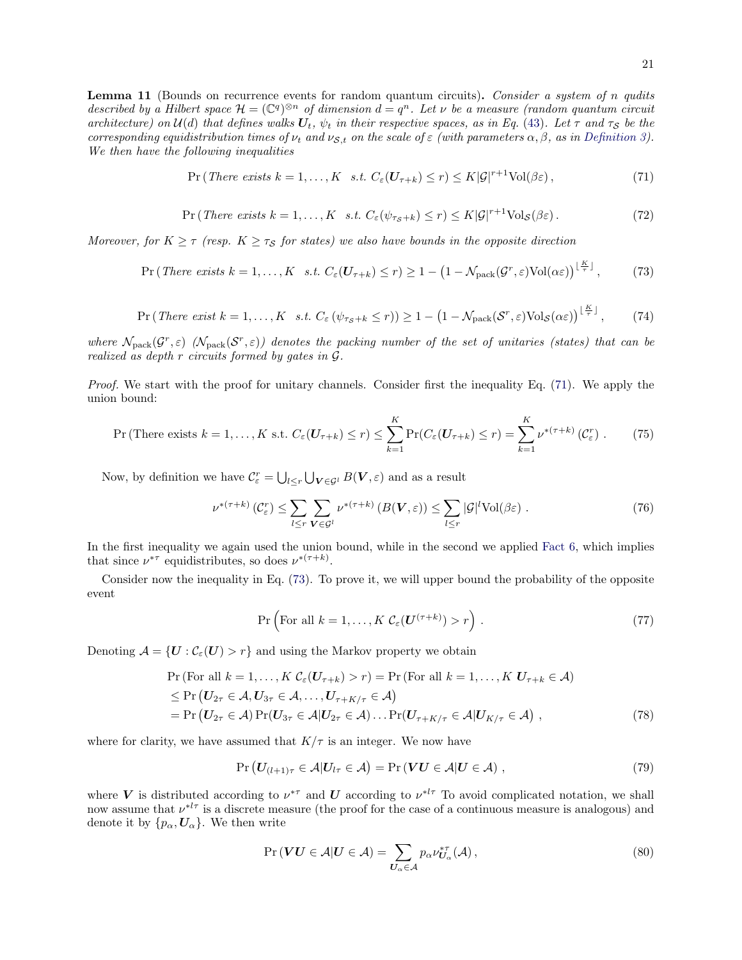<span id="page-20-4"></span>Lemma 11 (Bounds on recurrence events for random quantum circuits). Consider a system of n qudits described by a Hilbert space  $\mathcal{H} = (\mathbb{C}^q)^{\otimes n}$  of dimension  $d = q^n$ . Let v be a measure (random quantum circuit architecture) on  $U(d)$  that defines walks  $U_t$ ,  $\psi_t$  in their respective spaces, as in Eq. [\(43\)](#page-14-2). Let  $\tau$  and  $\tau_S$  be the corresponding equidistribution times of  $\nu_t$  and  $\nu_{S,t}$  on the scale of  $\varepsilon$  (with parameters  $\alpha, \beta$ , as in [Definition 3\)](#page-4-1). We then have the following inequalities

<span id="page-20-0"></span>
$$
\Pr\left(\text{There exists } k=1,\ldots,K \quad s.t. \ C_{\varepsilon}(\mathbf{U}_{\tau+k}) \le r\right) \le K|\mathcal{G}|^{r+1}\text{Vol}(\beta\varepsilon),\tag{71}
$$

$$
\Pr\left(\text{There exists } k=1,\ldots,K \quad s.t. \ C_{\varepsilon}(\psi_{\tau_{\mathcal{S}}+k}) \leq r\right) \leq K|\mathcal{G}|^{r+1}\text{Vol}_{\mathcal{S}}(\beta\varepsilon). \tag{72}
$$

Moreover, for  $K \geq \tau$  (resp.  $K \geq \tau_s$  for states) we also have bounds in the opposite direction

<span id="page-20-1"></span>
$$
\Pr\left(\text{There exists }k=1,\ldots,K\quad s.t.\ C_{\varepsilon}(\boldsymbol{U}_{\tau+k})\leq r\right)\geq 1-\left(1-\mathcal{N}_{\text{pack}}(\mathcal{G}^r,\varepsilon)\text{Vol}(\alpha\varepsilon)\right)^{\lfloor\frac{K}{\tau}\rfloor},\tag{73}
$$

$$
\Pr\left(\text{There exist } k=1,\ldots,K \quad s.t. \ C_{\varepsilon} \left(\psi_{\tau_{\mathcal{S}}+k} \leq r\right)\right) \geq 1 - \left(1 - \mathcal{N}_{\text{pack}}(\mathcal{S}^r, \varepsilon) \text{Vol}_{\mathcal{S}}(\alpha \varepsilon)\right)^{\lfloor \frac{K}{\tau} \rfloor},\tag{74}
$$

where  $\mathcal{N}_{\text{pack}}(\mathcal{G}^r, \varepsilon)$  ( $\mathcal{N}_{\text{pack}}(\mathcal{S}^r, \varepsilon)$ ) denotes the packing number of the set of unitaries (states) that can be realized as depth r circuits formed by gates in G.

Proof. We start with the proof for unitary channels. Consider first the inequality Eq. [\(71\)](#page-20-0). We apply the union bound:

$$
\Pr\left(\text{There exists }k=1,\ldots,K\text{ s.t. }C_{\varepsilon}(U_{\tau+k})\leq r\right)\leq \sum_{k=1}^{K}\Pr(C_{\varepsilon}(U_{\tau+k})\leq r)=\sum_{k=1}^{K}\nu^{*(\tau+k)}\left(\mathcal{C}_{\varepsilon}^{r}\right). \tag{75}
$$

Now, by definition we have  $\mathcal{C}_{\varepsilon}^r = \bigcup_{l \leq r} \bigcup_{V \in \mathcal{G}^l} B(V, \varepsilon)$  and as a result

$$
\nu^{*(\tau+k)}\left(\mathcal{C}_{\varepsilon}^{r}\right) \leq \sum_{l \leq r} \sum_{\mathbf{V} \in \mathcal{G}^{l}} \nu^{*(\tau+k)}\left(B(\mathbf{V}, \varepsilon)\right) \leq \sum_{l \leq r} |\mathcal{G}|^{l} \text{Vol}(\beta \varepsilon) . \tag{76}
$$

In the first inequality we again used the union bound, while in the second we applied [Fact 6,](#page-14-3) which implies that since  $\nu^{*\tau}$  equidistributes, so does  $\nu^{*(\tau+k)}$ .

Consider now the inequality in Eq. [\(73\)](#page-20-1). To prove it, we will upper bound the probability of the opposite event

$$
\Pr\left(\text{For all } k = 1, \dots, K \ \mathcal{C}_{\varepsilon}(\mathbf{U}^{(\tau+k)}) > r\right). \tag{77}
$$

Denoting  $\mathcal{A} = \{U : \mathcal{C}_{\varepsilon}(U) > r\}$  and using the Markov property we obtain

$$
\Pr(\text{For all } k = 1, ..., K \ C_{\varepsilon}(U_{\tau+k}) > r) = \Pr(\text{For all } k = 1, ..., K \ U_{\tau+k} \in \mathcal{A})
$$
\n
$$
\leq \Pr(U_{2\tau} \in \mathcal{A}, U_{3\tau} \in \mathcal{A}, ..., U_{\tau+K/\tau} \in \mathcal{A})
$$
\n
$$
= \Pr(U_{2\tau} \in \mathcal{A}) \Pr(U_{3\tau} \in \mathcal{A} | U_{2\tau} \in \mathcal{A}) ... \Pr(U_{\tau+K/\tau} \in \mathcal{A} | U_{K/\tau} \in \mathcal{A}), \tag{78}
$$

where for clarity, we have assumed that  $K/\tau$  is an integer. We now have

$$
\Pr\left(\boldsymbol{U}_{(l+1)\tau} \in \mathcal{A} | \boldsymbol{U}_{l\tau} \in \mathcal{A}\right) = \Pr\left(\boldsymbol{V}\boldsymbol{U} \in \mathcal{A} | \boldsymbol{U} \in \mathcal{A}\right),\tag{79}
$$

where V is distributed according to  $\nu^{*\tau}$  and U according to  $\nu^{*\ell\tau}$  To avoid complicated notation, we shall now assume that  $v^{*l\tau}$  is a discrete measure (the proof for the case of a continuous measure is analogous) and denote it by  $\{p_{\alpha}, \mathbf{U}_{\alpha}\}\$ . We then write

<span id="page-20-3"></span><span id="page-20-2"></span>
$$
\Pr\left(\mathbf{V}\mathbf{U}\in\mathcal{A}\middle|\mathbf{U}\in\mathcal{A}\right)=\sum_{\mathbf{U}_{\alpha}\in\mathcal{A}}p_{\alpha}\nu_{\mathbf{U}_{\alpha}}^{*\tau}(\mathcal{A}),\tag{80}
$$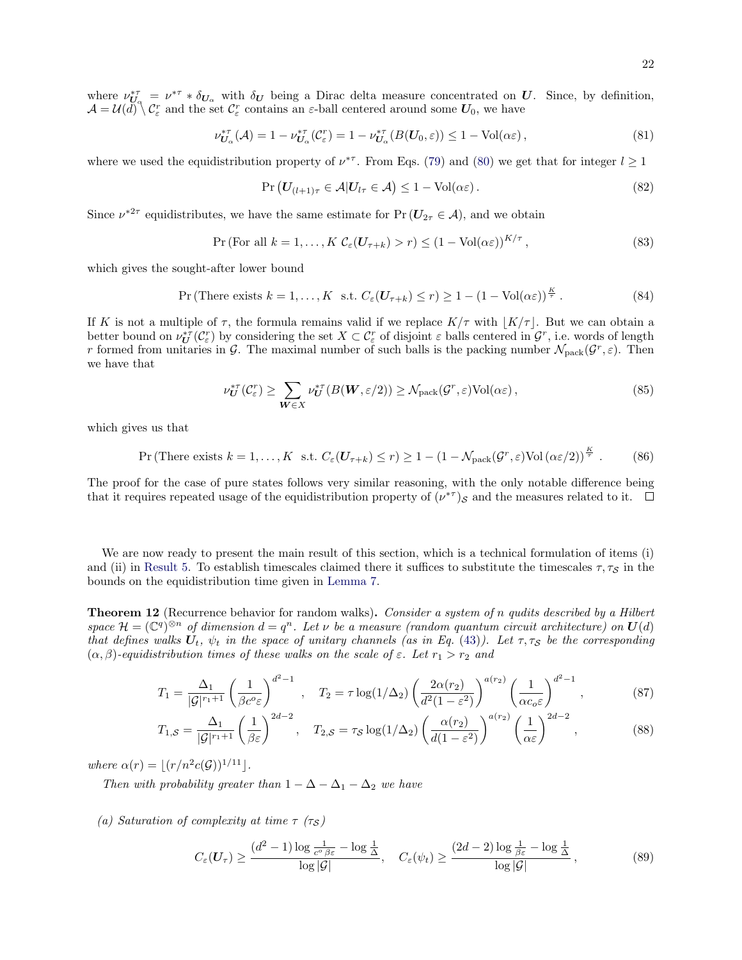where  $\nu_{U_{\alpha}}^{*\tau} = \nu^{*\tau} * \delta_{U_{\alpha}}$  with  $\delta_U$  being a Dirac delta measure concentrated on U. Since, by definition,  $\mathcal{A} = \mathcal{U}(\tilde{d}) \setminus \mathcal{C}_{\varepsilon}^r$  and the set  $\mathcal{C}_{\varepsilon}^r$  contains an  $\varepsilon$ -ball centered around some  $U_0$ , we have

$$
\nu_{\mathbf{U}_{\alpha}}^{*\tau}(\mathcal{A}) = 1 - \nu_{\mathbf{U}_{\alpha}}^{*\tau}(\mathcal{C}_{\varepsilon}^{r}) = 1 - \nu_{\mathbf{U}_{\alpha}}^{*\tau}(B(\mathbf{U}_{0}, \varepsilon)) \le 1 - \text{Vol}(\alpha \varepsilon), \tag{81}
$$

where we used the equidistribution property of  $\nu^{*\tau}$ . From Eqs. [\(79\)](#page-20-2) and [\(80\)](#page-20-3) we get that for integer  $l \geq 1$ 

$$
\Pr\left(\mathbf{U}_{(l+1)\tau} \in \mathcal{A} | \mathbf{U}_{l\tau} \in \mathcal{A}\right) \le 1 - \text{Vol}(\alpha \varepsilon). \tag{82}
$$

Since  $\nu^{*2\tau}$  equidistributes, we have the same estimate for  $Pr(\mathbf{U}_{2\tau} \in \mathcal{A})$ , and we obtain

$$
\Pr(\text{For all } k = 1, \dots, K \mathcal{C}_{\varepsilon}(\mathbf{U}_{\tau+k}) > r) \le (1 - \text{Vol}(\alpha \varepsilon))^{K/\tau},\tag{83}
$$

which gives the sought-after lower bound

$$
\Pr\left(\text{There exists }k=1,\ldots,K\text{ s.t. }C_{\varepsilon}(\mathbf{U}_{\tau+k})\leq r\right)\geq 1-(1-\text{Vol}(\alpha\varepsilon))^{\frac{K}{\tau}}.\tag{84}
$$

If K is not a multiple of  $\tau$ , the formula remains valid if we replace  $K/\tau$  with  $|K/\tau|$ . But we can obtain a better bound on  $\nu_{\boldsymbol{U}}^{*\tau}(\mathcal{C}_{\varepsilon}^r)$  by considering the set  $X \subset \mathcal{C}_{\varepsilon}^r$  of disjoint  $\varepsilon$  balls centered in  $\mathcal{G}^r$ , i.e. words of length r formed from unitaries in G. The maximal number of such balls is the packing number  $\mathcal{N}_{\text{pack}}(G^r, \varepsilon)$ . Then we have that

$$
\nu_{\boldsymbol{U}}^{*\tau}(\mathcal{C}_{\varepsilon}^{r}) \geq \sum_{\boldsymbol{W}\in X} \nu_{\boldsymbol{U}}^{*\tau}(B(\boldsymbol{W}, \varepsilon/2)) \geq \mathcal{N}_{\text{pack}}(\mathcal{G}^{r}, \varepsilon) \text{Vol}(\alpha \varepsilon), \tag{85}
$$

which gives us that

$$
\Pr\left(\text{There exists }k=1,\ldots,K\text{ s.t. }C_{\varepsilon}(\mathbf{U}_{\tau+k})\leq r\right)\geq 1-\left(1-\mathcal{N}_{\text{pack}}(\mathcal{G}^r,\varepsilon)\text{Vol}\left(\alpha\varepsilon/2\right)\right)^{\frac{K}{\tau}}.\tag{86}
$$

The proof for the case of pure states follows very similar reasoning, with the only notable difference being that it requires repeated usage of the equidistribution property of  $(\nu^* \tau)_s$  and the measures related to it.

We are now ready to present the main result of this section, which is a technical formulation of items (i) and (ii) in [Result 5.](#page-6-2) To establish timescales claimed there it suffices to substitute the timescales  $\tau, \tau_s$  in the bounds on the equidistribution time given in [Lemma 7.](#page-15-2)

<span id="page-21-0"></span>**Theorem 12** (Recurrence behavior for random walks). Consider a system of n qudits described by a Hilbert space  $\mathcal{H} = (\mathbb{C}^q)^{\otimes n}$  of dimension  $d = q^n$ . Let  $\nu$  be a measure (random quantum circuit architecture) on  $\mathbf{U}(d)$ that defines walks  $U_t$ ,  $\psi_t$  in the space of unitary channels (as in Eq. [\(43\)](#page-14-2)). Let  $\tau, \tau_S$  be the corresponding  $(\alpha, \beta)$ -equidistribution times of these walks on the scale of  $\varepsilon$ . Let  $r_1 > r_2$  and

$$
T_1 = \frac{\Delta_1}{|\mathcal{G}|^{r_1+1}} \left(\frac{1}{\beta c^o \varepsilon}\right)^{d^2-1}, \quad T_2 = \tau \log(1/\Delta_2) \left(\frac{2\alpha(r_2)}{d^2(1-\varepsilon^2)}\right)^{a(r_2)} \left(\frac{1}{\alpha c_o \varepsilon}\right)^{d^2-1},\tag{87}
$$

$$
T_{1,S} = \frac{\Delta_1}{|\mathcal{G}|^{r_1+1}} \left(\frac{1}{\beta \varepsilon}\right)^{2d-2}, \quad T_{2,S} = \tau_{\mathcal{S}} \log(1/\Delta_2) \left(\frac{\alpha(r_2)}{d(1-\varepsilon^2)}\right)^{a(r_2)} \left(\frac{1}{\alpha \varepsilon}\right)^{2d-2},\tag{88}
$$

where  $\alpha(r) = \lfloor (r/n^2 c(\mathcal{G}))^{1/11} \rfloor$ .

Then with probability greater than  $1 - \Delta - \Delta_1 - \Delta_2$  we have

(a) Saturation of complexity at time  $\tau$  ( $\tau_s$ )

<span id="page-21-1"></span>
$$
C_{\varepsilon}(U_{\tau}) \ge \frac{(d^2 - 1)\log\frac{1}{c^{\circ}\beta\varepsilon} - \log\frac{1}{\Delta}}{\log|\mathcal{G}|}, \quad C_{\varepsilon}(\psi_t) \ge \frac{(2d - 2)\log\frac{1}{\beta\varepsilon} - \log\frac{1}{\Delta}}{\log|\mathcal{G}|},
$$
(89)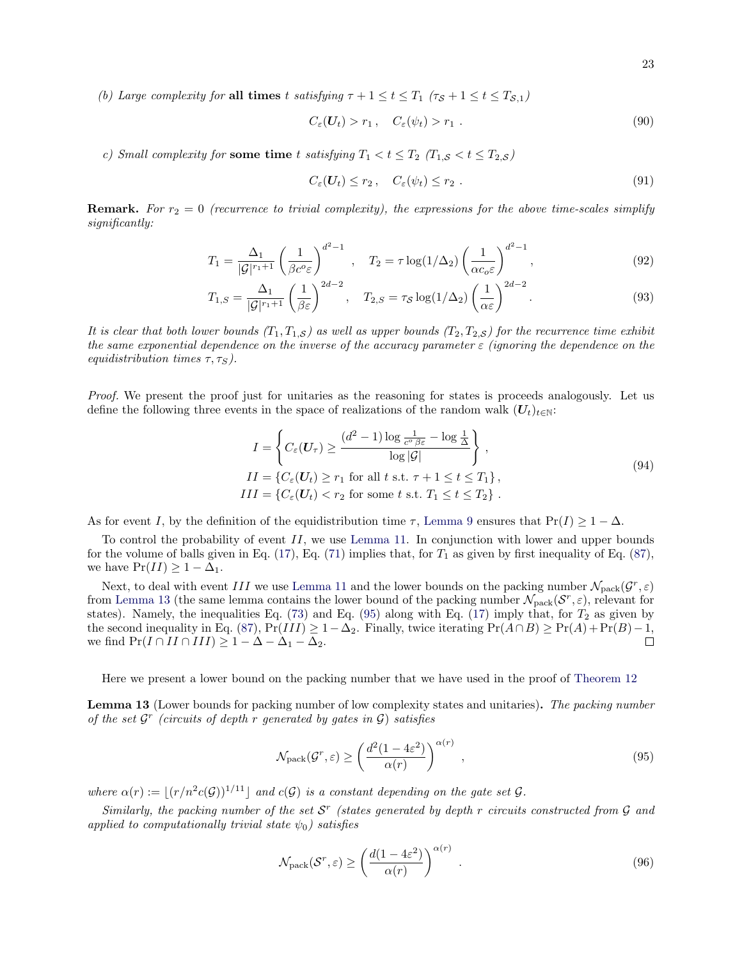(b) Large complexity for all times t satisfying  $\tau + 1 \le t \le T_1$  ( $\tau_s + 1 \le t \le T_{s,1}$ )

$$
C_{\varepsilon}(U_t) > r_1, \quad C_{\varepsilon}(\psi_t) > r_1. \tag{90}
$$

c) Small complexity for some time t satisfying  $T_1 < t \leq T_2$  ( $T_{1,S} < t \leq T_{2,S}$ )

$$
C_{\varepsilon}(U_t) \leq r_2 \,, \quad C_{\varepsilon}(\psi_t) \leq r_2 \,. \tag{91}
$$

**Remark.** For  $r_2 = 0$  (recurrence to trivial complexity), the expressions for the above time-scales simplify significantly:

$$
T_1 = \frac{\Delta_1}{|\mathcal{G}|^{r_1+1}} \left(\frac{1}{\beta c^o \varepsilon}\right)^{d^2-1}, \quad T_2 = \tau \log(1/\Delta_2) \left(\frac{1}{\alpha c_o \varepsilon}\right)^{d^2-1}, \tag{92}
$$

$$
T_{1,S} = \frac{\Delta_1}{|\mathcal{G}|^{r_1+1}} \left(\frac{1}{\beta \varepsilon}\right)^{2d-2}, \quad T_{2,S} = \tau_S \log(1/\Delta_2) \left(\frac{1}{\alpha \varepsilon}\right)^{2d-2}.
$$
 (93)

It is clear that both lower bounds  $(T_1, T_{1,S})$  as well as upper bounds  $(T_2, T_{2,S})$  for the recurrence time exhibit the same exponential dependence on the inverse of the accuracy parameter  $\varepsilon$  (ignoring the dependence on the equidistribution times  $\tau, \tau_S$ ).

Proof. We present the proof just for unitaries as the reasoning for states is proceeds analogously. Let us define the following three events in the space of realizations of the random walk  $(U_t)_{t\in\mathbb{N}}$ :

$$
I = \left\{ C_{\varepsilon}(U_{\tau}) \ge \frac{(d^2 - 1)\log \frac{1}{c^{\circ}\beta\varepsilon} - \log \frac{1}{\Delta}}{\log |\mathcal{G}|} \right\},
$$
  
\n
$$
II = \left\{ C_{\varepsilon}(U_t) \ge r_1 \text{ for all } t \text{ s.t. } \tau + 1 \le t \le T_1 \right\},
$$
  
\n
$$
III = \left\{ C_{\varepsilon}(U_t) < r_2 \text{ for some } t \text{ s.t. } T_1 \le t \le T_2 \right\}.
$$
\n
$$
(94)
$$

As for event I, by the definition of the equidistribution time  $\tau$ , [Lemma 9](#page-16-1) ensures that Pr(I)  $\geq 1 - \Delta$ .

To control the probability of event  $II$ , we use [Lemma 11.](#page-20-4) In conjunction with lower and upper bounds for the volume of balls given in Eq. [\(17\)](#page-9-1), Eq. [\(71\)](#page-20-0) implies that, for  $T_1$  as given by first inequality of Eq. [\(87\)](#page-21-1), we have  $Pr(II) \geq 1 - \Delta_1$ .

Next, to deal with event III we use [Lemma 11](#page-20-4) and the lower bounds on the packing number  $\mathcal{N}_{\text{pack}}(G^r, \varepsilon)$ from [Lemma 13](#page-22-0) (the same lemma contains the lower bound of the packing number  $\mathcal{N}_{\text{pack}}(\mathcal{S}^r, \varepsilon)$ , relevant for states). Namely, the inequalities Eq. [\(73\)](#page-20-1) and Eq. [\(95\)](#page-22-1) along with Eq. [\(17\)](#page-9-1) imply that, for  $T_2$  as given by the second inequality in Eq. [\(87\)](#page-21-1),  $Pr(III) \geq 1-\Delta_2$ . Finally, twice iterating  $Pr(A \cap B) \geq Pr(A) + Pr(B) - 1$ , we find  $Pr(I \cap III \cap III) \geq 1 - \Delta - \Delta_1 - \Delta_2$ .  $\Box$ 

Here we present a lower bound on the packing number that we have used in the proof of [Theorem 12](#page-21-0)

<span id="page-22-0"></span>Lemma 13 (Lower bounds for packing number of low complexity states and unitaries). The packing number of the set  $\mathcal{G}^r$  (circuits of depth r generated by gates in  $\mathcal{G}$ ) satisfies

<span id="page-22-1"></span>
$$
\mathcal{N}_{\text{pack}}(\mathcal{G}^r, \varepsilon) \ge \left(\frac{d^2(1 - 4\varepsilon^2)}{\alpha(r)}\right)^{\alpha(r)},\tag{95}
$$

where  $\alpha(r) := |(r/n^2 c(\mathcal{G}))^{1/11}|$  and  $c(\mathcal{G})$  is a constant depending on the gate set  $\mathcal{G}$ .

Similarly, the packing number of the set  $S<sup>r</sup>$  (states generated by depth r circuits constructed from  $G$  and applied to computationally trivial state  $\psi_0$ ) satisfies

<span id="page-22-2"></span>
$$
\mathcal{N}_{\text{pack}}(\mathcal{S}^r, \varepsilon) \ge \left(\frac{d(1 - 4\varepsilon^2)}{\alpha(r)}\right)^{\alpha(r)}.
$$
\n(96)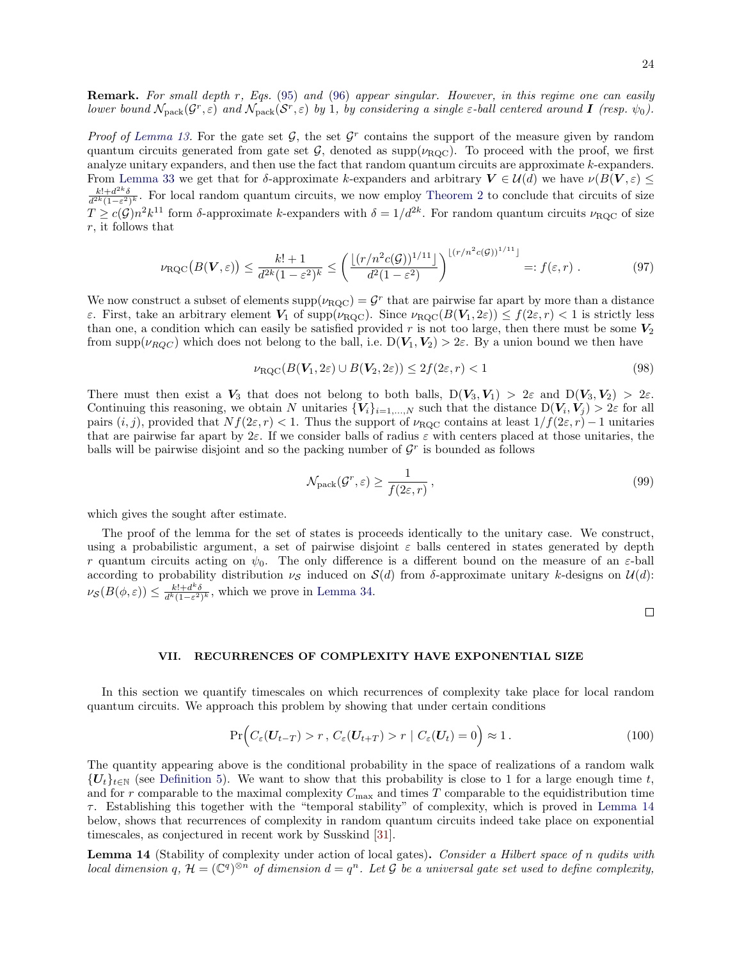Remark. For small depth r, Eqs. [\(95\)](#page-22-1) and [\(96\)](#page-22-2) appear singular. However, in this regime one can easily lower bound  $\mathcal{N}_{\rm pack}(\mathcal{G}^r,\varepsilon)$  and  $\mathcal{N}_{\rm pack}(\mathcal{S}^r,\varepsilon)$  by 1, by considering a single  $\varepsilon$ -ball centered around **I** (resp.  $\psi_0$ ).

Proof of [Lemma 13.](#page-22-0) For the gate set  $G$ , the set  $G<sup>r</sup>$  contains the support of the measure given by random quantum circuits generated from gate set G, denoted as  $\text{supp}(\nu_{\text{RQC}})$ . To proceed with the proof, we first analyze unitary expanders, and then use the fact that random quantum circuits are approximate k-expanders. From [Lemma 33](#page-41-1) we get that for δ-approximate k-expanders and arbitrary  $V \in \mathcal{U}(d)$  we have  $\nu(B(V, \varepsilon) \leq$  $\frac{k!+d^{2k}\delta}{d^{2k}(1-\varepsilon^2)^k}$ . For local random quantum circuits, we now employ [Theorem 2](#page-12-1) to conclude that circuits of size  $T \ge c(\mathcal{G})n^2k^{11}$  form δ-approximate k-expanders with  $\delta = 1/d^{2k}$ . For random quantum circuits  $\nu_{\text{RQC}}$  of size r, it follows that

$$
\nu_{\text{RQC}}(B(\mathbf{V}, \varepsilon)) \le \frac{k! + 1}{d^{2k}(1 - \varepsilon^2)^k} \le \left(\frac{\lfloor (r/n^2 c(\mathcal{G}))^{1/11} \rfloor}{d^2 (1 - \varepsilon^2)}\right)^{\lfloor (r/n^2 c(\mathcal{G}))^{1/11} \rfloor} =: f(\varepsilon, r) . \tag{97}
$$

We now construct a subset of elements  $supp(\nu_{\text{RQC}}) = G^r$  that are pairwise far apart by more than a distance  $\varepsilon$ . First, take an arbitrary element  $V_1$  of supp( $\nu_{\text{ROC}}$ ). Since  $\nu_{\text{ROC}}(B(V_1, 2\varepsilon)) \leq f(2\varepsilon, r) < 1$  is strictly less than one, a condition which can easily be satisfied provided r is not too large, then there must be some  $V_2$ from supp( $\nu_{ROC}$ ) which does not belong to the ball, i.e.  $D(V_1, V_2) > 2\varepsilon$ . By a union bound we then have

$$
\nu_{\text{RQC}}(B(\mathbf{V}_1, 2\varepsilon) \cup B(\mathbf{V}_2, 2\varepsilon)) \le 2f(2\varepsilon, r) < 1\tag{98}
$$

There must then exist a  $V_3$  that does not belong to both balls,  $D(V_3, V_1) > 2\varepsilon$  and  $D(V_3, V_2) > 2\varepsilon$ . Continuing this reasoning, we obtain N unitaries  ${V_i}_{i=1,\dots,N}$  such that the distance  $D(V_i, V_j) > 2\varepsilon$  for all pairs  $(i, j)$ , provided that  $Nf(2\varepsilon, r) < 1$ . Thus the support of  $\nu_{\text{RQC}}$  contains at least  $1/f(2\varepsilon, r) - 1$  unitaries that are pairwise far apart by  $2\varepsilon$ . If we consider balls of radius  $\varepsilon$  with centers placed at those unitaries, the balls will be pairwise disjoint and so the packing number of  $\mathcal{G}^r$  is bounded as follows

$$
\mathcal{N}_{\text{pack}}(\mathcal{G}^r, \varepsilon) \ge \frac{1}{f(2\varepsilon, r)},\tag{99}
$$

which gives the sought after estimate.

The proof of the lemma for the set of states is proceeds identically to the unitary case. We construct, using a probabilistic argument, a set of pairwise disjoint  $\varepsilon$  balls centered in states generated by depth r quantum circuits acting on  $\psi_0$ . The only difference is a different bound on the measure of an  $\varepsilon$ -ball according to probability distribution  $\nu_s$  induced on  $S(d)$  from δ-approximate unitary k-designs on  $\mathcal{U}(d)$ :  $\nu_{\mathcal{S}}(B(\phi,\varepsilon)) \leq \frac{k!+d^k\delta}{d^k(1-\varepsilon^2)^k}$ , which we prove in [Lemma 34.](#page-42-0)

 $\Box$ 

### <span id="page-23-0"></span>VII. RECURRENCES OF COMPLEXITY HAVE EXPONENTIAL SIZE

In this section we quantify timescales on which recurrences of complexity take place for local random quantum circuits. We approach this problem by showing that under certain conditions

$$
\Pr\Big(C_{\varepsilon}(\boldsymbol{U}_{t-T}) > r \,,\, C_{\varepsilon}(\boldsymbol{U}_{t+T}) > r \mid C_{\varepsilon}(\boldsymbol{U}_{t}) = 0\Big) \approx 1\,. \tag{100}
$$

The quantity appearing above is the conditional probability in the space of realizations of a random walk  ${U_t}_{t\in\mathbb{N}}$  (see [Definition 5\)](#page-12-2). We want to show that this probability is close to 1 for a large enough time t, and for r comparable to the maximal complexity  $C_{\text{max}}$  and times T comparable to the equidistribution time  $\tau$ . Establishing this together with the "temporal stability" of complexity, which is proved in [Lemma 14](#page-23-1) below, shows that recurrences of complexity in random quantum circuits indeed take place on exponential timescales, as conjectured in recent work by Susskind [\[31\]](#page-45-7).

<span id="page-23-1"></span>Lemma 14 (Stability of complexity under action of local gates). Consider a Hilbert space of n qudits with local dimension q,  $\mathcal{H} = (\mathbb{C}^q)^{\otimes n}$  of dimension  $d = q^n$ . Let G be a universal gate set used to define complexity,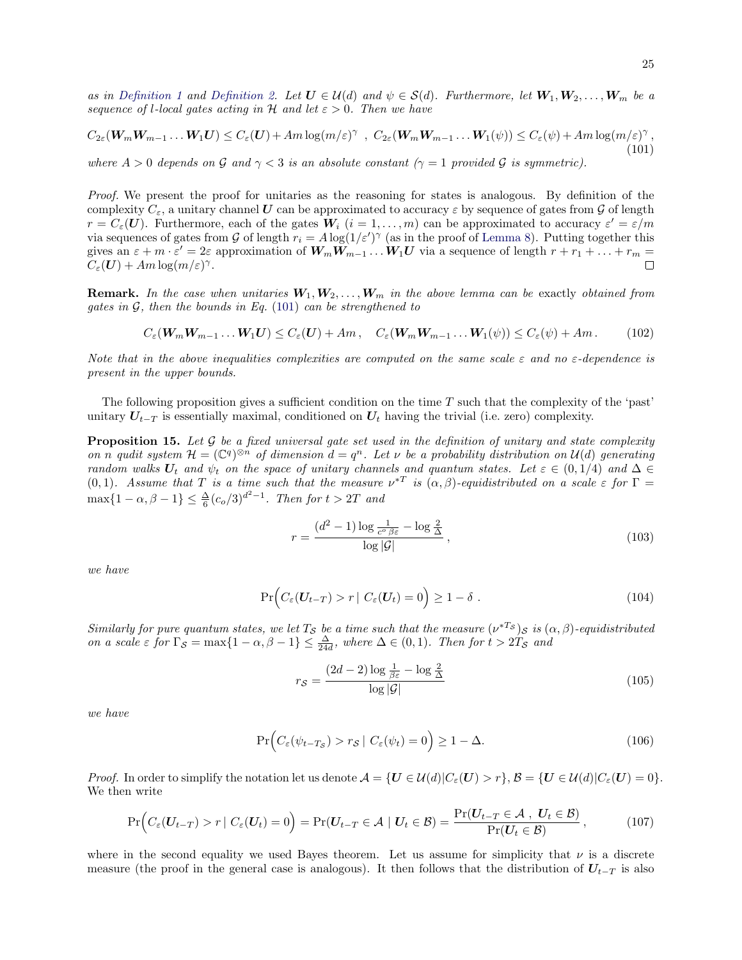as in [Definition 1](#page-3-1) and [Definition 2.](#page-3-2) Let  $U \in \mathcal{U}(d)$  and  $\psi \in \mathcal{S}(d)$ . Furthermore, let  $W_1, W_2, \ldots, W_m$  be a sequence of l-local gates acting in H and let  $\varepsilon > 0$ . Then we have

<span id="page-24-0"></span>
$$
C_{2\varepsilon}(\mathbf{W}_m \mathbf{W}_{m-1} \dots \mathbf{W}_1 \mathbf{U}) \le C_{\varepsilon}(\mathbf{U}) + Am \log(m/\varepsilon)^{\gamma} , C_{2\varepsilon}(\mathbf{W}_m \mathbf{W}_{m-1} \dots \mathbf{W}_1(\psi)) \le C_{\varepsilon}(\psi) + Am \log(m/\varepsilon)^{\gamma} , \tag{101}
$$

where  $A > 0$  depends on G and  $\gamma < 3$  is an absolute constant  $(\gamma = 1 \text{ provided } G$  is symmetric).

Proof. We present the proof for unitaries as the reasoning for states is analogous. By definition of the complexity  $C_{\varepsilon}$ , a unitary channel U can be approximated to accuracy  $\varepsilon$  by sequence of gates from G of length  $r = C_{\varepsilon}(U)$ . Furthermore, each of the gates  $W_i$   $(i = 1, \ldots, m)$  can be approximated to accuracy  $\varepsilon' = \varepsilon/m$ via sequences of gates from G of length  $r_i = A \log(1/\varepsilon')^{\gamma}$  (as in the proof of [Lemma 8\)](#page-16-0). Putting together this gives an  $\varepsilon + m \cdot \varepsilon' = 2\varepsilon$  approximation of  $W_m W_{m-1} \dots W_1 U$  via a sequence of length  $r + r_1 + \dots + r_m =$  $C_{\varepsilon}(\boldsymbol{U}) + Am \log(m/\varepsilon)^{\gamma}$ .  $\Box$ 

**Remark.** In the case when unitaries  $W_1, W_2, \ldots, W_m$  in the above lemma can be exactly obtained from gates in  $G$ , then the bounds in Eq. [\(101\)](#page-24-0) can be strengthened to

<span id="page-24-5"></span>
$$
C_{\varepsilon}(\mathbf{W}_{m}\mathbf{W}_{m-1}\dots\mathbf{W}_{1}\mathbf{U}) \leq C_{\varepsilon}(\mathbf{U}) + Am, \quad C_{\varepsilon}(\mathbf{W}_{m}\mathbf{W}_{m-1}\dots\mathbf{W}_{1}(\psi)) \leq C_{\varepsilon}(\psi) + Am. \tag{102}
$$

Note that in the above inequalities complexities are computed on the same scale  $\varepsilon$  and no  $\varepsilon$ -dependence is present in the upper bounds.

The following proposition gives a sufficient condition on the time  $T$  such that the complexity of the 'past' unitary  $U_{t-T}$  is essentially maximal, conditioned on  $U_t$  having the trivial (i.e. zero) complexity.

<span id="page-24-4"></span>**Proposition 15.** Let  $\mathcal G$  be a fixed universal gate set used in the definition of unitary and state complexity on n qudit system  $\mathcal{H} = (\mathbb{C}^q)^{\otimes n}$  of dimension  $d = q^n$ . Let v be a probability distribution on  $\mathcal{U}(d)$  generating random walks  $U_t$  and  $\psi_t$  on the space of unitary channels and quantum states. Let  $\varepsilon \in (0, 1/4)$  and  $\Delta \in$ (0, 1). Assume that T is a time such that the measure  $v^{*T}$  is  $(\alpha, \beta)$ -equidistributed on a scale  $\varepsilon$  for  $\Gamma$  =  $\max\{1 - \alpha, \beta - 1\} \leq \frac{\Delta}{6} (c_o/3)^{d^2 - 1}$ . Then for  $t > 2T$  and

<span id="page-24-2"></span>
$$
r = \frac{(d^2 - 1)\log\frac{1}{c^{\circ}\beta\varepsilon} - \log\frac{2}{\Delta}}{\log|\mathcal{G}|},\tag{103}
$$

we have

$$
\Pr\Big(C_{\varepsilon}(\boldsymbol{U}_{t-T}) > r \mid C_{\varepsilon}(\boldsymbol{U}_{t}) = 0\Big) \ge 1 - \delta.
$$
\n(104)

Similarly for pure quantum states, we let  $T_S$  be a time such that the measure  $(\nu^{*T_S})_S$  is  $(\alpha, \beta)$ -equidistributed on a scale  $\varepsilon$  for  $\Gamma_{\mathcal{S}} = \max\{1 - \alpha, \beta - 1\} \leq \frac{\Delta}{24d}$ , where  $\Delta \in (0, 1)$ . Then for  $t > 2T_{\mathcal{S}}$  and

<span id="page-24-3"></span>
$$
r_{\mathcal{S}} = \frac{(2d-2)\log\frac{1}{\beta\varepsilon} - \log\frac{2}{\Delta}}{\log|\mathcal{G}|}
$$
(105)

we have

$$
\Pr\Big(C_{\varepsilon}(\psi_{t-T_{\mathcal{S}}}) > r_{\mathcal{S}} \mid C_{\varepsilon}(\psi_{t}) = 0\Big) \ge 1 - \Delta. \tag{106}
$$

*Proof.* In order to simplify the notation let us denote  $\mathcal{A} = \{U \in \mathcal{U}(d)|C_{\varepsilon}(U) > r\}, \mathcal{B} = \{U \in \mathcal{U}(d)|C_{\varepsilon}(U) = 0\}.$ We then write

<span id="page-24-1"></span>
$$
\Pr\Big(C_{\varepsilon}(\boldsymbol{U}_{t-T}) > r \mid C_{\varepsilon}(\boldsymbol{U}_{t}) = 0\Big) = \Pr(\boldsymbol{U}_{t-T} \in \mathcal{A} \mid \boldsymbol{U}_{t} \in \mathcal{B}) = \frac{\Pr(\boldsymbol{U}_{t-T} \in \mathcal{A}, \boldsymbol{U}_{t} \in \mathcal{B})}{\Pr(\boldsymbol{U}_{t} \in \mathcal{B})},\tag{107}
$$

where in the second equality we used Bayes theorem. Let us assume for simplicity that  $\nu$  is a discrete measure (the proof in the general case is analogous). It then follows that the distribution of  $U_{t-T}$  is also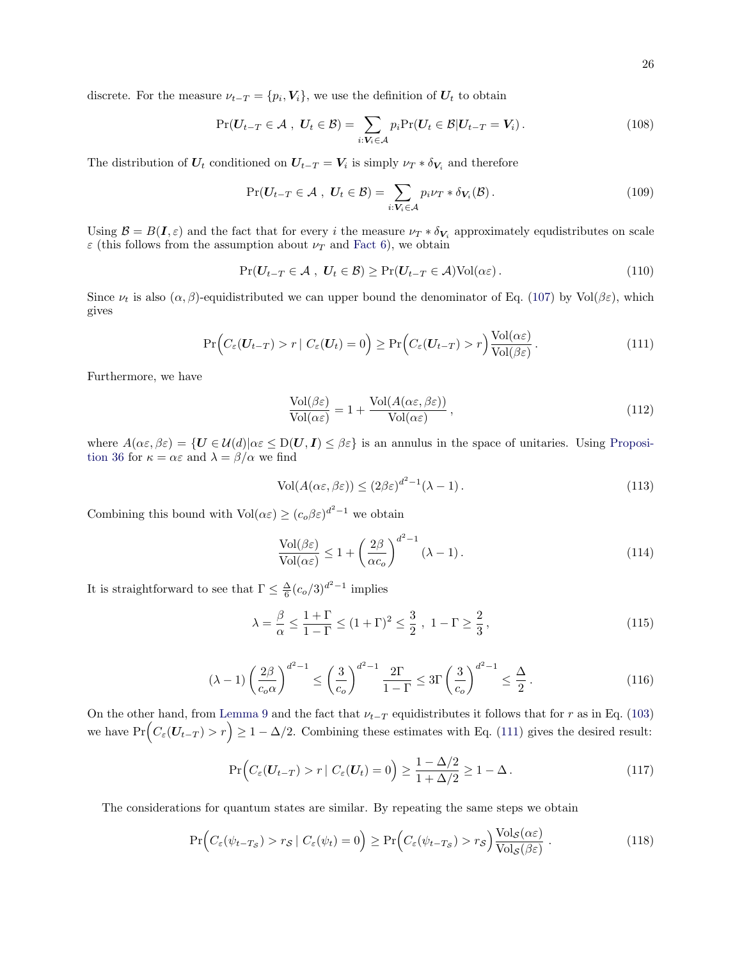discrete. For the measure  $\nu_{t-T} = \{p_i, V_i\}$ , we use the definition of  $U_t$  to obtain

$$
Pr(\boldsymbol{U}_{t-T} \in \mathcal{A} , \boldsymbol{U}_t \in \mathcal{B}) = \sum_{i: \boldsymbol{V}_i \in \mathcal{A}} p_i Pr(\boldsymbol{U}_t \in \mathcal{B} | \boldsymbol{U}_{t-T} = \boldsymbol{V}_i).
$$
\n(108)

The distribution of  $U_t$  conditioned on  $U_{t-T} = V_i$  is simply  $\nu_T * \delta_{V_i}$  and therefore

$$
\Pr(\boldsymbol{U}_{t-T} \in \mathcal{A}, \ \boldsymbol{U}_t \in \mathcal{B}) = \sum_{i: \boldsymbol{V}_i \in \mathcal{A}} p_i \nu_T * \delta_{\boldsymbol{V}_i}(\mathcal{B}). \tag{109}
$$

Using  $\mathcal{B} = B(\mathbf{I}, \varepsilon)$  and the fact that for every i the measure  $\nu_T * \delta_{\mathbf{V}_i}$  approximately equdistributes on scale  $\varepsilon$  (this follows from the assumption about  $\nu_T$  and [Fact 6\)](#page-14-3), we obtain

$$
\Pr(U_{t-T} \in \mathcal{A}, U_t \in \mathcal{B}) \ge \Pr(U_{t-T} \in \mathcal{A}) \text{Vol}(\alpha \varepsilon).
$$
\n(110)

Since  $\nu_t$  is also  $(\alpha, \beta)$ -equidistributed we can upper bound the denominator of Eq. [\(107\)](#page-24-1) by Vol $(\beta \varepsilon)$ , which gives

<span id="page-25-0"></span>
$$
\Pr\Big(C_{\varepsilon}(\boldsymbol{U}_{t-T}) > r \mid C_{\varepsilon}(\boldsymbol{U}_{t}) = 0\Big) \ge \Pr\Big(C_{\varepsilon}(\boldsymbol{U}_{t-T}) > r\Big) \frac{\text{Vol}(\alpha \varepsilon)}{\text{Vol}(\beta \varepsilon)}\,. \tag{111}
$$

Furthermore, we have

$$
\frac{\text{Vol}(\beta \varepsilon)}{\text{Vol}(\alpha \varepsilon)} = 1 + \frac{\text{Vol}(A(\alpha \varepsilon, \beta \varepsilon))}{\text{Vol}(\alpha \varepsilon)},
$$
\n(112)

where  $A(\alpha \varepsilon, \beta \varepsilon) = \{ U \in \mathcal{U}(d) | \alpha \varepsilon \leq D(U, I) \leq \beta \varepsilon \}$  is an annulus in the space of unitaries. Using [Proposi](#page-43-0)[tion 36](#page-43-0) for  $\kappa = \alpha \varepsilon$  and  $\lambda = \beta/\alpha$  we find

$$
Vol(A(\alpha \varepsilon, \beta \varepsilon)) \le (2\beta \varepsilon)^{d^2 - 1} (\lambda - 1).
$$
\n(113)

Combining this bound with  $Vol(\alpha \varepsilon) \ge (c_o \beta \varepsilon)^{d^2-1}$  we obtain

$$
\frac{\text{Vol}(\beta \varepsilon)}{\text{Vol}(\alpha \varepsilon)} \le 1 + \left(\frac{2\beta}{\alpha c_o}\right)^{d^2 - 1} (\lambda - 1). \tag{114}
$$

It is straightforward to see that  $\Gamma \leq \frac{\Delta}{6} (c_o/3)^{d^2-1}$  implies

$$
\lambda = \frac{\beta}{\alpha} \le \frac{1+\Gamma}{1-\Gamma} \le (1+\Gamma)^2 \le \frac{3}{2}, \ 1-\Gamma \ge \frac{2}{3}, \tag{115}
$$

$$
(\lambda - 1) \left(\frac{2\beta}{c_o \alpha}\right)^{d^2 - 1} \le \left(\frac{3}{c_o}\right)^{d^2 - 1} \frac{2\Gamma}{1 - \Gamma} \le 3\Gamma\left(\frac{3}{c_o}\right)^{d^2 - 1} \le \frac{\Delta}{2} \,. \tag{116}
$$

On the other hand, from [Lemma 9](#page-16-1) and the fact that  $\nu_{t-T}$  equidistributes it follows that for r as in Eq. [\(103\)](#page-24-2) we have  $Pr(C_{\varepsilon}(U_{t-T}) > r) \ge 1 - \Delta/2$ . Combining these estimates with Eq. [\(111\)](#page-25-0) gives the desired result:

$$
\Pr\Big(C_{\varepsilon}(\boldsymbol{U}_{t-T}) > r \mid C_{\varepsilon}(\boldsymbol{U}_{t}) = 0\Big) \ge \frac{1 - \Delta/2}{1 + \Delta/2} \ge 1 - \Delta\,. \tag{117}
$$

The considerations for quantum states are similar. By repeating the same steps we obtain

$$
\Pr\Big(C_{\varepsilon}(\psi_{t-T_{\mathcal{S}}}) > r_{\mathcal{S}} \mid C_{\varepsilon}(\psi_{t}) = 0\Big) \ge \Pr\Big(C_{\varepsilon}(\psi_{t-T_{\mathcal{S}}}) > r_{\mathcal{S}}\Big) \frac{\text{Vol}_{\mathcal{S}}(\alpha \varepsilon)}{\text{Vol}_{\mathcal{S}}(\beta \varepsilon)}\,. \tag{118}
$$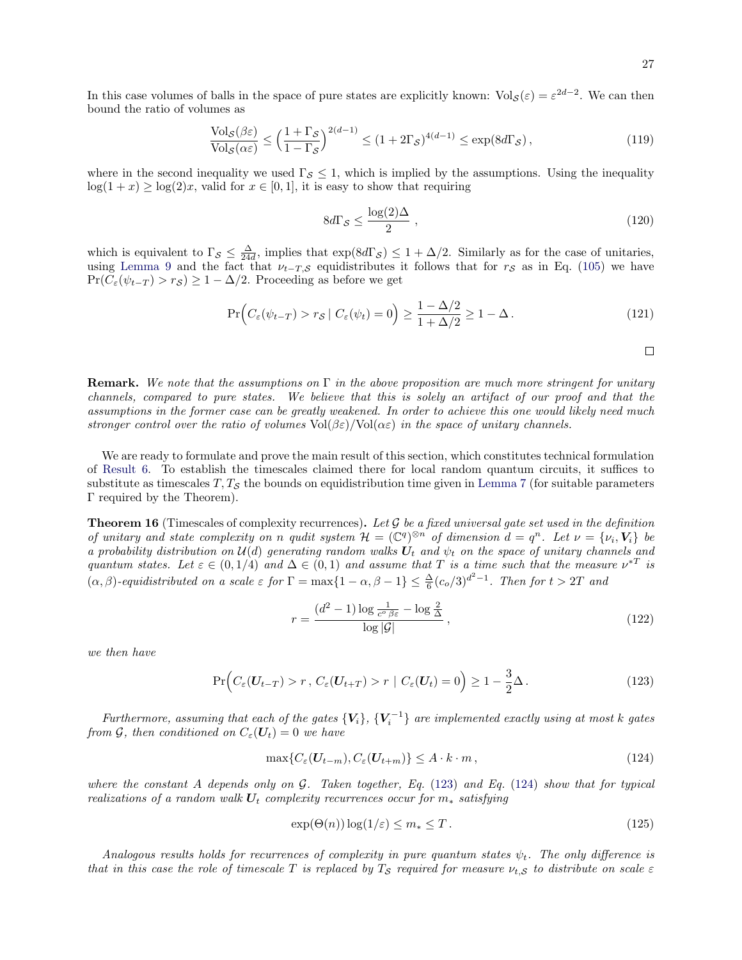In this case volumes of balls in the space of pure states are explicitly known:  $Vol_S(\varepsilon) = \varepsilon^{2d-2}$ . We can then bound the ratio of volumes as

$$
\frac{\text{Vol}_{\mathcal{S}}(\beta \varepsilon)}{\text{Vol}_{\mathcal{S}}(\alpha \varepsilon)} \le \left(\frac{1+\Gamma_{\mathcal{S}}}{1-\Gamma_{\mathcal{S}}}\right)^{2(d-1)} \le (1+2\Gamma_{\mathcal{S}})^{4(d-1)} \le \exp(8d\Gamma_{\mathcal{S}}),\tag{119}
$$

where in the second inequality we used  $\Gamma_{\mathcal{S}} \leq 1$ , which is implied by the assumptions. Using the inequality  $log(1 + x) \ge log(2)x$ , valid for  $x \in [0, 1]$ , it is easy to show that requiring

$$
8d\Gamma_{\mathcal{S}} \le \frac{\log(2)\Delta}{2} \tag{120}
$$

which is equivalent to  $\Gamma_{\mathcal{S}} \leq \frac{\Delta}{24d}$ , implies that  $\exp(8d\Gamma_{\mathcal{S}}) \leq 1 + \Delta/2$ . Similarly as for the case of unitaries, using [Lemma 9](#page-16-1) and the fact that  $\nu_{t-T,S}$  equidistributes it follows that for  $r_S$  as in Eq. [\(105\)](#page-24-3) we have  $Pr(C_{\varepsilon}(\psi_{t-T}) > r_{\mathcal{S}}) \geq 1 - \Delta/2$ . Proceeding as before we get

$$
\Pr\Big(C_{\varepsilon}(\psi_{t-T}) > r_{\mathcal{S}} \mid C_{\varepsilon}(\psi_t) = 0\Big) \ge \frac{1 - \Delta/2}{1 + \Delta/2} \ge 1 - \Delta. \tag{121}
$$

 $\Box$ 

**Remark.** We note that the assumptions on  $\Gamma$  in the above proposition are much more stringent for unitary channels, compared to pure states. We believe that this is solely an artifact of our proof and that the assumptions in the former case can be greatly weakened. In order to achieve this one would likely need much stronger control over the ratio of volumes  $Vol(\beta \varepsilon)/Vol(\alpha \varepsilon)$  in the space of unitary channels.

We are ready to formulate and prove the main result of this section, which constitutes technical formulation of [Result 6.](#page-7-0) To establish the timescales claimed there for local random quantum circuits, it suffices to substitute as timescales  $T, T<sub>S</sub>$  the bounds on equidistribution time given in [Lemma 7](#page-15-2) (for suitable parameters Γ required by the Theorem).

**Theorem 16** (Timescales of complexity recurrences). Let  $\mathcal G$  be a fixed universal gate set used in the definition of unitary and state complexity on n qudit system  $\mathcal{H} = (\mathbb{C}^q)^{\otimes n}$  of dimension  $d = q^n$ . Let  $\nu = {\nu_i, V_i}$  be a probability distribution on  $\mathcal{U}(d)$  generating random walks  $U_t$  and  $\psi_t$  on the space of unitary channels and quantum states. Let  $\varepsilon \in (0,1/4)$  and  $\Delta \in (0,1)$  and assume that T is a time such that the measure  $\nu^{*T}$  is  $(\alpha, \beta)$ -equidistributed on a scale  $\varepsilon$  for  $\Gamma = \max\{1 - \alpha, \beta - 1\} \leq \frac{\Delta}{6} (c_o/3)^{d^2-1}$ . Then for  $t > 2T$  and

<span id="page-26-2"></span>
$$
r = \frac{(d^2 - 1)\log\frac{1}{c^o \beta \varepsilon} - \log\frac{2}{\Delta}}{\log|\mathcal{G}|},\tag{122}
$$

we then have

<span id="page-26-0"></span>
$$
\Pr\Big(C_{\varepsilon}(\boldsymbol{U}_{t-T}) > r, \ C_{\varepsilon}(\boldsymbol{U}_{t+T}) > r \mid C_{\varepsilon}(\boldsymbol{U}_{t}) = 0\Big) \ge 1 - \frac{3}{2}\Delta\,. \tag{123}
$$

Furthermore, assuming that each of the gates  $\{V_i\}$ ,  $\{V_i^{-1}\}$  are implemented exactly using at most k gates from G, then conditioned on  $C_{\varepsilon}(\mathbf{U}_t) = 0$  we have

<span id="page-26-1"></span>
$$
\max\{C_{\varepsilon}(\boldsymbol{U}_{t-m}), C_{\varepsilon}(\boldsymbol{U}_{t+m})\} \le A \cdot k \cdot m, \tag{124}
$$

where the constant A depends only on  $G$ . Taken together, Eq. [\(123\)](#page-26-0) and Eq. [\(124\)](#page-26-1) show that for typical realizations of a random walk  $U_t$  complexity recurrences occur for  $m_*$  satisfying

$$
\exp(\Theta(n))\log(1/\varepsilon) \le m_* \le T. \tag{125}
$$

Analogous results holds for recurrences of complexity in pure quantum states  $\psi_t$ . The only difference is that in this case the role of timescale T is replaced by  $T_S$  required for measure  $\nu_{t,S}$  to distribute on scale  $\varepsilon$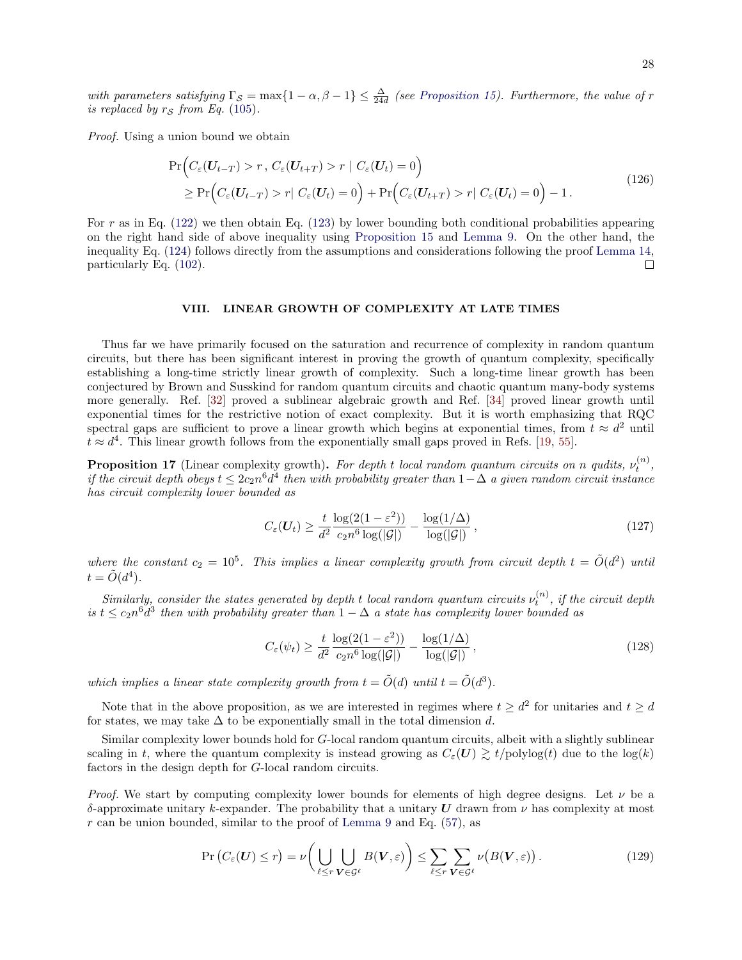with parameters satisfying  $\Gamma_{\mathcal{S}} = \max\{1-\alpha, \beta-1\} \leq \frac{\Delta}{24d}$  (see [Proposition 15\)](#page-24-4). Furthermore, the value of r is replaced by  $r<sub>S</sub>$  from Eq. [\(105\)](#page-24-3).

Proof. Using a union bound we obtain

$$
\Pr\Big(C_{\varepsilon}(\boldsymbol{U}_{t-T}) > r, \ C_{\varepsilon}(\boldsymbol{U}_{t+T}) > r \mid C_{\varepsilon}(\boldsymbol{U}_{t}) = 0\Big) \geq \Pr\Big(C_{\varepsilon}(\boldsymbol{U}_{t-T}) > r \mid C_{\varepsilon}(\boldsymbol{U}_{t}) = 0\Big) + \Pr\Big(C_{\varepsilon}(\boldsymbol{U}_{t+T}) > r \mid C_{\varepsilon}(\boldsymbol{U}_{t}) = 0\Big) - 1.
$$
\n(126)

For r as in Eq.  $(122)$  we then obtain Eq.  $(123)$  by lower bounding both conditional probabilities appearing on the right hand side of above inequality using [Proposition 15](#page-24-4) and [Lemma 9.](#page-16-1) On the other hand, the inequality Eq. [\(124\)](#page-26-1) follows directly from the assumptions and considerations following the proof [Lemma 14,](#page-23-1) particularly Eq. [\(102\)](#page-24-5).  $\Box$ 

## <span id="page-27-0"></span>VIII. LINEAR GROWTH OF COMPLEXITY AT LATE TIMES

Thus far we have primarily focused on the saturation and recurrence of complexity in random quantum circuits, but there has been significant interest in proving the growth of quantum complexity, specifically establishing a long-time strictly linear growth of complexity. Such a long-time linear growth has been conjectured by Brown and Susskind for random quantum circuits and chaotic quantum many-body systems more generally. Ref. [\[32\]](#page-45-8) proved a sublinear algebraic growth and Ref. [\[34\]](#page-45-9) proved linear growth until exponential times for the restrictive notion of exact complexity. But it is worth emphasizing that RQC spectral gaps are sufficient to prove a linear growth which begins at exponential times, from  $t \approx d^2$  until  $t \approx d^4$ . This linear growth follows from the exponentially small gaps proved in Refs. [\[19,](#page-44-15) [55\]](#page-46-4).

**Proposition 17** (Linear complexity growth). For depth t local random quantum circuits on n qudits,  $\nu_t^{(n)}$ , if the circuit depth obeys  $t \leq 2c_2n^6d^4$  then with probability greater than  $1-\Delta$  a given random circuit instance has circuit complexity lower bounded as

$$
C_{\varepsilon}(U_t) \ge \frac{t}{d^2} \frac{\log(2(1-\varepsilon^2))}{c_2 n^6 \log(|\mathcal{G}|)} - \frac{\log(1/\Delta)}{\log(|\mathcal{G}|)},\tag{127}
$$

where the constant  $c_2 = 10^5$ . This implies a linear complexity growth from circuit depth  $t = \tilde{O}(d^2)$  until  $t = \tilde{O}(d^4).$ 

Similarly, consider the states generated by depth t local random quantum circuits  $\nu_t^{(n)}$ , if the circuit depth is  $t \leq c_2 n^6 d^3$  then with probability greater than  $1 - \Delta$  a state has complexity lower bounded as

$$
C_{\varepsilon}(\psi_t) \ge \frac{t}{d^2} \frac{\log(2(1-\varepsilon^2))}{c_2 n^6 \log(|\mathcal{G}|)} - \frac{\log(1/\Delta)}{\log(|\mathcal{G}|)},\tag{128}
$$

which implies a linear state complexity growth from  $t = \tilde{O}(d)$  until  $t = \tilde{O}(d^3)$ .

Note that in the above proposition, as we are interested in regimes where  $t \geq d^2$  for unitaries and  $t \geq d$ for states, we may take  $\Delta$  to be exponentially small in the total dimension d.

Similar complexity lower bounds hold for G-local random quantum circuits, albeit with a slightly sublinear scaling in t, where the quantum complexity is instead growing as  $C_{\varepsilon}(U) \gtrsim t/\text{polylog}(t)$  due to the  $\log(k)$ factors in the design depth for G-local random circuits.

*Proof.* We start by computing complexity lower bounds for elements of high degree designs. Let  $\nu$  be a δ-approximate unitary k-expander. The probability that a unitary U drawn from  $\nu$  has complexity at most  $r$  can be union bounded, similar to the proof of [Lemma 9](#page-16-1) and Eq. [\(57\)](#page-17-1), as

$$
\Pr\left(C_{\varepsilon}(\boldsymbol{U})\leq r\right)=\nu\bigg(\bigcup_{\ell\leq r}\bigcup_{\boldsymbol{V}\in\mathcal{G}^{\ell}}B(\boldsymbol{V},\varepsilon)\bigg)\leq\sum_{\ell\leq r}\sum_{\boldsymbol{V}\in\mathcal{G}^{\ell}}\nu\big(B(\boldsymbol{V},\varepsilon)\big)\,.
$$
\n(129)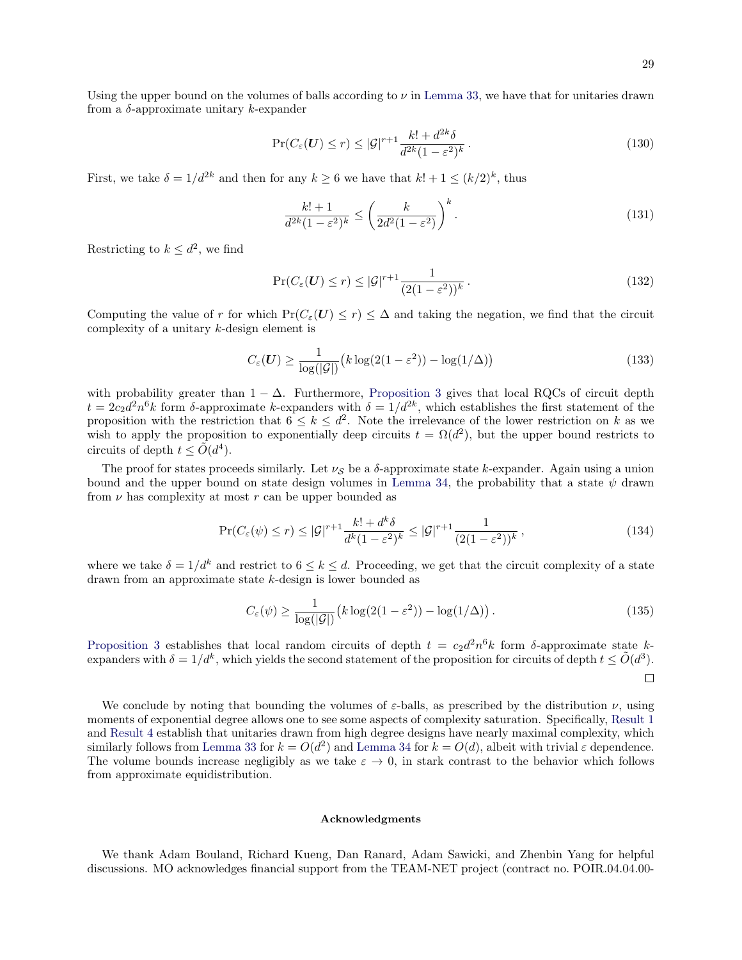$$
\Pr(C_{\varepsilon}(\boldsymbol{U}) \le r) \le |\mathcal{G}|^{r+1} \frac{k! + d^{2k} \delta}{d^{2k} (1 - \varepsilon^2)^k}.
$$
\n(130)

First, we take  $\delta = 1/d^{2k}$  and then for any  $k \geq 6$  we have that  $k! + 1 \leq (k/2)^k$ , thus

$$
\frac{k!+1}{d^{2k}(1-\varepsilon^2)^k} \le \left(\frac{k}{2d^2(1-\varepsilon^2)}\right)^k.
$$
\n(131)

Restricting to  $k \leq d^2$ , we find

$$
\Pr(C_{\varepsilon}(\boldsymbol{U}) \le r) \le |\mathcal{G}|^{r+1} \frac{1}{(2(1 - \varepsilon^2))^k}.
$$
\n(132)

Computing the value of r for which  $Pr(C_\varepsilon(\boldsymbol{U}) \leq r) \leq \Delta$  and taking the negation, we find that the circuit complexity of a unitary k-design element is

$$
C_{\varepsilon}(\boldsymbol{U}) \ge \frac{1}{\log(|\mathcal{G}|)} \big(k \log(2(1-\varepsilon^2)) - \log(1/\Delta)\big) \tag{133}
$$

with probability greater than  $1 - \Delta$ . Furthermore, [Proposition 3](#page-12-0) gives that local RQCs of circuit depth  $t = 2c_2d^2n^6k$  form δ-approximate k-expanders with  $\delta = 1/d^{2k}$ , which establishes the first statement of the proposition with the restriction that  $6 \leq k \leq d^2$ . Note the irrelevance of the lower restriction on k as we wish to apply the proposition to exponentially deep circuits  $t = \Omega(d^2)$ , but the upper bound restricts to circuits of depth  $t \le \tilde{O}(d^4)$ .

The proof for states proceeds similarly. Let  $\nu_S$  be a  $\delta$ -approximate state k-expander. Again using a union bound and the upper bound on state design volumes in [Lemma 34,](#page-42-0) the probability that a state  $\psi$  drawn from  $\nu$  has complexity at most r can be upper bounded as

$$
\Pr(C_{\varepsilon}(\psi) \le r) \le |\mathcal{G}|^{r+1} \frac{k! + d^k \delta}{d^k (1 - \varepsilon^2)^k} \le |\mathcal{G}|^{r+1} \frac{1}{(2(1 - \varepsilon^2))^k},\tag{134}
$$

where we take  $\delta = 1/d^k$  and restrict to  $6 \leq k \leq d$ . Proceeding, we get that the circuit complexity of a state drawn from an approximate state k-design is lower bounded as

$$
C_{\varepsilon}(\psi) \ge \frac{1}{\log(|\mathcal{G}|)} \left( k \log(2(1 - \varepsilon^2)) - \log(1/\Delta) \right). \tag{135}
$$

[Proposition 3](#page-12-0) establishes that local random circuits of depth  $t = c_2 d^2 n^6 k$  form δ-approximate state kexpanders with  $\delta = 1/d^k$ , which yields the second statement of the proposition for circuits of depth  $t \le \tilde{O}(d^3)$ .  $\Box$ 

We conclude by noting that bounding the volumes of  $\varepsilon$ -balls, as prescribed by the distribution  $\nu$ , using moments of exponential degree allows one to see some aspects of complexity saturation. Specifically, [Result 1](#page-5-0) and [Result 4](#page-6-1) establish that unitaries drawn from high degree designs have nearly maximal complexity, which similarly follows from [Lemma 33](#page-41-1) for  $k = O(d^2)$  and [Lemma 34](#page-42-0) for  $k = O(d)$ , albeit with trivial  $\varepsilon$  dependence. The volume bounds increase negligibly as we take  $\varepsilon \to 0$ , in stark contrast to the behavior which follows from approximate equidistribution.

# Acknowledgments

We thank Adam Bouland, Richard Kueng, Dan Ranard, Adam Sawicki, and Zhenbin Yang for helpful discussions. MO acknowledges financial support from the TEAM-NET project (contract no. POIR.04.04.00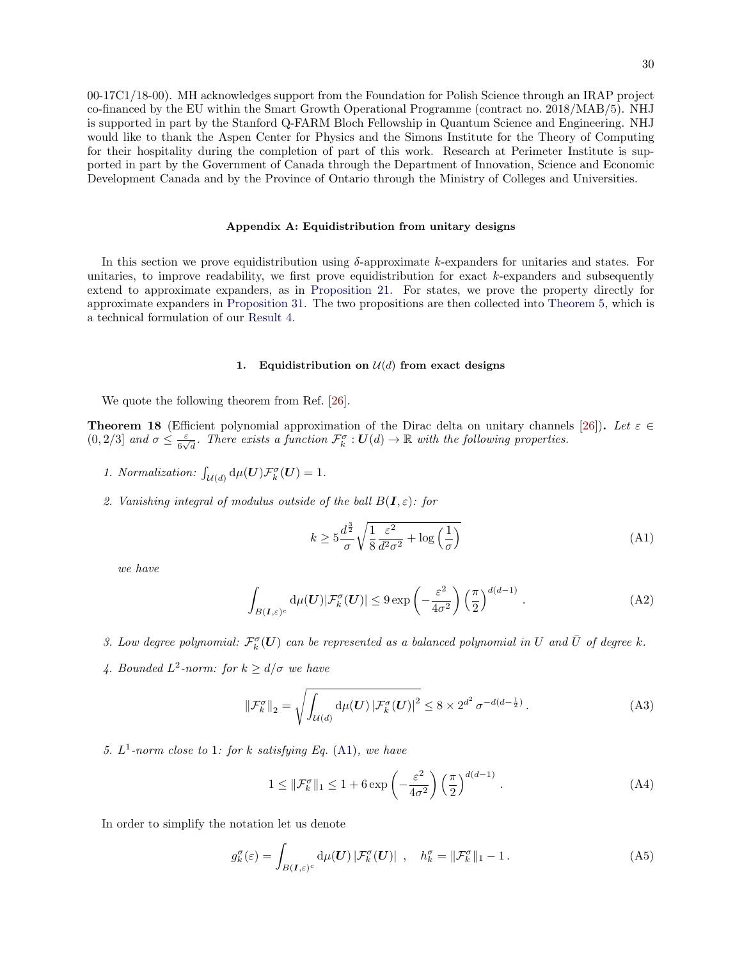00-17C1/18-00). MH acknowledges support from the Foundation for Polish Science through an IRAP project co-financed by the EU within the Smart Growth Operational Programme (contract no. 2018/MAB/5). NHJ is supported in part by the Stanford Q-FARM Bloch Fellowship in Quantum Science and Engineering. NHJ would like to thank the Aspen Center for Physics and the Simons Institute for the Theory of Computing for their hospitality during the completion of part of this work. Research at Perimeter Institute is supported in part by the Government of Canada through the Department of Innovation, Science and Economic Development Canada and by the Province of Ontario through the Ministry of Colleges and Universities.

### <span id="page-29-0"></span>Appendix A: Equidistribution from unitary designs

In this section we prove equidistribution using  $\delta$ -approximate k-expanders for unitaries and states. For unitaries, to improve readability, we first prove equidistribution for exact  $k$ -expanders and subsequently extend to approximate expanders, as in [Proposition 21.](#page-32-0) For states, we prove the property directly for approximate expanders in [Proposition 31.](#page-39-1) The two propositions are then collected into [Theorem 5,](#page-13-1) which is a technical formulation of our [Result 4.](#page-6-1)

# 1. Equidistribution on  $\mathcal{U}(d)$  from exact designs

We quote the following theorem from Ref. [\[26\]](#page-45-3).

**Theorem 18** (Efficient polynomial approximation of the Dirac delta on unitary channels [\[26\]](#page-45-3)). Let  $\varepsilon \in \mathbb{C}$  $(0, 2/3]$  and  $\sigma \leq \frac{\varepsilon}{\varepsilon}$  $\frac{\varepsilon}{6\sqrt{d}}$ . There exists a function  $\mathcal{F}_{k}^{\sigma}: \mathbf{U}(d) \to \mathbb{R}$  with the following properties.

- 1. Normalization:  $\int_{\mathcal{U}(d)} d\mu(\boldsymbol{U}) \mathcal{F}_k^{\sigma}(\boldsymbol{U}) = 1.$
- 2. Vanishing integral of modulus outside of the ball  $B(I, \varepsilon)$ : for

<span id="page-29-1"></span>
$$
k \ge 5\frac{d^{\frac{3}{2}}}{\sigma} \sqrt{\frac{1}{8} \frac{\varepsilon^2}{d^2 \sigma^2} + \log\left(\frac{1}{\sigma}\right)}
$$
(A1)

we have

$$
\int_{B(I,\varepsilon)^c} d\mu(U) |\mathcal{F}_k^{\sigma}(U)| \le 9 \exp\left(-\frac{\varepsilon^2}{4\sigma^2}\right) \left(\frac{\pi}{2}\right)^{d(d-1)}.
$$
\n(A2)

3. Low degree polynomial:  $\mathcal{F}^{\sigma}_k(\bm{U})$  can be represented as a balanced polynomial in U and  $\bar{U}$  of degree k.

4. Bounded  $L^2$ -norm: for  $k \geq d/\sigma$  we have

<span id="page-29-3"></span>
$$
\|\mathcal{F}_k^{\sigma}\|_2 = \sqrt{\int_{\mathcal{U}(d)} \mathrm{d}\mu(\mathbf{U}) \left|\mathcal{F}_k^{\sigma}(\mathbf{U})\right|^2} \le 8 \times 2^{d^2} \sigma^{-d(d-\frac{1}{2})}.
$$
 (A3)

5.  $L^1$ -norm close to 1: for k satisfying Eq. [\(A1\)](#page-29-1), we have

<span id="page-29-2"></span>
$$
1 \leq \|\mathcal{F}_k^{\sigma}\|_1 \leq 1 + 6 \exp\left(-\frac{\varepsilon^2}{4\sigma^2}\right) \left(\frac{\pi}{2}\right)^{d(d-1)}.
$$
 (A4)

In order to simplify the notation let us denote

$$
g_k^{\sigma}(\varepsilon) = \int_{B(\mathbf{I}, \varepsilon)^c} d\mu(\mathbf{U}) |\mathcal{F}_k^{\sigma}(\mathbf{U})| , \quad h_k^{\sigma} = ||\mathcal{F}_k^{\sigma}||_1 - 1.
$$
 (A5)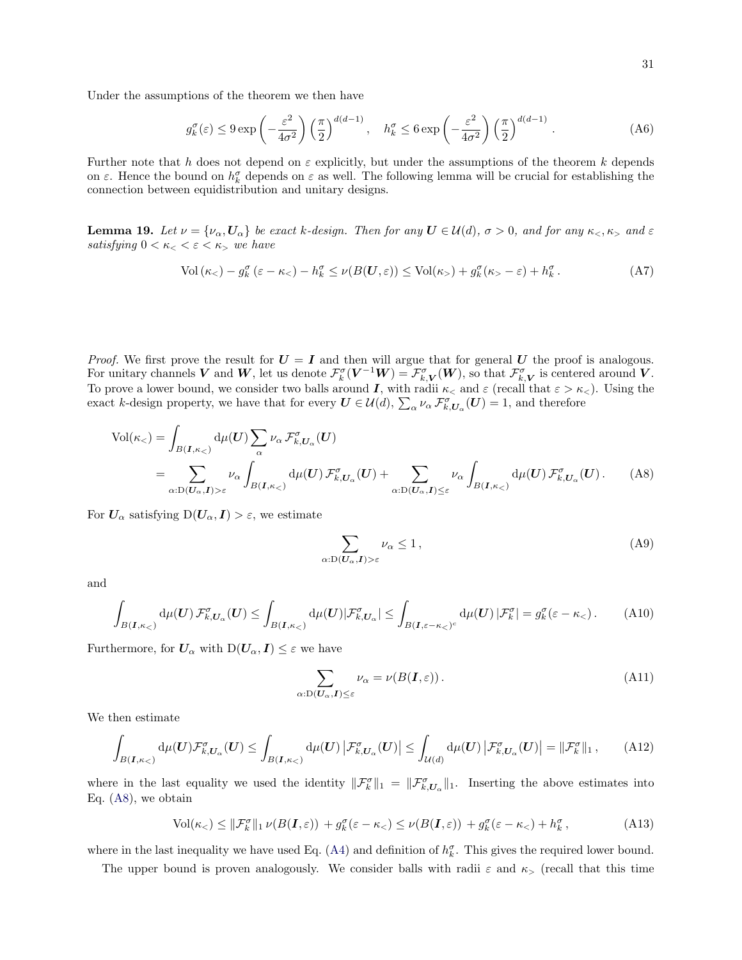Under the assumptions of the theorem we then have

<span id="page-30-1"></span>
$$
g_k^{\sigma}(\varepsilon) \le 9 \exp\left(-\frac{\varepsilon^2}{4\sigma^2}\right) \left(\frac{\pi}{2}\right)^{d(d-1)}, \quad h_k^{\sigma} \le 6 \exp\left(-\frac{\varepsilon^2}{4\sigma^2}\right) \left(\frac{\pi}{2}\right)^{d(d-1)}.
$$
 (A6)

Further note that h does not depend on  $\varepsilon$  explicitly, but under the assumptions of the theorem k depends on  $\varepsilon$ . Hence the bound on  $h_k^{\sigma}$  depends on  $\varepsilon$  as well. The following lemma will be crucial for establishing the connection between equidistribution and unitary designs.

<span id="page-30-2"></span>**Lemma 19.** Let  $\nu = {\nu_\alpha, U_\alpha}$  be exact k-design. Then for any  $U \in \mathcal{U}(d)$ ,  $\sigma > 0$ , and for any  $\kappa_<, \kappa_>$  and  $\varepsilon$ satisfying  $0 < \kappa < \varepsilon < \kappa$ , we have

$$
\text{Vol}\left(\kappa_{<} \right) - g_k^{\sigma} \left(\varepsilon - \kappa_{<} \right) - h_k^{\sigma} \le \nu(B(\mathbf{U}, \varepsilon)) \le \text{Vol}(\kappa_{>} \right) + g_k^{\sigma} (\kappa_{>} - \varepsilon) + h_k^{\sigma} \,. \tag{A7}
$$

*Proof.* We first prove the result for  $U = I$  and then will argue that for general U the proof is analogous. For unitary channels V and W, let us denote  $\mathcal{F}_{k}^{\sigma}(\mathbf{V}^{-1}\mathbf{W}) = \mathcal{F}_{k,\mathbf{V}}^{\sigma}(\mathbf{W})$ , so that  $\mathcal{F}_{k,\mathbf{V}}^{\sigma}$  is centered around V. To prove a lower bound, we consider two balls around I, with radii  $\kappa_<$  and  $\varepsilon$  (recall that  $\varepsilon > \kappa_<$ ). Using the exact k-design property, we have that for every  $U \in \mathcal{U}(d)$ ,  $\sum_{\alpha} \nu_{\alpha} \mathcal{F}_{k,U_{\alpha}}^{\sigma}(U) = 1$ , and therefore

$$
\text{Vol}(\kappa_{<}) = \int_{B(I,\kappa_{<})} d\mu(U) \sum_{\alpha} \nu_{\alpha} \mathcal{F}_{k,U_{\alpha}}^{\sigma}(U)
$$
  
= 
$$
\sum_{\alpha:D(U_{\alpha},I)> \varepsilon} \nu_{\alpha} \int_{B(I,\kappa_{<})} d\mu(U) \mathcal{F}_{k,U_{\alpha}}^{\sigma}(U) + \sum_{\alpha:D(U_{\alpha},I)\leq \varepsilon} \nu_{\alpha} \int_{B(I,\kappa_{<})} d\mu(U) \mathcal{F}_{k,U_{\alpha}}^{\sigma}(U). \tag{A8}
$$

For  $U_{\alpha}$  satisfying  $D(U_{\alpha}, I) > \varepsilon$ , we estimate

<span id="page-30-0"></span>
$$
\sum_{\alpha:\mathcal{D}(\mathbf{U}_{\alpha},\mathbf{I})>\varepsilon}\nu_{\alpha}\leq 1\,,\tag{A9}
$$

and

$$
\int_{B(I,\kappa_{<})} d\mu(U) \mathcal{F}_{k,U_{\alpha}}^{\sigma}(U) \leq \int_{B(I,\kappa_{<})} d\mu(U) |\mathcal{F}_{k,U_{\alpha}}^{\sigma}| \leq \int_{B(I,\varepsilon-\kappa_{<})^{c}} d\mu(U) |\mathcal{F}_{k}^{\sigma}| = g_{k}^{\sigma}(\varepsilon-\kappa_{<}).
$$
 (A10)

Furthermore, for  $U_{\alpha}$  with  $D(U_{\alpha}, I) \leq \varepsilon$  we have

$$
\sum_{\alpha:\mathcal{D}(\mathbf{U}_{\alpha},\mathbf{I})\leq\varepsilon}\nu_{\alpha}=\nu(B(\mathbf{I},\varepsilon)).\tag{A11}
$$

We then estimate

$$
\int_{B(I,\kappa_{<})} d\mu(U) \mathcal{F}_{k,U_{\alpha}}^{\sigma}(U) \leq \int_{B(I,\kappa_{<})} d\mu(U) |\mathcal{F}_{k,U_{\alpha}}^{\sigma}(U)| \leq \int_{\mathcal{U}(d)} d\mu(U) |\mathcal{F}_{k,U_{\alpha}}^{\sigma}(U)| = ||\mathcal{F}_{k}^{\sigma}||_{1}, \quad (A12)
$$

where in the last equality we used the identity  $\|\mathcal{F}_k^{\sigma}\|_1 = \|\mathcal{F}_{k,U_{\alpha}}^{\sigma}\|_1$ . Inserting the above estimates into Eq. [\(A8\)](#page-30-0), we obtain

$$
\text{Vol}(\kappa_{<})\leq \|\mathcal{F}_k^{\sigma}\|_1 \,\nu(B(\mathbf{I},\varepsilon)) + g_k^{\sigma}(\varepsilon - \kappa_{<})\leq \nu(B(\mathbf{I},\varepsilon)) + g_k^{\sigma}(\varepsilon - \kappa_{<})+ h_k^{\sigma}\,,\tag{A13}
$$

where in the last inequality we have used Eq. [\(A4\)](#page-29-2) and definition of  $h_k^{\sigma}$ . This gives the required lower bound.

The upper bound is proven analogously. We consider balls with radii  $\varepsilon$  and  $\kappa$ , (recall that this time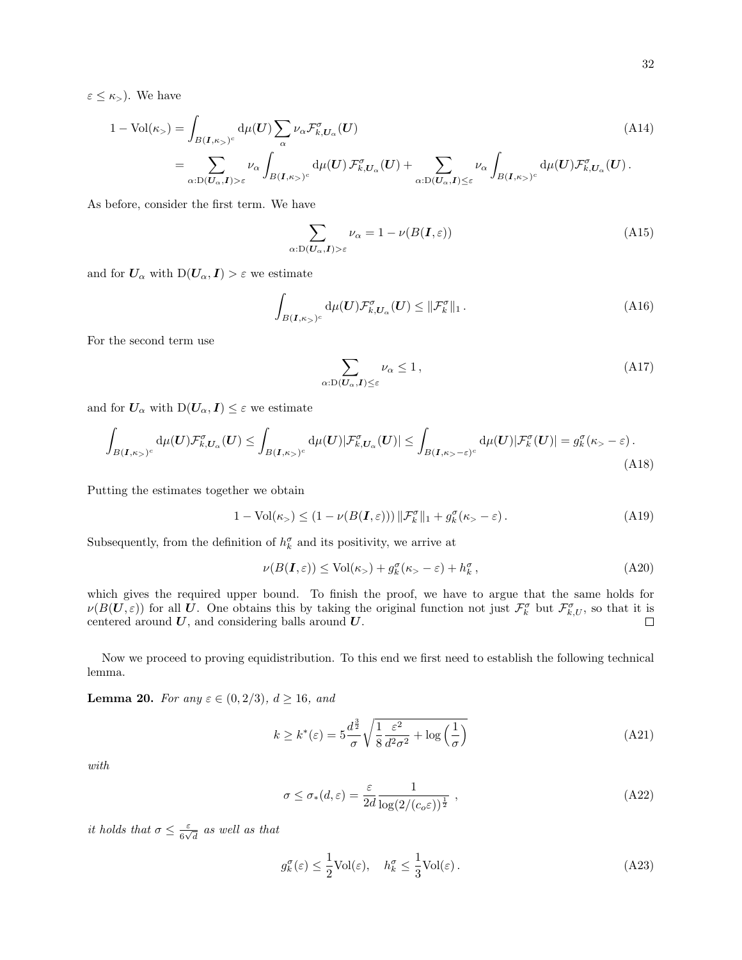$$
1 - \text{Vol}(\kappa_{>}) = \int_{B(I,\kappa_{>})^c} d\mu(U) \sum_{\alpha} \nu_{\alpha} \mathcal{F}_{k,U_{\alpha}}^{\sigma}(U)
$$
\n
$$
= \sum_{\alpha:D(U_{\alpha},I)>\varepsilon} \nu_{\alpha} \int_{B(I,\kappa_{>})^c} d\mu(U) \mathcal{F}_{k,U_{\alpha}}^{\sigma}(U) + \sum_{\alpha:D(U_{\alpha},I)\leq\varepsilon} \nu_{\alpha} \int_{B(I,\kappa_{>})^c} d\mu(U) \mathcal{F}_{k,U_{\alpha}}^{\sigma}(U).
$$
\n(A14)

As before, consider the first term. We have

<span id="page-31-4"></span>
$$
\sum_{\alpha: D(U_{\alpha}, I) > \varepsilon} \nu_{\alpha} = 1 - \nu(B(I, \varepsilon))
$$
\n(A15)

and for  $U_{\alpha}$  with  $D(U_{\alpha}, I) > \varepsilon$  we estimate

$$
\int_{B(\mathbf{I},\kappa_{>})^c} d\mu(\mathbf{U}) \mathcal{F}_{k,U_{\alpha}}^{\sigma}(\mathbf{U}) \leq \|\mathcal{F}_{k}^{\sigma}\|_{1}.
$$
\n(A16)

For the second term use

$$
\sum_{\alpha:\mathcal{D}(\mathbf{U}_{\alpha},\mathbf{I})\leq\varepsilon}\nu_{\alpha}\leq 1\,,\tag{A17}
$$

and for  $U_{\alpha}$  with  $D(U_{\alpha}, I) \leq \varepsilon$  we estimate

$$
\int_{B(\mathbf{I},\kappa)>^c} d\mu(\mathbf{U}) \mathcal{F}_{k,U_{\alpha}}^{\sigma}(\mathbf{U}) \leq \int_{B(\mathbf{I},\kappa)>^c} d\mu(\mathbf{U}) |\mathcal{F}_{k,U_{\alpha}}^{\sigma}(\mathbf{U})| \leq \int_{B(\mathbf{I},\kappa>-\varepsilon)^c} d\mu(\mathbf{U}) |\mathcal{F}_{k}^{\sigma}(\mathbf{U})| = g_{k}^{\sigma}(\kappa>-\varepsilon).
$$
\n(A18)

Putting the estimates together we obtain

$$
1 - Vol(\kappa_{>}) \le (1 - \nu(B(\mathbf{I}, \varepsilon))) \|\mathcal{F}_{k}^{\sigma}\|_{1} + g_{k}^{\sigma}(\kappa_{>} - \varepsilon). \tag{A19}
$$

Subsequently, from the definition of  $h_k^{\sigma}$  and its positivity, we arrive at

$$
\nu(B(\mathbf{I}, \varepsilon)) \le \text{Vol}(\kappa_+) + g_k^{\sigma}(\kappa_- - \varepsilon) + h_k^{\sigma}, \tag{A20}
$$

which gives the required upper bound. To finish the proof, we have to argue that the same holds for  $\nu(B(\mathbf{U},\varepsilon))$  for all U. One obtains this by taking the original function not just  $\mathcal{F}_{k}^{\sigma}$  but  $\mathcal{F}_{k,U}^{\sigma}$ , so that it is centered around  $U$ , and considering balls around  $U$ .

Now we proceed to proving equidistribution. To this end we first need to establish the following technical lemma.

<span id="page-31-2"></span>**Lemma 20.** For any  $\varepsilon \in (0, 2/3), d \ge 16,$  and

<span id="page-31-3"></span>
$$
k \ge k^*(\varepsilon) = 5\frac{d^{\frac{3}{2}}}{\sigma} \sqrt{\frac{1}{8} \frac{\varepsilon^2}{d^2 \sigma^2} + \log\left(\frac{1}{\sigma}\right)}\tag{A21}
$$

with

<span id="page-31-0"></span>
$$
\sigma \le \sigma_*(d, \varepsilon) = \frac{\varepsilon}{2d} \frac{1}{\log(2/(c_o \varepsilon))^{\frac{1}{2}}},
$$
\n(A22)

it holds that  $\sigma \leq \frac{\varepsilon}{\varepsilon}$  $\frac{\varepsilon}{6\sqrt{d}}$  as well as that

<span id="page-31-1"></span>
$$
g_k^{\sigma}(\varepsilon) \le \frac{1}{2} \text{Vol}(\varepsilon), \quad h_k^{\sigma} \le \frac{1}{3} \text{Vol}(\varepsilon).
$$
 (A23)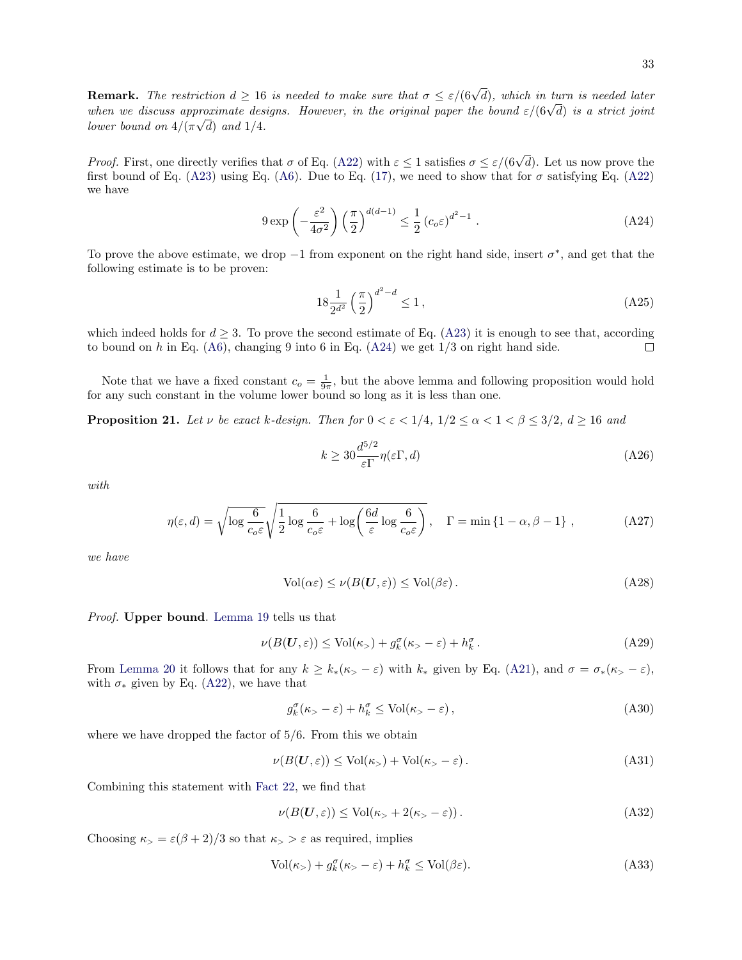**Remark.** The restriction  $d \geq 16$  is needed to make sure that  $\sigma \leq \varepsilon/(6\sqrt{d})$ , which in turn is needed later **KEMATK.** The restriction  $a \ge 16$  is needed to make sure that  $\sigma \le \varepsilon/(6\sqrt{a})$ , which in turn is needed tater<br>when we discuss approximate designs. However, in the original paper the bound  $\varepsilon/(6\sqrt{d})$  is a strict joint lower bound on  $4/(\pi\sqrt{d})$  and  $1/4$ .

*Proof.* First, one directly verifies that  $\sigma$  of Eq. [\(A22\)](#page-31-0) with  $\varepsilon \leq 1$  satisfies  $\sigma \leq \varepsilon/(6\sqrt{d})$ . Let us now prove the first bound of Eq. [\(A23\)](#page-31-1) using Eq. [\(A6\)](#page-30-1). Due to Eq. [\(17\)](#page-9-1), we need to show that for  $\sigma$  satisfying Eq. [\(A22\)](#page-31-0) we have

<span id="page-32-1"></span>
$$
9 \exp\left(-\frac{\varepsilon^2}{4\sigma^2}\right) \left(\frac{\pi}{2}\right)^{d(d-1)} \le \frac{1}{2} \left(c_o \varepsilon\right)^{d^2 - 1} . \tag{A24}
$$

To prove the above estimate, we drop  $-1$  from exponent on the right hand side, insert  $\sigma^*$ , and get that the following estimate is to be proven:

$$
18\frac{1}{2^{d^2}}\left(\frac{\pi}{2}\right)^{d^2-d} \le 1\,,\tag{A25}
$$

which indeed holds for  $d \geq 3$ . To prove the second estimate of Eq. [\(A23\)](#page-31-1) it is enough to see that, according to bound on h in Eq.  $(46)$ , changing 9 into 6 in Eq.  $(424)$  we get  $1/3$  on right hand side. П

Note that we have a fixed constant  $c_0 = \frac{1}{9\pi}$ , but the above lemma and following proposition would hold for any such constant in the volume lower bound so long as it is less than one.

<span id="page-32-0"></span>**Proposition 21.** Let v be exact k-design. Then for  $0 < \varepsilon < 1/4$ ,  $1/2 \le \alpha < 1 < \beta \le 3/2$ ,  $d \ge 16$  and

<span id="page-32-3"></span>
$$
k \ge 30 \frac{d^{5/2}}{\varepsilon \Gamma} \eta(\varepsilon \Gamma, d) \tag{A26}
$$

with

$$
\eta(\varepsilon, d) = \sqrt{\log \frac{6}{c_o \varepsilon}} \sqrt{\frac{1}{2} \log \frac{6}{c_o \varepsilon} + \log \left( \frac{6d}{\varepsilon} \log \frac{6}{c_o \varepsilon} \right)}, \quad \Gamma = \min \left\{ 1 - \alpha, \beta - 1 \right\},\tag{A27}
$$

we have

<span id="page-32-2"></span>
$$
Vol(\alpha \varepsilon) \le \nu(B(\mathbf{U}, \varepsilon)) \le Vol(\beta \varepsilon).
$$
 (A28)

Proof. Upper bound. [Lemma 19](#page-30-2) tells us that

$$
\nu(B(\mathbf{U}, \varepsilon)) \le \text{Vol}(\kappa_>) + g_k^{\sigma}(\kappa_> - \varepsilon) + h_k^{\sigma}.
$$
 (A29)

From [Lemma 20](#page-31-2) it follows that for any  $k \geq k_*(\kappa > -\varepsilon)$  with  $k_*$  given by Eq. [\(A21\)](#page-31-3), and  $\sigma = \sigma_*(\kappa > -\varepsilon)$ , with  $\sigma_*$  given by Eq. [\(A22\)](#page-31-0), we have that

<span id="page-32-4"></span>
$$
g_k^{\sigma}(\kappa_{>}-\varepsilon) + h_k^{\sigma} \le \text{Vol}(\kappa_{>}-\varepsilon) ,\tag{A30}
$$

where we have dropped the factor of 5/6. From this we obtain

$$
\nu(B(\mathbf{U}, \varepsilon)) \le \text{Vol}(\kappa_>) + \text{Vol}(\kappa_> - \varepsilon). \tag{A31}
$$

Combining this statement with [Fact 22,](#page-33-0) we find that

$$
\nu(B(\mathbf{U}, \varepsilon)) \le \text{Vol}(\kappa_{>} + 2(\kappa_{>} - \varepsilon)).\tag{A32}
$$

Choosing  $\kappa$ <sub>></sub> =  $\varepsilon$ ( $\beta$  + 2)/3 so that  $\kappa$ <sub>></sub> >  $\varepsilon$  as required, implies

$$
\text{Vol}(\kappa_{>}) + g_k^{\sigma}(\kappa_{>} - \varepsilon) + h_k^{\sigma} \le \text{Vol}(\beta \varepsilon). \tag{A33}
$$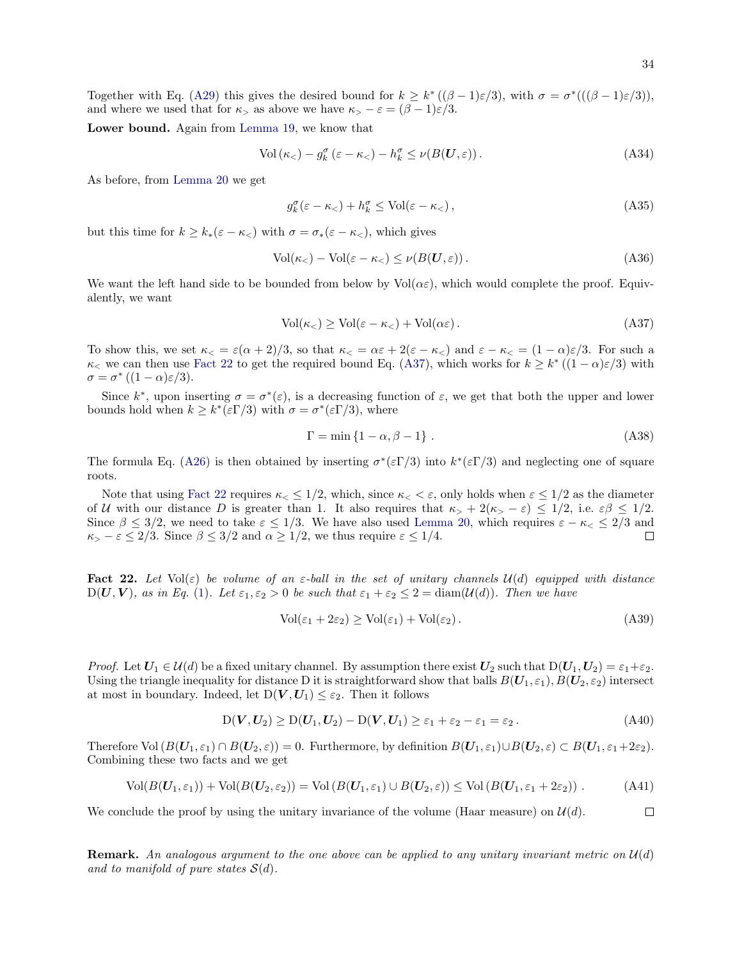Together with Eq. [\(A29\)](#page-32-2) this gives the desired bound for  $k \geq k^* \left( (\beta - 1)\varepsilon/3 \right)$ , with  $\sigma = \sigma^* \left( ((\beta - 1)\varepsilon/3 \right)$ , and where we used that for  $\kappa$ , as above we have  $\kappa$ ,  $-\varepsilon = (\beta - 1)\varepsilon/3$ .

Lower bound. Again from [Lemma 19,](#page-30-2) we know that

$$
\text{Vol}\left(\kappa_{<} \right) - g_k^{\sigma} \left(\varepsilon - \kappa_{<} \right) - h_k^{\sigma} \le \nu(B(\mathbf{U}, \varepsilon))\,. \tag{A34}
$$

As before, from [Lemma 20](#page-31-2) we get

<span id="page-33-2"></span>
$$
g_k^{\sigma}(\varepsilon - \kappa_<) + h_k^{\sigma} \le \text{Vol}(\varepsilon - \kappa_<) \,,\tag{A35}
$$

but this time for  $k \geq k_*(\varepsilon - \kappa_<)$  with  $\sigma = \sigma_*(\varepsilon - \kappa_<)$ , which gives

$$
Vol(\kappa_<) - Vol(\varepsilon - \kappa_<) \le \nu(B(U, \varepsilon)).
$$
\n(A36)

We want the left hand side to be bounded from below by  $Vol(\alpha \varepsilon)$ , which would complete the proof. Equivalently, we want

$$
\text{Vol}(\kappa_{<})\geq\text{Vol}(\varepsilon-\kappa_{<})+\text{Vol}(\alpha\varepsilon)\,. \tag{A37}
$$

To show this, we set  $\kappa < \varepsilon \leq \varepsilon (\alpha + 2)/3$ , so that  $\kappa < \varepsilon \leq \alpha \varepsilon + 2(\varepsilon - \kappa <)$  and  $\varepsilon - \kappa < \varepsilon \leq (1 - \alpha)\varepsilon/3$ . For such a  $\kappa_<$  we can then use [Fact 22](#page-33-0) to get the required bound Eq. [\(A37\)](#page-33-1), which works for  $k \geq k^*$  ( $(1-\alpha)\varepsilon/3$ ) with  $\sigma = \sigma^* ((1 - \alpha) \varepsilon / 3).$ 

Since  $k^*$ , upon inserting  $\sigma = \sigma^*(\varepsilon)$ , is a decreasing function of  $\varepsilon$ , we get that both the upper and lower bounds hold when  $k \geq k^*(\varepsilon \Gamma/3)$  with  $\sigma = \sigma^*(\varepsilon \Gamma/3)$ , where

<span id="page-33-1"></span>
$$
\Gamma = \min\left\{1 - \alpha, \beta - 1\right\}.
$$
\n(A38)

The formula Eq. [\(A26\)](#page-32-3) is then obtained by inserting  $\sigma^*(\varepsilon \Gamma/3)$  into  $k^*(\varepsilon \Gamma/3)$  and neglecting one of square roots.

Note that using [Fact 22](#page-33-0) requires  $\kappa \leq 1/2$ , which, since  $\kappa \leq \varepsilon$ , only holds when  $\varepsilon \leq 1/2$  as the diameter of U with our distance D is greater than 1. It also requires that  $\kappa > +2(\kappa > -\varepsilon) \leq 1/2$ , i.e.  $\varepsilon \beta \leq 1/2$ . Since  $\beta \leq 3/2$ , we need to take  $\varepsilon \leq 1/3$ . We have also used [Lemma 20,](#page-31-2) which requires  $\varepsilon - \kappa < \varepsilon \leq 2/3$  and  $\kappa > -\varepsilon \leq 2/3$ . Since  $\beta \leq 3/2$  and  $\alpha \geq 1/2$ , we thus require  $\varepsilon \leq 1/4$ .  $\Box$ 

<span id="page-33-0"></span>Fact 22. Let  $Vol(\varepsilon)$  be volume of an  $\varepsilon$ -ball in the set of unitary channels  $\mathcal{U}(d)$  equipped with distance  $D(U, V)$ , as in Eq. [\(1\)](#page-3-0). Let  $\varepsilon_1, \varepsilon_2 > 0$  be such that  $\varepsilon_1 + \varepsilon_2 \leq 2 = \text{diam}(\mathcal{U}(d))$ . Then we have

$$
Vol(\varepsilon_1 + 2\varepsilon_2) \ge Vol(\varepsilon_1) + Vol(\varepsilon_2).
$$
\n(A39)

*Proof.* Let  $U_1 \in \mathcal{U}(d)$  be a fixed unitary channel. By assumption there exist  $U_2$  such that  $D(U_1, U_2) = \varepsilon_1 + \varepsilon_2$ . Using the triangle inequality for distance D it is straightforward show that balls  $B(U_1, \varepsilon_1), B(U_2, \varepsilon_2)$  intersect at most in boundary. Indeed, let  $D(V, U_1) \leq \varepsilon_2$ . Then it follows

$$
D(V, U_2) \ge D(U_1, U_2) - D(V, U_1) \ge \varepsilon_1 + \varepsilon_2 - \varepsilon_1 = \varepsilon_2.
$$
 (A40)

Therefore Vol  $(B(\mathbf{U}_1, \varepsilon_1) \cap B(\mathbf{U}_2, \varepsilon)) = 0$ . Furthermore, by definition  $B(\mathbf{U}_1, \varepsilon_1) \cup B(\mathbf{U}_2, \varepsilon) \subset B(\mathbf{U}_1, \varepsilon_1 + 2\varepsilon_2)$ . Combining these two facts and we get

$$
\text{Vol}(B(\boldsymbol{U}_1,\varepsilon_1)) + \text{Vol}(B(\boldsymbol{U}_2,\varepsilon_2)) = \text{Vol}(B(\boldsymbol{U}_1,\varepsilon_1) \cup B(\boldsymbol{U}_2,\varepsilon)) \leq \text{Vol}(B(\boldsymbol{U}_1,\varepsilon_1+2\varepsilon_2))\ . \tag{A41}
$$

We conclude the proof by using the unitary invariance of the volume (Haar measure) on  $\mathcal{U}(d)$ .  $\Box$ 

**Remark.** An analogous argument to the one above can be applied to any unitary invariant metric on  $\mathcal{U}(d)$ and to manifold of pure states  $\mathcal{S}(d)$ .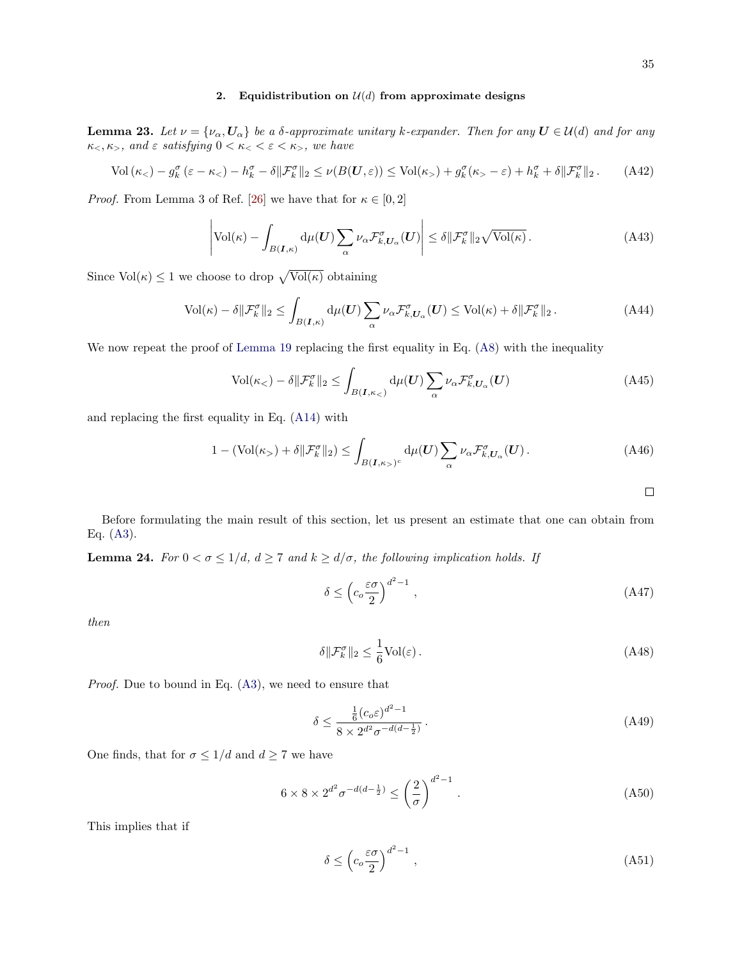### 2. Equidistribution on  $\mathcal{U}(d)$  from approximate designs

<span id="page-34-2"></span>**Lemma 23.** Let  $\nu = {\nu_\alpha, \mathbf{U}_\alpha}$  be a  $\delta$ -approximate unitary k-expander. Then for any  $\mathbf{U} \in \mathcal{U}(d)$  and for any  $\kappa_<, \kappa_>$ , and  $\varepsilon$  satisfying  $0 < \kappa_< < \varepsilon < \kappa_>$ , we have

$$
\text{Vol}\left(\kappa_{<} \right) - g_k^{\sigma} \left(\varepsilon - \kappa_{<} \right) - h_k^{\sigma} - \delta \|\mathcal{F}_k^{\sigma}\|_2 \le \nu(B(\mathbf{U}, \varepsilon)) \le \text{Vol}(\kappa_{>} \right) + g_k^{\sigma} (\kappa_{>} - \varepsilon) + h_k^{\sigma} + \delta \|\mathcal{F}_k^{\sigma}\|_2. \tag{A42}
$$

*Proof.* From Lemma 3 of Ref. [\[26\]](#page-45-3) we have that for  $\kappa \in [0, 2]$ 

$$
\left| \text{Vol}(\kappa) - \int_{B(\mathbf{I}, \kappa)} \mathrm{d}\mu(\mathbf{U}) \sum_{\alpha} \nu_{\alpha} \mathcal{F}_{k, U_{\alpha}}^{\sigma}(\mathbf{U}) \right| \leq \delta \| \mathcal{F}_{k}^{\sigma} \|_{2} \sqrt{\text{Vol}(\kappa)} \,.
$$
 (A43)

Since  $Vol(\kappa) \leq 1$  we choose to drop  $\sqrt{Vol(\kappa)}$  obtaining

$$
\text{Vol}(\kappa) - \delta \|\mathcal{F}_k^{\sigma}\|_2 \le \int_{B(\mathbf{I}, \kappa)} \mathrm{d}\mu(\mathbf{U}) \sum_{\alpha} \nu_{\alpha} \mathcal{F}_{k, \mathbf{U}_{\alpha}}^{\sigma}(\mathbf{U}) \le \text{Vol}(\kappa) + \delta \|\mathcal{F}_k^{\sigma}\|_2. \tag{A44}
$$

We now repeat the proof of [Lemma 19](#page-30-2) replacing the first equality in Eq. [\(A8\)](#page-30-0) with the inequality

$$
\text{Vol}(\kappa_{<})-\delta\|\mathcal{F}^{\sigma}_{k}\|_{2} \leq \int_{B(\mathbf{I},\kappa_{<})} d\mu(\mathbf{U}) \sum_{\alpha} \nu_{\alpha} \mathcal{F}^{\sigma}_{k,\mathbf{U}_{\alpha}}(\mathbf{U}) \tag{A45}
$$

and replacing the first equality in Eq. [\(A14\)](#page-31-4) with

$$
1 - (\text{Vol}(\kappa_{>} ) + \delta \|\mathcal{F}_{k}^{\sigma}\|_{2}) \leq \int_{B(I,\kappa_{>} )^{c}} d\mu(U) \sum_{\alpha} \nu_{\alpha} \mathcal{F}_{k,U_{\alpha}}^{\sigma}(U). \tag{A46}
$$

<span id="page-34-3"></span><span id="page-34-1"></span><span id="page-34-0"></span> $\Box$ 

Before formulating the main result of this section, let us present an estimate that one can obtain from Eq.  $(A3)$ .

**Lemma 24.** For  $0 < \sigma \leq 1/d$ ,  $d \geq 7$  and  $k \geq d/\sigma$ , the following implication holds. If

$$
\delta \le \left( c_o \frac{\varepsilon \sigma}{2} \right)^{d^2 - 1},\tag{A47}
$$

then

$$
\delta \|\mathcal{F}_k^{\sigma}\|_2 \le \frac{1}{6} \text{Vol}(\varepsilon). \tag{A48}
$$

Proof. Due to bound in Eq. [\(A3\)](#page-29-3), we need to ensure that

$$
\delta \le \frac{\frac{1}{6}(c_o \varepsilon)^{d^2 - 1}}{8 \times 2^{d^2} \sigma^{-d(d - \frac{1}{2})}}.
$$
\n(A49)

One finds, that for  $\sigma \leq 1/d$  and  $d \geq 7$  we have

$$
6 \times 8 \times 2^{d^2} \sigma^{-d(d - \frac{1}{2})} \le \left(\frac{2}{\sigma}\right)^{d^2 - 1}.
$$
 (A50)

This implies that if

$$
\delta \le \left( c_o \frac{\varepsilon \sigma}{2} \right)^{d^2 - 1},\tag{A51}
$$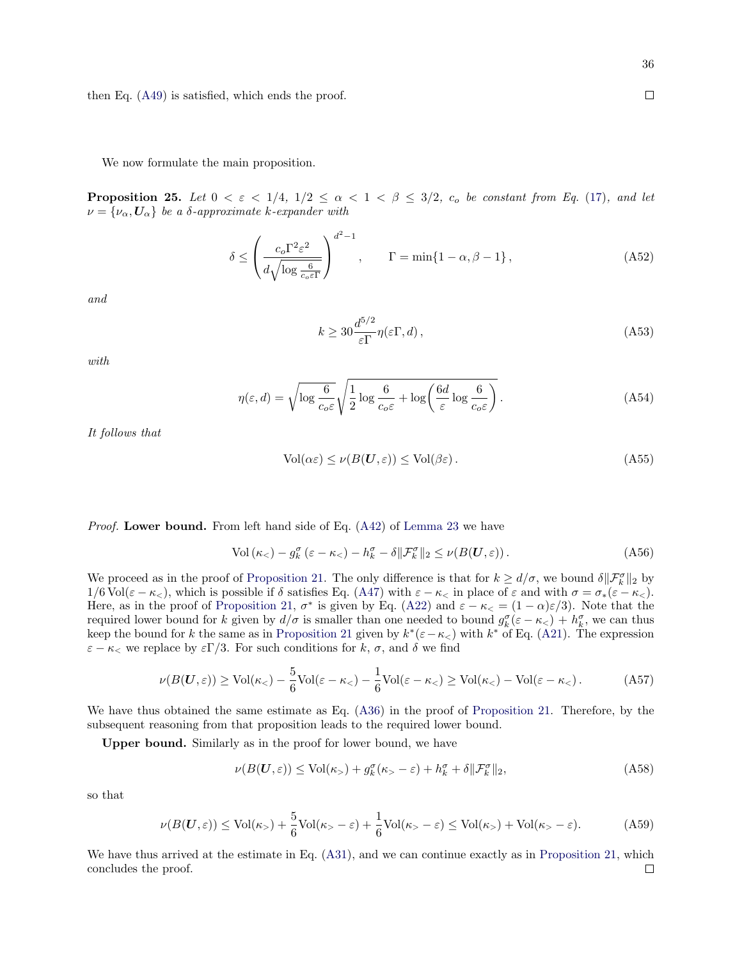<span id="page-35-0"></span>We now formulate the main proposition.

**Proposition 25.** Let  $0 < \varepsilon < 1/4$ ,  $1/2 \leq \alpha < 1 < \beta \leq 3/2$ ,  $c_o$  be constant from Eq. [\(17\)](#page-9-1), and let  $\nu = {\nu_{\alpha}, \mathbf{U}_{\alpha}}$  be a  $\delta$ -approximate k-expander with

$$
\delta \le \left(\frac{c_o \Gamma^2 \varepsilon^2}{d \sqrt{\log \frac{6}{c_o \varepsilon \Gamma}}}\right)^{d^2 - 1}, \qquad \Gamma = \min\{1 - \alpha, \beta - 1\},\tag{A52}
$$

and

$$
k \ge 30 \frac{d^{5/2}}{\varepsilon \Gamma} \eta(\varepsilon \Gamma, d), \tag{A53}
$$

with

$$
\eta(\varepsilon, d) = \sqrt{\log \frac{6}{c_o \varepsilon}} \sqrt{\frac{1}{2} \log \frac{6}{c_o \varepsilon} + \log \left( \frac{6d}{\varepsilon} \log \frac{6}{c_o \varepsilon} \right)}.
$$
\n(A54)

It follows that

$$
Vol(\alpha \varepsilon) \le \nu(B(\mathbf{U}, \varepsilon)) \le Vol(\beta \varepsilon).
$$
\n(A55)

Proof. Lower bound. From left hand side of Eq. [\(A42\)](#page-34-1) of [Lemma 23](#page-34-2) we have

$$
\text{Vol}\left(\kappa_{<} \right) - g_k^{\sigma} \left(\varepsilon - \kappa_{<} \right) - h_k^{\sigma} - \delta \| \mathcal{F}_k^{\sigma} \|_2 \le \nu(B(\mathbf{U}, \varepsilon)). \tag{A56}
$$

We proceed as in the proof of [Proposition 21.](#page-32-0) The only difference is that for  $k \geq d/\sigma$ , we bound  $\delta \|\mathcal{F}_k^{\sigma}\|_2$  by  $1/6 \text{Vol}(\varepsilon - \kappa_<)$ , which is possible if  $\delta$  satisfies Eq. [\(A47\)](#page-34-3) with  $\varepsilon - \kappa_<$  in place of  $\varepsilon$  and with  $\sigma = \sigma_*(\varepsilon - \kappa_<)$ . Here, as in the proof of [Proposition 21,](#page-32-0)  $\sigma^*$  is given by Eq. [\(A22\)](#page-31-0) and  $\varepsilon - \kappa < = (1 - \alpha)\varepsilon/3$ . Note that the required lower bound for k given by  $d/\sigma$  is smaller than one needed to bound  $g_k^{\sigma}(\varepsilon - \kappa_<) + h_k^{\sigma}$ , we can thus keep the bound for k the same as in [Proposition 21](#page-32-0) given by  $k^*(\varepsilon-\kappa_<)$  with  $k^*$  of Eq. [\(A21\)](#page-31-3). The expression  $\varepsilon - \kappa_<$  we replace by  $\varepsilon \Gamma/3$ . For such conditions for k,  $\sigma$ , and  $\delta$  we find

$$
\nu(B(\mathbf{U}, \varepsilon)) \ge \text{Vol}(\kappa_{<}) - \frac{5}{6}\text{Vol}(\varepsilon - \kappa_{<}) - \frac{1}{6}\text{Vol}(\varepsilon - \kappa_{<}) \ge \text{Vol}(\kappa_{<}) - \text{Vol}(\varepsilon - \kappa_{<})\,. \tag{A57}
$$

We have thus obtained the same estimate as Eq.  $(A36)$  in the proof of [Proposition 21.](#page-32-0) Therefore, by the subsequent reasoning from that proposition leads to the required lower bound.

Upper bound. Similarly as in the proof for lower bound, we have

$$
\nu(B(\mathbf{U}, \varepsilon)) \le \text{Vol}(\kappa_>) + g_k^{\sigma}(\kappa_> - \varepsilon) + h_k^{\sigma} + \delta \|\mathcal{F}_k^{\sigma}\|_2, \tag{A58}
$$

so that

$$
\nu(B(\mathbf{U},\varepsilon)) \le \text{Vol}(\kappa) + \frac{5}{6}\text{Vol}(\kappa) - \varepsilon + \frac{1}{6}\text{Vol}(\kappa) - \varepsilon \le \text{Vol}(\kappa) + \text{Vol}(\kappa) - \varepsilon. \tag{A59}
$$

We have thus arrived at the estimate in Eq.  $(A31)$ , and we can continue exactly as in [Proposition 21,](#page-32-0) which concludes the proof. $\Box$ 

 $\Box$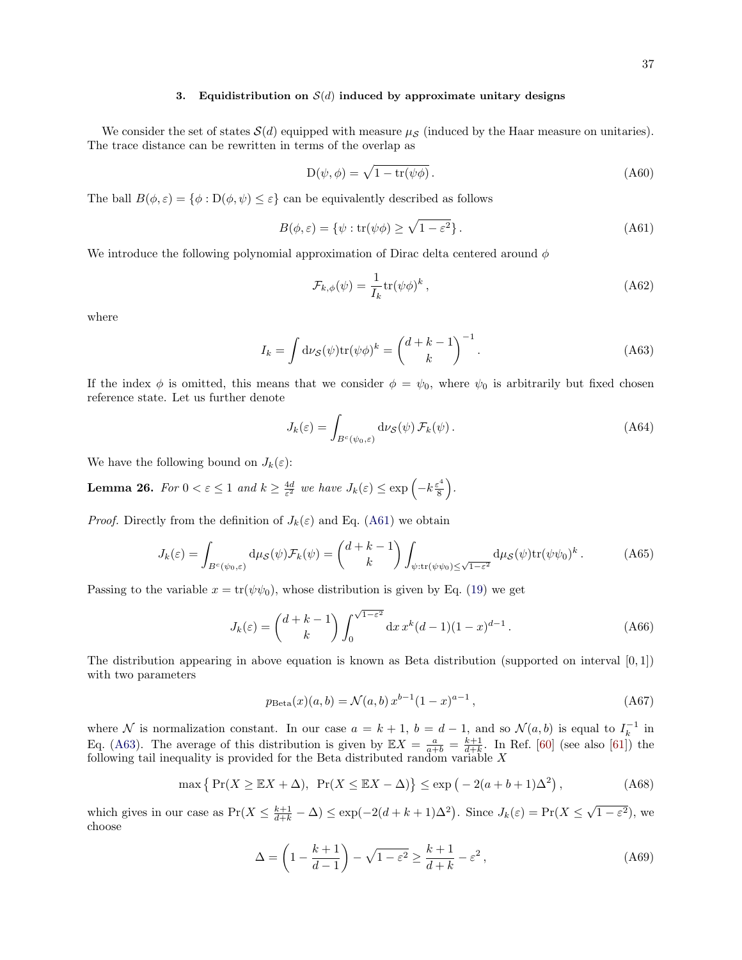#### 3. Equidistribution on  $\mathcal{S}(d)$  induced by approximate unitary designs

We consider the set of states  $\mathcal{S}(d)$  equipped with measure  $\mu_{\mathcal{S}}$  (induced by the Haar measure on unitaries). The trace distance can be rewritten in terms of the overlap as

$$
D(\psi, \phi) = \sqrt{1 - \text{tr}(\psi \phi)}.
$$
 (A60)

The ball  $B(\phi, \varepsilon) = {\phi : D(\phi, \psi) \leq \varepsilon}$  can be equivalently described as follows

<span id="page-36-0"></span>
$$
B(\phi, \varepsilon) = \{ \psi : \text{tr}(\psi \phi) \ge \sqrt{1 - \varepsilon^2} \}.
$$
 (A61)

We introduce the following polynomial approximation of Dirac delta centered around  $\phi$ 

<span id="page-36-1"></span>
$$
\mathcal{F}_{k,\phi}(\psi) = \frac{1}{I_k} \text{tr}(\psi \phi)^k \,, \tag{A62}
$$

where

$$
I_k = \int d\nu_{\mathcal{S}}(\psi) \text{tr}(\psi \phi)^k = \binom{d+k-1}{k}^{-1}.
$$
 (A63)

If the index  $\phi$  is omitted, this means that we consider  $\phi = \psi_0$ , where  $\psi_0$  is arbitrarily but fixed chosen reference state. Let us further denote

$$
J_k(\varepsilon) = \int_{B^c(\psi_0,\varepsilon)} \mathrm{d}\nu_{\mathcal{S}}(\psi) \, \mathcal{F}_k(\psi) \,. \tag{A64}
$$

We have the following bound on  $J_k(\varepsilon)$ :

<span id="page-36-2"></span>**Lemma 26.** For  $0 < \varepsilon \leq 1$  and  $k \geq \frac{4d}{\varepsilon^2}$  we have  $J_k(\varepsilon) \leq \exp\left(-k\frac{\varepsilon^4}{8}\right)$  $\frac{\epsilon^4}{8}$ .

*Proof.* Directly from the definition of  $J_k(\varepsilon)$  and Eq. [\(A61\)](#page-36-0) we obtain

$$
J_k(\varepsilon) = \int_{B^c(\psi_0,\varepsilon)} \mathrm{d}\mu_{\mathcal{S}}(\psi) \mathcal{F}_k(\psi) = \binom{d+k-1}{k} \int_{\psi:\text{tr}(\psi\psi_0) \le \sqrt{1-\varepsilon^2}} \mathrm{d}\mu_{\mathcal{S}}(\psi) \text{tr}(\psi\psi_0)^k. \tag{A65}
$$

Passing to the variable  $x = \text{tr}(\psi \psi_0)$ , whose distribution is given by Eq. [\(19\)](#page-9-3) we get

$$
J_k(\varepsilon) = \binom{d+k-1}{k} \int_0^{\sqrt{1-\varepsilon^2}} dx \, x^k (d-1)(1-x)^{d-1} \,. \tag{A66}
$$

The distribution appearing in above equation is known as Beta distribution (supported on interval  $[0,1]$ ) with two parameters

$$
p_{\text{Beta}}(x)(a, b) = \mathcal{N}(a, b) x^{b-1} (1 - x)^{a-1},
$$
\n(A67)

where N is normalization constant. In our case  $a = k + 1$ ,  $b = d - 1$ , and so  $\mathcal{N}(a, b)$  is equal to  $I_k^{-1}$  in Eq. [\(A63\)](#page-36-1). The average of this distribution is given by  $\mathbb{E}X = \frac{a}{a+b} = \frac{k+1}{d+k}$ . In Ref. [\[60\]](#page-46-9) (see also [\[61\]](#page-46-10)) the following tail inequality is provided for the Beta distributed random variable  $X$ 

$$
\max\left\{\Pr(X \ge \mathbb{E}X + \Delta), \Pr(X \le \mathbb{E}X - \Delta)\right\} \le \exp\left(-2(a+b+1)\Delta^2\right),\tag{A68}
$$

which gives in our case as  $Pr(X \leq \frac{k+1}{d+k} - \Delta) \leq exp(-2(d+k+1)\Delta^2)$ . Since  $J_k(\varepsilon) = Pr(X \leq$  $(1-\varepsilon^2)$ , we choose

$$
\Delta = \left(1 - \frac{k+1}{d-1}\right) - \sqrt{1 - \varepsilon^2} \ge \frac{k+1}{d+k} - \varepsilon^2,
$$
\n(A69)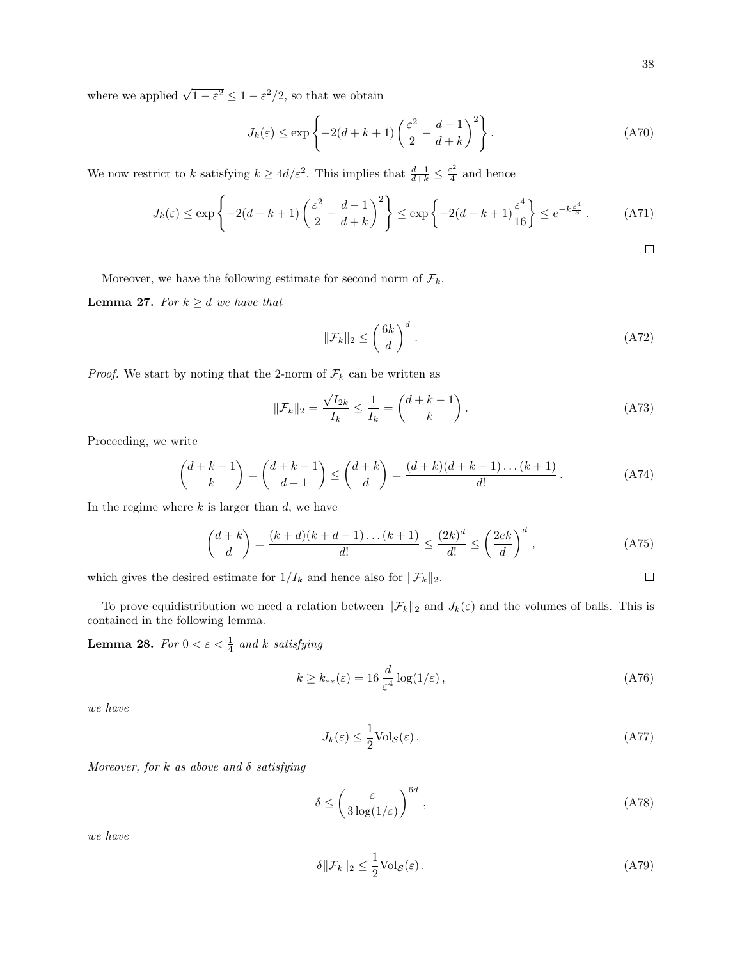$\Box$ 

where we applied  $\sqrt{1-\varepsilon^2} \leq 1-\varepsilon^2/2$ , so that we obtain

$$
J_k(\varepsilon) \le \exp\left\{-2(d+k+1)\left(\frac{\varepsilon^2}{2} - \frac{d-1}{d+k}\right)^2\right\}.
$$
 (A70)

We now restrict to k satisfying  $k \geq 4d/\varepsilon^2$ . This implies that  $\frac{d-1}{d+k} \leq \frac{\varepsilon^2}{4}$  $rac{1}{4}$  and hence

$$
J_k(\varepsilon) \le \exp\left\{-2(d+k+1)\left(\frac{\varepsilon^2}{2} - \frac{d-1}{d+k}\right)^2\right\} \le \exp\left\{-2(d+k+1)\frac{\varepsilon^4}{16}\right\} \le e^{-k\frac{\varepsilon^4}{8}}.
$$
 (A71)

Moreover, we have the following estimate for second norm of  $\mathcal{F}_k.$ 

<span id="page-37-0"></span>**Lemma 27.** For  $k \geq d$  we have that

$$
\|\mathcal{F}_k\|_2 \le \left(\frac{6k}{d}\right)^d. \tag{A72}
$$

*Proof.* We start by noting that the 2-norm of  $\mathcal{F}_k$  can be written as

$$
\|\mathcal{F}_k\|_2 = \frac{\sqrt{I_{2k}}}{I_k} \le \frac{1}{I_k} = \binom{d+k-1}{k}.
$$
 (A73)

Proceeding, we write

$$
\binom{d+k-1}{k} = \binom{d+k-1}{d-1} \le \binom{d+k}{d} = \frac{(d+k)(d+k-1)\dots(k+1)}{d!} \,. \tag{A74}
$$

In the regime where  $k$  is larger than  $d$ , we have

$$
\binom{d+k}{d} = \frac{(k+d)(k+d-1)\dots(k+1)}{d!} \le \frac{(2k)^d}{d!} \le \left(\frac{2ek}{d}\right)^d,
$$
\n(A75)

which gives the desired estimate for  $1/I_k$  and hence also for  $||\mathcal{F}_k||_2$ .

To prove equidistribution we need a relation between  $\|\mathcal{F}_k\|_2$  and  $J_k(\varepsilon)$  and the volumes of balls. This is contained in the following lemma.

<span id="page-37-1"></span>**Lemma 28.** For  $0 < \varepsilon < \frac{1}{4}$  and k satisfying

$$
k \ge k_{**}(\varepsilon) = 16 \frac{d}{\varepsilon^4} \log(1/\varepsilon) \,, \tag{A76}
$$

we have

$$
J_k(\varepsilon) \le \frac{1}{2} \text{Vol}_{\mathcal{S}}(\varepsilon). \tag{A77}
$$

Moreover, for k as above and  $\delta$  satisfying

$$
\delta \le \left(\frac{\varepsilon}{3\log(1/\varepsilon)}\right)^{6d},\tag{A78}
$$

we have

$$
\delta \|\mathcal{F}_k\|_2 \le \frac{1}{2} \text{Vol}_{\mathcal{S}}(\varepsilon). \tag{A79}
$$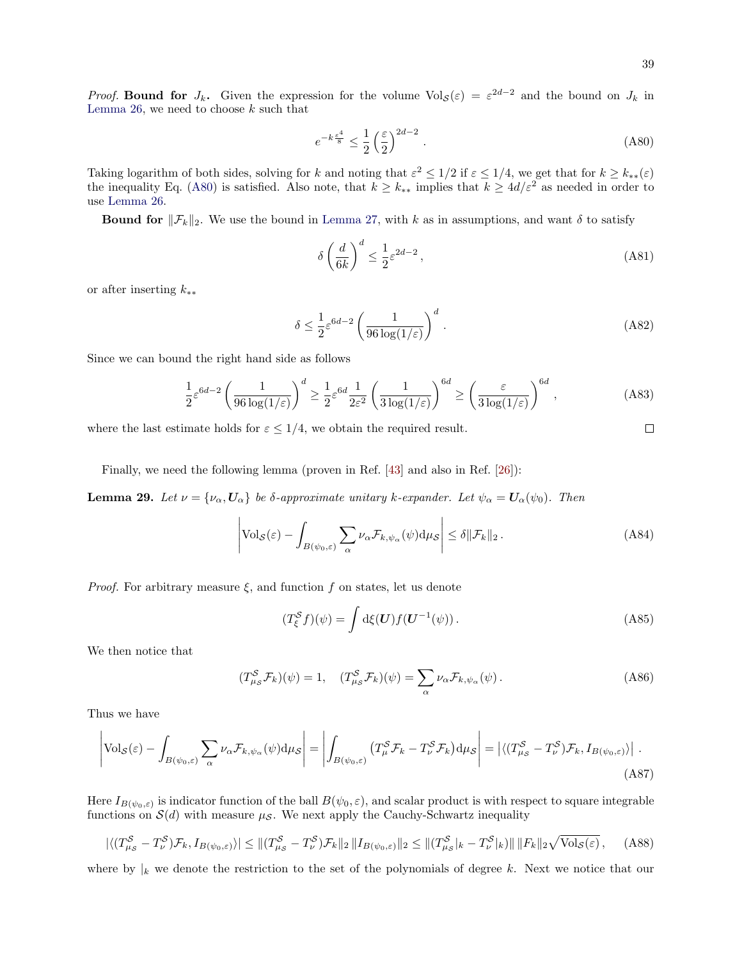*Proof.* Bound for  $J_k$ . Given the expression for the volume  $Vol_{\mathcal{S}}(\varepsilon) = \varepsilon^{2d-2}$  and the bound on  $J_k$  in [Lemma 26,](#page-36-2) we need to choose  $k$  such that

$$
e^{-k\frac{\varepsilon^4}{8}} \le \frac{1}{2} \left(\frac{\varepsilon}{2}\right)^{2d-2} \,. \tag{A80}
$$

Taking logarithm of both sides, solving for k and noting that  $\varepsilon^2 \leq 1/2$  if  $\varepsilon \leq 1/4$ , we get that for  $k \geq k_{**}(\varepsilon)$ the inequality Eq. [\(A80\)](#page-38-0) is satisfied. Also note, that  $k \geq k_{**}$  implies that  $k \geq 4d/\varepsilon^2$  as needed in order to use [Lemma 26.](#page-36-2)

**Bound for**  $\|\mathcal{F}_k\|_2$ . We use the bound in [Lemma 27,](#page-37-0) with k as in assumptions, and want  $\delta$  to satisfy

$$
\delta \left(\frac{d}{6k}\right)^d \le \frac{1}{2}\varepsilon^{2d-2},\tag{A81}
$$

or after inserting k∗∗

$$
\delta \le \frac{1}{2} \varepsilon^{6d-2} \left( \frac{1}{96 \log(1/\varepsilon)} \right)^d \,. \tag{A82}
$$

Since we can bound the right hand side as follows

$$
\frac{1}{2}\varepsilon^{6d-2} \left(\frac{1}{96\log(1/\varepsilon)}\right)^d \ge \frac{1}{2}\varepsilon^{6d} \frac{1}{2\varepsilon^2} \left(\frac{1}{3\log(1/\varepsilon)}\right)^{6d} \ge \left(\frac{\varepsilon}{3\log(1/\varepsilon)}\right)^{6d},\tag{A83}
$$

where the last estimate holds for  $\varepsilon \leq 1/4$ , we obtain the required result.

Finally, we need the following lemma (proven in Ref. [\[43\]](#page-45-18) and also in Ref. [\[26\]](#page-45-3)):

**Lemma 29.** Let  $\nu = {\nu_\alpha, U_\alpha}$  be δ-approximate unitary k-expander. Let  $\psi_\alpha = U_\alpha(\psi_0)$ . Then

$$
\left| \text{Vol}_{\mathcal{S}}(\varepsilon) - \int_{B(\psi_0, \varepsilon)} \sum_{\alpha} \nu_{\alpha} \mathcal{F}_{k, \psi_{\alpha}}(\psi) d\mu_{\mathcal{S}} \right| \leq \delta \|\mathcal{F}_k\|_2.
$$
 (A84)

*Proof.* For arbitrary measure  $\xi$ , and function f on states, let us denote

$$
(T_{\xi}^{\mathcal{S}}f)(\psi) = \int d\xi(\mathbf{U}) f(\mathbf{U}^{-1}(\psi)). \tag{A85}
$$

We then notice that

$$
(T^{\mathcal{S}}_{\mu\mathcal{S}}\mathcal{F}_{k})(\psi) = 1, \quad (T^{\mathcal{S}}_{\mu\mathcal{S}}\mathcal{F}_{k})(\psi) = \sum_{\alpha} \nu_{\alpha} \mathcal{F}_{k,\psi_{\alpha}}(\psi). \tag{A86}
$$

Thus we have

$$
\left| \text{Vol}_{\mathcal{S}}(\varepsilon) - \int_{B(\psi_0, \varepsilon)} \sum_{\alpha} \nu_{\alpha} \mathcal{F}_{k, \psi_{\alpha}}(\psi) d\mu_{\mathcal{S}} \right| = \left| \int_{B(\psi_0, \varepsilon)} \left( T_{\mu}^{\mathcal{S}} \mathcal{F}_{k} - T_{\nu}^{\mathcal{S}} \mathcal{F}_{k} \right) d\mu_{\mathcal{S}} \right| = \left| \langle (T_{\mu_{\mathcal{S}}}^{\mathcal{S}} - T_{\nu}^{\mathcal{S}}) \mathcal{F}_{k}, I_{B(\psi_0, \varepsilon)} \rangle \right| \, . \tag{A87}
$$

Here  $I_{B(\psi_0,\varepsilon)}$  is indicator function of the ball  $B(\psi_0,\varepsilon)$ , and scalar product is with respect to square integrable functions on  $\mathcal{S}(d)$  with measure  $\mu_{\mathcal{S}}$ . We next apply the Cauchy-Schwartz inequality

$$
|\langle (T_{\mu_{\mathcal{S}}}^{\mathcal{S}} - T_{\nu}^{\mathcal{S}}) \mathcal{F}_{k}, I_{B(\psi_{0}, \varepsilon)} \rangle| \leq ||(T_{\mu_{\mathcal{S}}}^{\mathcal{S}} - T_{\nu}^{\mathcal{S}}) \mathcal{F}_{k}||_{2} ||I_{B(\psi_{0}, \varepsilon)}||_{2} \leq ||(T_{\mu_{\mathcal{S}}}^{\mathcal{S}}|_{k} - T_{\nu}^{\mathcal{S}}|_{k})|| \, ||F_{k}||_{2} \sqrt{\text{Vol}_{\mathcal{S}}(\varepsilon)}, \quad (A88)
$$

where by  $|k|$  we denote the restriction to the set of the polynomials of degree k. Next we notice that our

<span id="page-38-1"></span><span id="page-38-0"></span> $\Box$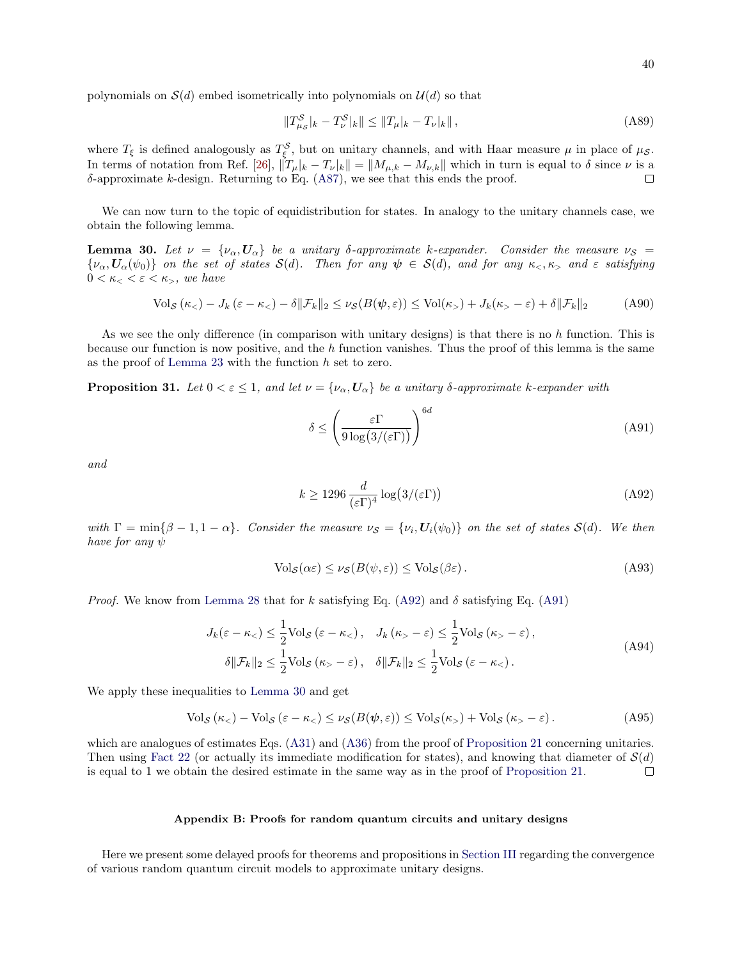polynomials on  $\mathcal{S}(d)$  embed isometrically into polynomials on  $\mathcal{U}(d)$  so that

$$
||T_{\mu_{\mathcal{S}}}^{\mathcal{S}}|_{k} - T_{\nu}^{\mathcal{S}}|_{k}|| \le ||T_{\mu}|_{k} - T_{\nu}|_{k}||,
$$
\n(A89)

where  $T_{\xi}$  is defined analogously as  $T_{\xi}^{S}$ , but on unitary channels, and with Haar measure  $\mu$  in place of  $\mu_{S}$ . In terms of notation from Ref. [\[26\]](#page-45-3),  $\|\tilde{T}_{\mu}|_{k} - T_{\nu}|_{k}\| = \|M_{\mu,k} - M_{\nu,k}\|$  which in turn is equal to  $\delta$  since  $\nu$  is a  $\delta$ -approximate k-design. Returning to Eq. [\(A87\)](#page-38-1), we see that this ends the proof.  $\Box$ 

We can now turn to the topic of equidistribution for states. In analogy to the unitary channels case, we obtain the following lemma.

<span id="page-39-4"></span>**Lemma 30.** Let  $\nu = {\nu_{\alpha}, \nu_{\alpha}}$  be a unitary δ-approximate k-expander. Consider the measure  $\nu_{\mathcal{S}}$  $\{\nu_\alpha, \mathbf{U}_\alpha(\psi_0)\}\$  on the set of states  $\mathcal{S}(d)$ . Then for any  $\psi \in \mathcal{S}(d)$ , and for any  $\kappa_<,\kappa_>$  and  $\varepsilon$  satisfying  $0 < \kappa_{<} < \varepsilon < \kappa_{>}$ , we have

$$
\text{Vol}_{\mathcal{S}}\left(\kappa_{<} \right) - J_k\left(\varepsilon - \kappa_{<} \right) - \delta \|\mathcal{F}_k\|_2 \leq \nu_{\mathcal{S}}(B(\psi, \varepsilon)) \leq \text{Vol}(\kappa_{>} \right) + J_k(\kappa_{>} - \varepsilon) + \delta \|\mathcal{F}_k\|_2 \tag{A90}
$$

As we see the only difference (in comparison with unitary designs) is that there is no  $h$  function. This is because our function is now positive, and the  $h$  function vanishes. Thus the proof of this lemma is the same as the proof of [Lemma 23](#page-34-2) with the function  $h$  set to zero.

<span id="page-39-1"></span>**Proposition 31.** Let  $0 < \varepsilon \leq 1$ , and let  $\nu = {\nu_{\alpha}, \nu_{\alpha}}$  be a unitary  $\delta$ -approximate k-expander with

<span id="page-39-3"></span><span id="page-39-2"></span>
$$
\delta \le \left(\frac{\varepsilon \Gamma}{9 \log(3/(\varepsilon \Gamma))}\right)^{6d} \tag{A91}
$$

and

$$
k \ge 1296 \frac{d}{(\varepsilon \Gamma)^4} \log(3/(\varepsilon \Gamma)) \tag{A92}
$$

with  $\Gamma = \min\{\beta - 1, 1 - \alpha\}$ . Consider the measure  $\nu s = \{\nu_i, \mathbf{U}_i(\psi_0)\}$  on the set of states  $\mathcal{S}(d)$ . We then have for any  $\psi$ 

$$
\text{Vol}_{\mathcal{S}}(\alpha \varepsilon) \le \nu_{\mathcal{S}}(B(\psi, \varepsilon)) \le \text{Vol}_{\mathcal{S}}(\beta \varepsilon). \tag{A93}
$$

*Proof.* We know from [Lemma 28](#page-37-1) that for k satisfying Eq. [\(A92\)](#page-39-2) and  $\delta$  satisfying Eq. [\(A91\)](#page-39-3)

$$
J_k(\varepsilon - \kappa_<) \le \frac{1}{2} \text{Vol}_{\mathcal{S}} (\varepsilon - \kappa_<), \quad J_k(\kappa_> - \varepsilon) \le \frac{1}{2} \text{Vol}_{\mathcal{S}} (\kappa_> - \varepsilon),
$$
  

$$
\delta \|\mathcal{F}_k\|_2 \le \frac{1}{2} \text{Vol}_{\mathcal{S}} (\kappa_> - \varepsilon), \quad \delta \|\mathcal{F}_k\|_2 \le \frac{1}{2} \text{Vol}_{\mathcal{S}} (\varepsilon - \kappa_<).
$$
 (A94)

We apply these inequalities to [Lemma 30](#page-39-4) and get

$$
\text{Vol}_{\mathcal{S}}\left(\kappa_{<} \right) - \text{Vol}_{\mathcal{S}}\left(\varepsilon - \kappa_{<} \right) \leq \nu_{\mathcal{S}}(B(\psi, \varepsilon)) \leq \text{Vol}_{\mathcal{S}}(\kappa_{>} + \text{Vol}_{\mathcal{S}}\left(\kappa_{>} - \varepsilon\right). \tag{A95}
$$

which are analogues of estimates Eqs. [\(A31\)](#page-32-4) and [\(A36\)](#page-33-2) from the proof of [Proposition 21](#page-32-0) concerning unitaries. Then using [Fact 22](#page-33-0) (or actually its immediate modification for states), and knowing that diameter of  $\mathcal{S}(d)$ is equal to 1 we obtain the desired estimate in the same way as in the proof of [Proposition 21.](#page-32-0)  $\Box$ 

### <span id="page-39-0"></span>Appendix B: Proofs for random quantum circuits and unitary designs

Here we present some delayed proofs for theorems and propositions in [Section III](#page-9-0) regarding the convergence of various random quantum circuit models to approximate unitary designs.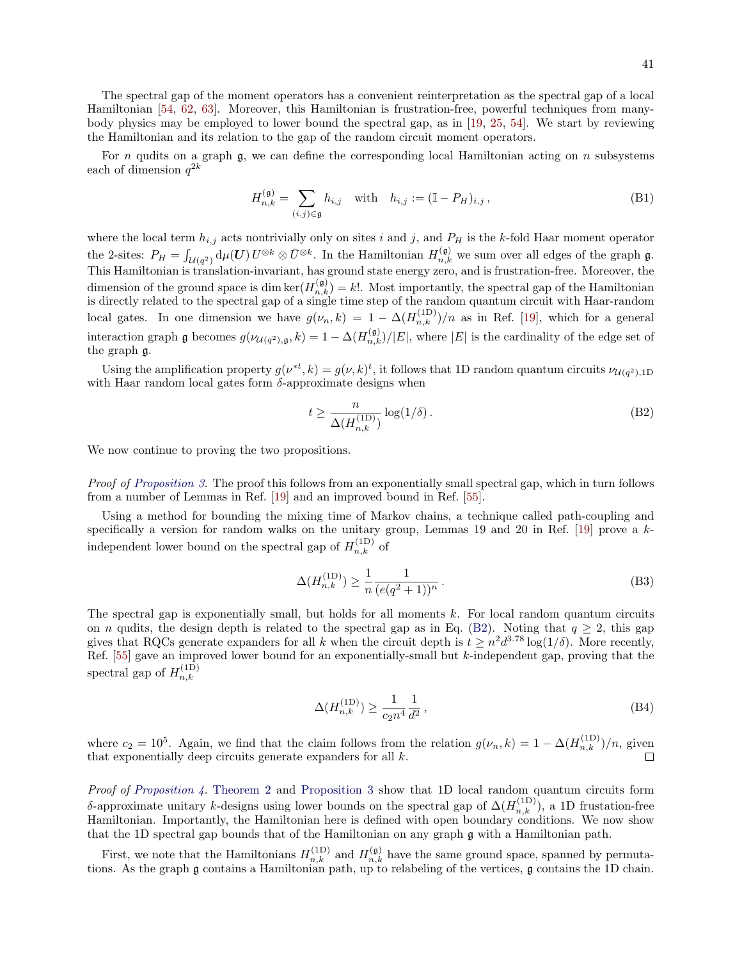The spectral gap of the moment operators has a convenient reinterpretation as the spectral gap of a local Hamiltonian [\[54,](#page-46-3) [62,](#page-46-11) [63\]](#page-46-12). Moreover, this Hamiltonian is frustration-free, powerful techniques from manybody physics may be employed to lower bound the spectral gap, as in [\[19,](#page-44-15) [25,](#page-45-27) [54\]](#page-46-3). We start by reviewing the Hamiltonian and its relation to the gap of the random circuit moment operators.

For n qudits on a graph  $\mathfrak g$ , we can define the corresponding local Hamiltonian acting on n subsystems each of dimension  $q^{2k}$ 

$$
H_{n,k}^{(\mathfrak{g})} = \sum_{(i,j)\in\mathfrak{g}} h_{i,j} \quad \text{with} \quad h_{i,j} := (\mathbb{I} - P_H)_{i,j}, \tag{B1}
$$

where the local term  $h_{i,j}$  acts nontrivially only on sites i and j, and  $P_H$  is the k-fold Haar moment operator the 2-sites:  $P_H = \int_{\mathcal{U}(q^2)} d\mu(\boldsymbol{U}) U^{\otimes k} \otimes \bar{U}^{\otimes k}$ . In the Hamiltonian  $H_{n,k}^{(\mathfrak{g})}$  we sum over all edges of the graph  $\mathfrak{g}$ . This Hamiltonian is translation-invariant, has ground state energy zero, and is frustration-free. Moreover, the dimension of the ground space is dim ker $(H_{n,k}^{(\mathfrak{g})}) = k!$ . Most importantly, the spectral gap of the Hamiltonian is directly related to the spectral gap of a single time step of the random quantum circuit with Haar-random local gates. In one dimension we have  $g(\nu_n, k) = 1 - \Delta(H_{n,k}^{(1D)})/n$  as in Ref. [\[19\]](#page-44-15), which for a general interaction graph g becomes  $g(\nu_{\mathcal{U}(q^2),\mathfrak{g}},k) = 1 - \Delta(H_{n,k}^{(\mathfrak{g})})/|E|$ , where  $|E|$  is the cardinality of the edge set of the graph g.

Using the amplification property  $g(\nu^{*t}, k) = g(\nu, k)^t$ , it follows that 1D random quantum circuits  $\nu_{\mathcal{U}(q^2), 1D}$ with Haar random local gates form  $\delta$ -approximate designs when

<span id="page-40-0"></span>
$$
t \ge \frac{n}{\Delta(H_{n,k}^{(1D)})} \log(1/\delta). \tag{B2}
$$

We now continue to proving the two propositions.

Proof of [Proposition 3.](#page-12-0) The proof this follows from an exponentially small spectral gap, which in turn follows from a number of Lemmas in Ref. [\[19\]](#page-44-15) and an improved bound in Ref. [\[55\]](#page-46-4).

Using a method for bounding the mixing time of Markov chains, a technique called path-coupling and specifically a version for random walks on the unitary group, Lemmas 19 and 20 in Ref. [\[19\]](#page-44-15) prove a kindependent lower bound on the spectral gap of  $H_{n,k}^{(1)}$  of

$$
\Delta(H_{n,k}^{(1D)}) \ge \frac{1}{n} \frac{1}{(e(q^2+1))^n} \,. \tag{B3}
$$

The spectral gap is exponentially small, but holds for all moments  $k$ . For local random quantum circuits on *n* qudits, the design depth is related to the spectral gap as in Eq. [\(B2\)](#page-40-0). Noting that  $q > 2$ , this gap gives that RQCs generate expanders for all k when the circuit depth is  $t \geq n^2 d^{3.78} \log(1/\delta)$ . More recently, Ref. [\[55\]](#page-46-4) gave an improved lower bound for an exponentially-small but  $k$ -independent gap, proving that the spectral gap of  $H_{n,k}^{(1D)}$  $_{n,k}$ 

<span id="page-40-1"></span>
$$
\Delta(H_{n,k}^{(1D)}) \ge \frac{1}{c_2 n^4} \frac{1}{d^2},\tag{B4}
$$

where  $c_2 = 10^5$ . Again, we find that the claim follows from the relation  $g(\nu_n, k) = 1 - \Delta(H_{n,k}^{(1D)})/n$ , given that exponentially deep circuits generate expanders for all  $k$ .

Proof of [Proposition 4.](#page-13-2) [Theorem 2](#page-12-1) and [Proposition 3](#page-12-0) show that 1D local random quantum circuits form δ-approximate unitary k-designs using lower bounds on the spectral gap of  $\Delta(H_{n,k}^{(1D)})$ , a 1D frustation-free Hamiltonian. Importantly, the Hamiltonian here is defined with open boundary conditions. We now show that the 1D spectral gap bounds that of the Hamiltonian on any graph g with a Hamiltonian path.

First, we note that the Hamiltonians  $H_{n,k}^{(1)}$  and  $H_{n,k}^{(9)}$  have the same ground space, spanned by permutations. As the graph g contains a Hamiltonian path, up to relabeling of the vertices, g contains the 1D chain.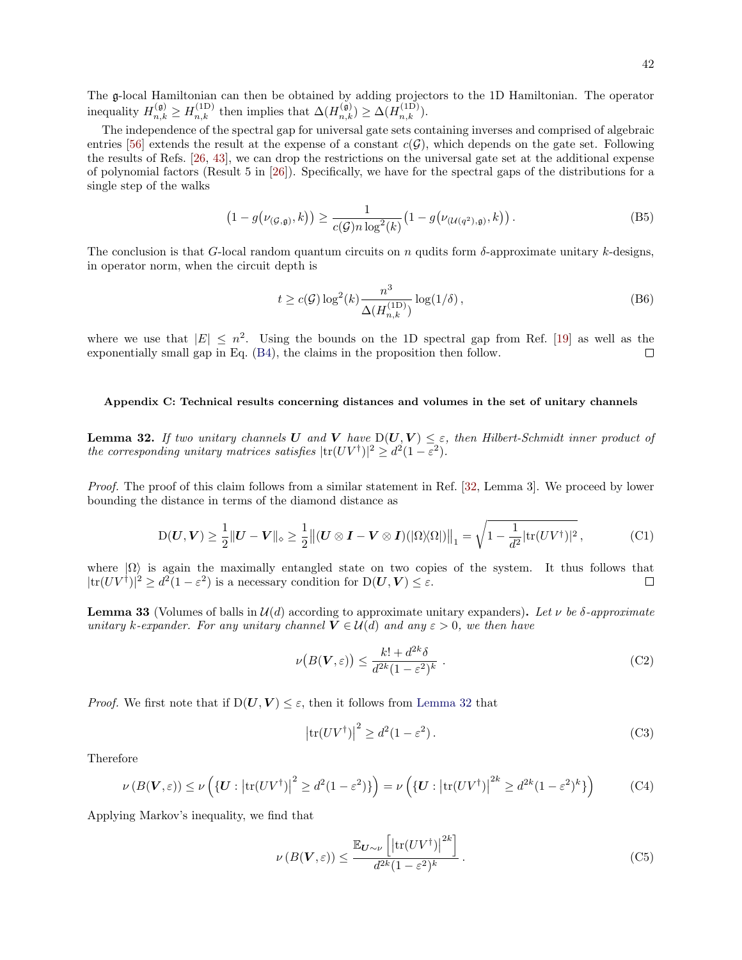The g-local Hamiltonian can then be obtained by adding projectors to the 1D Hamiltonian. The operator inequality  $H_{n,k}^{(\mathfrak{g})} \geq H_{n,k}^{(1D)}$  then implies that  $\Delta(H_{n,k}^{(\mathfrak{g})}) \geq \Delta(H_{n,k}^{(1D)})$ .

The independence of the spectral gap for universal gate sets containing inverses and comprised of algebraic entries [\[56\]](#page-46-5) extends the result at the expense of a constant  $c(G)$ , which depends on the gate set. Following the results of Refs. [\[26,](#page-45-3) [43\]](#page-45-18), we can drop the restrictions on the universal gate set at the additional expense of polynomial factors (Result 5 in [\[26\]](#page-45-3)). Specifically, we have for the spectral gaps of the distributions for a single step of the walks

$$
\left(1 - g\big(\nu_{(\mathcal{G}, \mathfrak{g})}, k\big)\right) \ge \frac{1}{c(\mathcal{G})n \log^2(k)} \big(1 - g\big(\nu_{(\mathcal{U}(q^2), \mathfrak{g})}, k\big)\big). \tag{B5}
$$

The conclusion is that G-local random quantum circuits on n qudits form  $\delta$ -approximate unitary k-designs, in operator norm, when the circuit depth is

$$
t \ge c(\mathcal{G}) \log^2(k) \frac{n^3}{\Delta(H_{n,k}^{(1D)})} \log(1/\delta),\tag{B6}
$$

where we use that  $|E| \leq n^2$ . Using the bounds on the 1D spectral gap from Ref. [\[19\]](#page-44-15) as well as the exponentially small gap in Eq. [\(B4\)](#page-40-1), the claims in the proposition then follow.  $\Box$ 

### <span id="page-41-0"></span>Appendix C: Technical results concerning distances and volumes in the set of unitary channels

<span id="page-41-2"></span>**Lemma 32.** If two unitary channels U and V have  $D(U, V) \leq \varepsilon$ , then Hilbert-Schmidt inner product of the corresponding unitary matrices satisfies  $|\text{tr}(UV^{\dagger})|^2 \geq d^2(1-\varepsilon^2)$ .

Proof. The proof of this claim follows from a similar statement in Ref. [\[32,](#page-45-8) Lemma 3]. We proceed by lower bounding the distance in terms of the diamond distance as

$$
D(\boldsymbol{U}, \boldsymbol{V}) \ge \frac{1}{2} \|\boldsymbol{U} - \boldsymbol{V}\|_{\diamond} \ge \frac{1}{2} \left\| (\boldsymbol{U} \otimes \boldsymbol{I} - \boldsymbol{V} \otimes \boldsymbol{I}) (|\Omega \rangle \langle \Omega|) \right\|_{1} = \sqrt{1 - \frac{1}{d^2} |\text{tr}(U V^{\dagger})|^2}, \tag{C1}
$$

where  $|\Omega\rangle$  is again the maximally entangled state on two copies of the system. It thus follows that  $|\text{tr}(UV^{\dagger})|^2 \geq d^2(1-\varepsilon^2)$  is a necessary condition for  $D(U, V) \leq \varepsilon$ .  $\Box$ 

<span id="page-41-1"></span>**Lemma 33** (Volumes of balls in  $\mathcal{U}(d)$  according to approximate unitary expanders). Let  $\nu$  be  $\delta$ -approximate unitary k-expander. For any unitary channel  $V \in \mathcal{U}(d)$  and any  $\varepsilon > 0$ , we then have

$$
\nu\big(B(\mathbf{V},\varepsilon)\big) \le \frac{k! + d^{2k}\delta}{d^{2k}(1-\varepsilon^2)^k} \ . \tag{C2}
$$

*Proof.* We first note that if  $D(U, V) \leq \varepsilon$ , then it follows from [Lemma 32](#page-41-2) that

$$
\left|\text{tr}(UV^{\dagger})\right|^2 \ge d^2(1-\varepsilon^2). \tag{C3}
$$

Therefore

$$
\nu(B(\mathbf{V}, \varepsilon)) \le \nu\left(\left\{\mathbf{U}: \left| \text{tr}(UV^{\dagger}) \right|^2 \ge d^2(1-\varepsilon^2)\right\}\right) = \nu\left(\left\{\mathbf{U}: \left| \text{tr}(UV^{\dagger}) \right|^{2k} \ge d^{2k}(1-\varepsilon^2)^k\right\}\right) \tag{C4}
$$

Applying Markov's inequality, we find that

$$
\nu(B(\mathbf{V}, \varepsilon)) \le \frac{\mathbb{E}_{\mathbf{U} \sim \nu} \left[ \left| \text{tr}(UV^{\dagger}) \right|^{2k} \right]}{d^{2k} (1 - \varepsilon^2)^k} \,. \tag{C5}
$$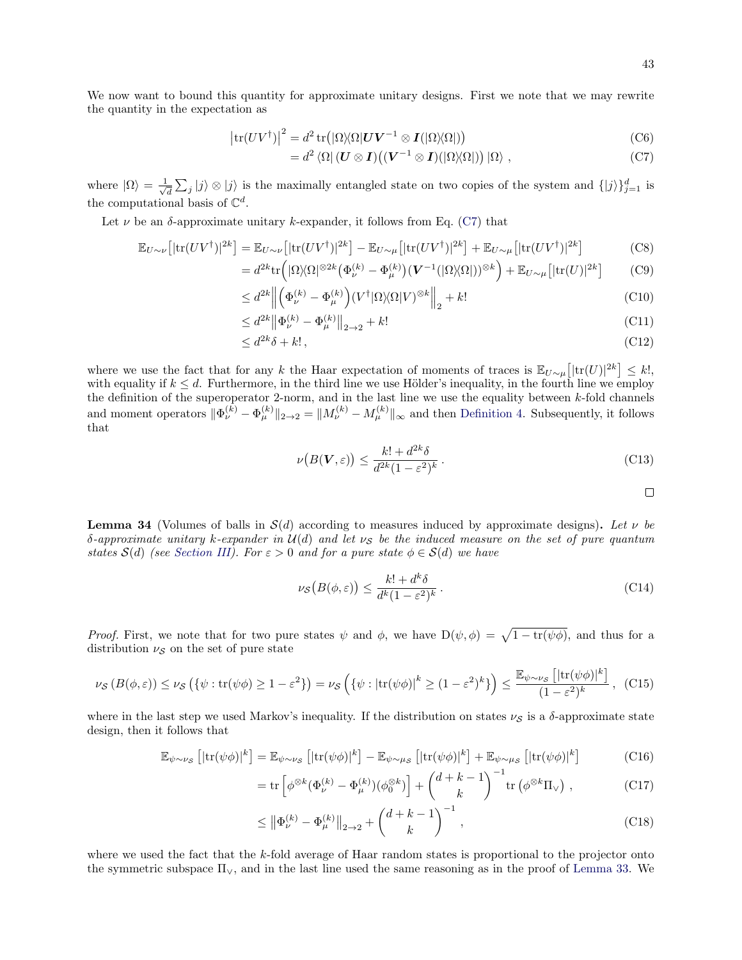We now want to bound this quantity for approximate unitary designs. First we note that we may rewrite the quantity in the expectation as

$$
\left|\text{tr}(UV^{\dagger})\right|^{2} = d^{2} \text{tr}\left(|\Omega\rangle\langle\Omega|\mathbf{U}\mathbf{V}^{-1}\otimes\mathbf{I}(|\Omega\rangle\langle\Omega|)\right) \tag{C6}
$$

$$
= d^2 \langle \Omega | (U \otimes I) ((V^{-1} \otimes I) (|\Omega \rangle \langle \Omega |)) | \Omega \rangle , \qquad (C7)
$$

where  $|\Omega\rangle = \frac{1}{\sqrt{2}}$  $\frac{1}{d} \sum_j |j\rangle \otimes |j\rangle$  is the maximally entangled state on two copies of the system and  $\{|j\rangle\}_{j=1}^d$  is the computational basis of  $\mathbb{C}^d$ .

Let  $\nu$  be an  $\delta$ -approximate unitary k-expander, it follows from Eq. [\(C7\)](#page-42-1) that

$$
\mathbb{E}_{U \sim \nu} \left[ |\text{tr}(UV^{\dagger})|^{2k} \right] = \mathbb{E}_{U \sim \nu} \left[ |\text{tr}(UV^{\dagger})|^{2k} \right] - \mathbb{E}_{U \sim \mu} \left[ |\text{tr}(UV^{\dagger})|^{2k} \right] + \mathbb{E}_{U \sim \mu} \left[ |\text{tr}(UV^{\dagger})|^{2k} \right] \tag{C8}
$$

$$
=d^{2k}\mathrm{tr}\Big(|\Omega\rangle\langle\Omega|^{\otimes 2k}\big(\Phi_{\nu}^{(k)}-\Phi_{\mu}^{(k)}\big)(\mathbf{V}^{-1}(|\Omega\rangle\langle\Omega|))^{\otimes k}\Big)+\mathbb{E}_{U\sim\mu}\big[|\mathrm{tr}(U)|^{2k}\big] \tag{C9}
$$

$$
\leq d^{2k} \left\| \left( \Phi_{\nu}^{(k)} - \Phi_{\mu}^{(k)} \right) (V^{\dagger} | \Omega \rangle \langle \Omega | V)^{\otimes k} \right\|_{2} + k! \tag{C10}
$$

$$
\leq d^{2k} \|\Phi_{\nu}^{(k)} - \Phi_{\mu}^{(k)}\|_{2 \to 2} + k! \tag{C11}
$$

$$
\leq d^{2k}\delta + k!,\tag{C12}
$$

where we use the fact that for any k the Haar expectation of moments of traces is  $\mathbb{E}_{U\sim\mu}[[\text{tr}(U)]^{2k}] \leq k!,$ with equality if  $k \leq d$ . Furthermore, in the third line we use Hölder's inequality, in the fourth line we employ the definition of the superoperator 2-norm, and in the last line we use the equality between k-fold channels and moment operators  $\|\Phi_{\nu}^{(k)} - \Phi_{\mu}^{(k)}\|_{2\to 2} = \|M_{\nu}^{(k)} - M_{\mu}^{(k)}\|_{\infty}$  and then [Definition 4.](#page-11-1) Subsequently, it follows that

$$
\nu\big(B(\mathbf{V},\varepsilon)\big) \le \frac{k! + d^{2k}\delta}{d^{2k}(1 - \varepsilon^2)^k} \,. \tag{C13}
$$

<span id="page-42-1"></span> $\Box$ 

<span id="page-42-0"></span>**Lemma 34** (Volumes of balls in  $\mathcal{S}(d)$  according to measures induced by approximate designs). Let v be δ-approximate unitary k-expander in  $U(d)$  and let  $\nu_s$  be the induced measure on the set of pure quantum states  $S(d)$  (see [Section III\)](#page-9-0). For  $\varepsilon > 0$  and for a pure state  $\phi \in S(d)$  we have

$$
\nu_{\mathcal{S}}\big(B(\phi,\varepsilon)\big) \le \frac{k! + d^k \delta}{d^k (1 - \varepsilon^2)^k} \,. \tag{C14}
$$

*Proof.* First, we note that for two pure states  $\psi$  and  $\phi$ , we have  $D(\psi, \phi) = \sqrt{1 - tr(\psi \phi)}$ , and thus for a distribution  $\nu_{\mathcal{S}}$  on the set of pure state

<span id="page-42-2"></span>
$$
\nu_{\mathcal{S}}\left(B(\phi,\varepsilon)\right) \leq \nu_{\mathcal{S}}\left(\{\psi:\text{tr}(\psi\phi)\geq 1-\varepsilon^{2}\}\right) = \nu_{\mathcal{S}}\left(\{\psi:\left|\text{tr}(\psi\phi)\right|^{k}\geq (1-\varepsilon^{2})^{k}\}\right) \leq \frac{\mathbb{E}_{\psi\sim\nu_{\mathcal{S}}}\left[\left|\text{tr}(\psi\phi)\right|^{k}\right]}{(1-\varepsilon^{2})^{k}},\tag{C15}
$$

where in the last step we used Markov's inequality. If the distribution on states  $\nu_S$  is a  $\delta$ -approximate state design, then it follows that

$$
\mathbb{E}_{\psi \sim \nu_{\mathcal{S}}} \left[ |\text{tr}(\psi \phi)|^{k} \right] = \mathbb{E}_{\psi \sim \nu_{\mathcal{S}}} \left[ |\text{tr}(\psi \phi)|^{k} \right] - \mathbb{E}_{\psi \sim \mu_{\mathcal{S}}} \left[ |\text{tr}(\psi \phi)|^{k} \right] + \mathbb{E}_{\psi \sim \mu_{\mathcal{S}}} \left[ |\text{tr}(\psi \phi)|^{k} \right] \tag{C16}
$$

$$
= \operatorname{tr} \left[ \phi^{\otimes k} (\Phi_{\nu}^{(k)} - \Phi_{\mu}^{(k)}) (\phi_0^{\otimes k}) \right] + \begin{pmatrix} d+k-1 \\ k \end{pmatrix}^{-1} \operatorname{tr} \left( \phi^{\otimes k} \Pi_{\vee} \right) , \tag{C17}
$$

$$
\leq \left\| \Phi_{\nu}^{(k)} - \Phi_{\mu}^{(k)} \right\|_{2 \to 2} + \binom{d+k-1}{k}^{-1},\tag{C18}
$$

where we used the fact that the k-fold average of Haar random states is proportional to the projector onto the symmetric subspace  $\Pi_{\vee}$ , and in the last line used the same reasoning as in the proof of [Lemma 33.](#page-41-1) We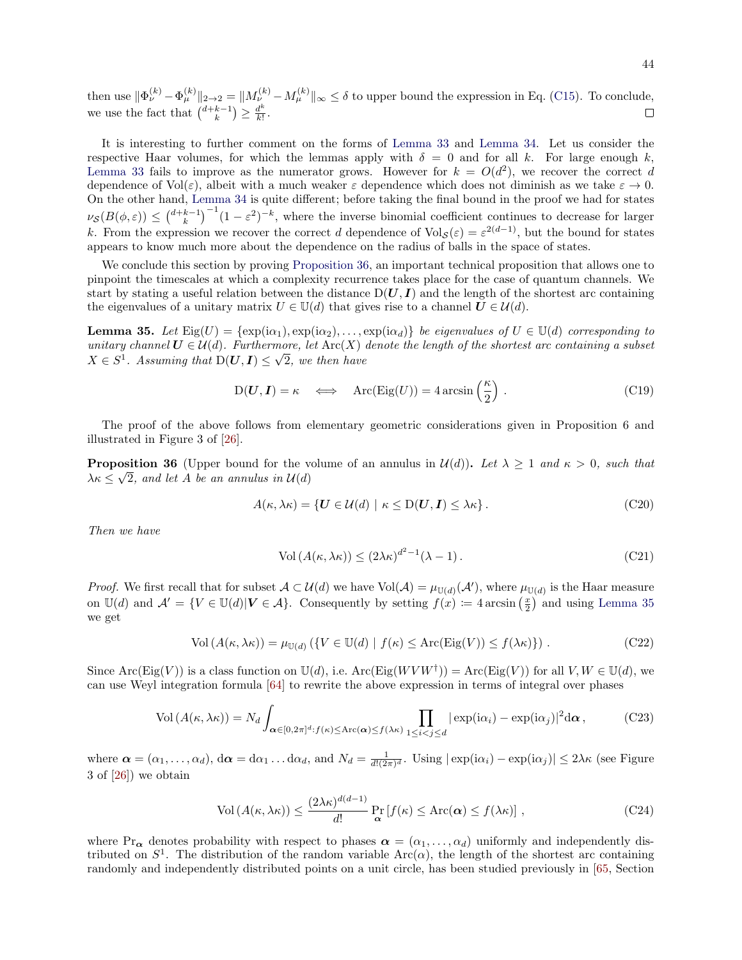then use  $\|\Phi_{\nu}^{(k)} - \Phi_{\mu}^{(k)}\|_{2\to 2} = \|M_{\nu}^{(k)} - M_{\mu}^{(k)}\|_{\infty} \le \delta$  to upper bound the expression in Eq. [\(C15\)](#page-42-2). To conclude, we use the fact that  $\binom{d+k-1}{k} \geq \frac{d^k}{k!}$  $rac{d^{\prime\prime}}{k!}$ .  $\Box$ 

It is interesting to further comment on the forms of [Lemma 33](#page-41-1) and [Lemma 34.](#page-42-0) Let us consider the respective Haar volumes, for which the lemmas apply with  $\delta = 0$  and for all k. For large enough k, [Lemma 33](#page-41-1) fails to improve as the numerator grows. However for  $k = O(d^2)$ , we recover the correct d dependence of  $Vol(\varepsilon)$ , albeit with a much weaker  $\varepsilon$  dependence which does not diminish as we take  $\varepsilon \to 0$ . On the other hand, [Lemma 34](#page-42-0) is quite different; before taking the final bound in the proof we had for states  $\nu_{\mathcal{S}}(B(\phi,\varepsilon)) \leq {d+k-1 \choose k}^{-1}(1-\varepsilon^2)^{-k}$ , where the inverse binomial coefficient continues to decrease for larger k. From the expression we recover the correct d dependence of  $Vol_{\mathcal{S}}(\varepsilon) = \varepsilon^{2(d-1)}$ , but the bound for states appears to know much more about the dependence on the radius of balls in the space of states.

We conclude this section by proving [Proposition 36,](#page-43-0) an important technical proposition that allows one to pinpoint the timescales at which a complexity recurrence takes place for the case of quantum channels. We start by stating a useful relation between the distance  $D(U, I)$  and the length of the shortest arc containing the eigenvalues of a unitary matrix  $U \in \mathbb{U}(d)$  that gives rise to a channel  $\mathbf{U} \in \mathcal{U}(d)$ .

<span id="page-43-1"></span>**Lemma 35.** Let  $\text{Eig}(U) = \{\exp(i\alpha_1), \exp(i\alpha_2), \ldots, \exp(i\alpha_d)\}\$  be eigenvalues of  $U \in \mathbb{U}(d)$  corresponding to unitary channel  $U \in \mathcal{U}(d)$ . Furthermore, let  $\text{Arc}(X)$  denote the length of the shortest arc containing a subset  $X \in S^1$ . Assuming that  $D(U, I) \leq \sqrt{2}$ , we then have

$$
D(U, I) = \kappa \iff \text{Arc}(\text{Eig}(U)) = 4\arcsin\left(\frac{\kappa}{2}\right). \tag{C19}
$$

The proof of the above follows from elementary geometric considerations given in Proposition 6 and illustrated in Figure 3 of [\[26\]](#page-45-3).

<span id="page-43-0"></span>**Proposition 36** (Upper bound for the volume of an annulus in  $\mathcal{U}(d)$ ). Let  $\lambda \geq 1$  and  $\kappa > 0$ , such that  $\lambda \kappa \leq \sqrt{2}$ , and let A be an annulus in  $\mathcal{U}(d)$ 

$$
A(\kappa, \lambda \kappa) = \{ \mathbf{U} \in \mathcal{U}(d) \mid \kappa \le \mathbf{D}(\mathbf{U}, \mathbf{I}) \le \lambda \kappa \}. \tag{C20}
$$

Then we have

$$
Vol(A(\kappa, \lambda \kappa)) \le (2\lambda \kappa)^{d^2 - 1} (\lambda - 1).
$$
 (C21)

*Proof.* We first recall that for subset  $A \subset \mathcal{U}(d)$  we have  $Vol(A) = \mu_{U(d)}(\mathcal{A}')$ , where  $\mu_{U(d)}$  is the Haar measure on  $\mathbb{U}(d)$  and  $\mathcal{A}' = \{ V \in \mathbb{U}(d) | V \in \mathcal{A} \}$ . Consequently by setting  $f(x) := 4 \arcsin\left(\frac{x}{2}\right)$  and using [Lemma 35](#page-43-1) we get

$$
\text{Vol}\left(A(\kappa,\lambda\kappa)\right) = \mu_{\mathbb{U}(d)}\left(\{V \in \mathbb{U}(d) \mid f(\kappa) \le \text{Arc}(\text{Eig}(V)) \le f(\lambda\kappa)\}\right). \tag{C22}
$$

Since  $\text{Arc}(\text{Eig}(V))$  is a class function on  $\mathbb{U}(d)$ , i.e.  $\text{Arc}(\text{Eig}(W V W^{\dagger})) = \text{Arc}(\text{Eig}(V))$  for all  $V, W \in \mathbb{U}(d)$ , we can use Weyl integration formula [\[64\]](#page-46-13) to rewrite the above expression in terms of integral over phases

$$
\text{Vol}\left(A(\kappa,\lambda\kappa)\right) = N_d \int_{\alpha \in [0,2\pi]^d : f(\kappa) \le \text{Arc}(\alpha) \le f(\lambda\kappa)} \prod_{1 \le i < j \le d} |\exp(\mathrm{i}\alpha_i) - \exp(\mathrm{i}\alpha_j)|^2 \mathrm{d}\alpha \,,\tag{C23}
$$

where  $\boldsymbol{\alpha} = (\alpha_1, \dots, \alpha_d)$ ,  $d\boldsymbol{\alpha} = d\alpha_1 \dots d\alpha_d$ , and  $N_d = \frac{1}{d!(2\pi)^d}$ . Using  $|\exp(i\alpha_i) - \exp(i\alpha_j)| \leq 2\lambda\kappa$  (see Figure 3 of [\[26\]](#page-45-3)) we obtain

<span id="page-43-2"></span>
$$
\text{Vol}\left(A(\kappa,\lambda\kappa)\right) \le \frac{(2\lambda\kappa)^{d(d-1)}}{d!} \Pr_{\mathbf{\alpha}}\left[f(\kappa) \le \text{Arc}(\mathbf{\alpha}) \le f(\lambda\kappa)\right],\tag{C24}
$$

where Pr<sub> $\alpha$ </sub> denotes probability with respect to phases  $\alpha = (\alpha_1, \dots, \alpha_d)$  uniformly and independently distributed on  $S^1$ . The distribution of the random variable  $Arc(\alpha)$ , the length of the shortest arc containing randomly and independently distributed points on a unit circle, has been studied previously in [\[65,](#page-46-14) Section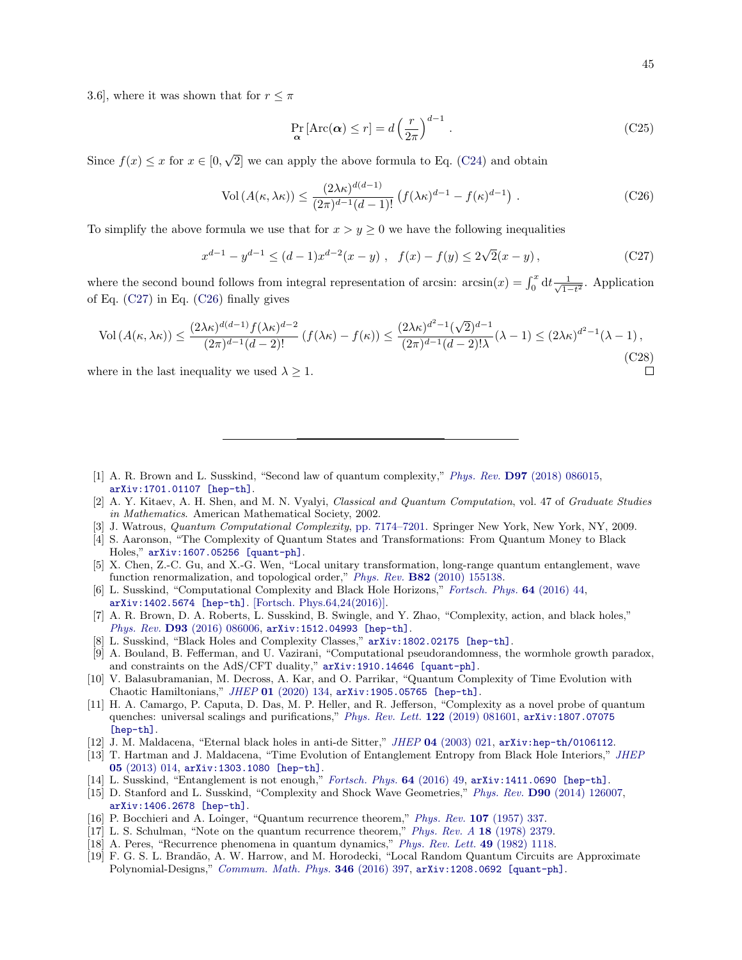$\Box$ 

3.6, where it was shown that for  $r \leq \pi$ 

$$
\Pr_{\mathbf{\alpha}}\left[\text{Arc}(\mathbf{\alpha}) \le r\right] = d\left(\frac{r}{2\pi}\right)^{d-1}.
$$
\n(C25)

Since  $f(x) \leq x$  for  $x \in [0,$ √ 2] we can apply the above formula to Eq. [\(C24\)](#page-43-2) and obtain

<span id="page-44-18"></span>
$$
\text{Vol}\left(A(\kappa,\lambda\kappa)\right) \le \frac{(2\lambda\kappa)^{d(d-1)}}{(2\pi)^{d-1}(d-1)!} \left(f(\lambda\kappa)^{d-1} - f(\kappa)^{d-1}\right). \tag{C26}
$$

To simplify the above formula we use that for  $x > y \geq 0$  we have the following inequalities

<span id="page-44-17"></span>
$$
x^{d-1} - y^{d-1} \le (d-1)x^{d-2}(x-y) , \quad f(x) - f(y) \le 2\sqrt{2}(x-y) , \tag{C27}
$$

where the second bound follows from integral representation of arcsin:  $arcsin(x) = \int_0^x dt \frac{1}{\sqrt{1-x^2}}$  $\frac{1}{1-t^2}$ . Application of Eq. [\(C27\)](#page-44-17) in Eq. [\(C26\)](#page-44-18) finally gives

$$
\text{Vol}\left(A(\kappa,\lambda\kappa)\right) \le \frac{(2\lambda\kappa)^{d(d-1)}f(\lambda\kappa)^{d-2}}{(2\pi)^{d-1}(d-2)!}\left(f(\lambda\kappa) - f(\kappa)\right) \le \frac{(2\lambda\kappa)^{d^2-1}(\sqrt{2})^{d-1}}{(2\pi)^{d-1}(d-2)!\lambda}(\lambda-1) \le (2\lambda\kappa)^{d^2-1}(\lambda-1),\tag{C28}
$$

where in the last inequality we used  $\lambda \geq 1$ .

- <span id="page-44-0"></span>[1] A. R. Brown and L. Susskind, "Second law of quantum complexity," Phys. Rev. D97 [\(2018\) 086015,](http://dx.doi.org/10.1103/PhysRevD.97.086015) [arXiv:1701.01107 \[hep-th\]](http://arxiv.org/abs/1701.01107).
- <span id="page-44-1"></span>[2] A. Y. Kitaev, A. H. Shen, and M. N. Vyalyi, Classical and Quantum Computation, vol. 47 of Graduate Studies in Mathematics. American Mathematical Society, 2002.
- [3] J. Watrous, *Quantum Computational Complexity*, [pp. 7174–7201.](http://dx.doi.org/10.1007/978-0-387-30440-3_428) Springer New York, New York, NY, 2009.
- <span id="page-44-2"></span>[4] S. Aaronson, "The Complexity of Quantum States and Transformations: From Quantum Money to Black Holes," [arXiv:1607.05256 \[quant-ph\]](http://arxiv.org/abs/1607.05256).
- <span id="page-44-3"></span>[5] X. Chen, Z.-C. Gu, and X.-G. Wen, "Local unitary transformation, long-range quantum entanglement, wave function renormalization, and topological order," Phys. Rev. B82 [\(2010\) 155138.](http://dx.doi.org/10.1103/PhysRevB.82.155138)
- <span id="page-44-4"></span>[6] L. Susskind, "Computational Complexity and Black Hole Horizons," [Fortsch. Phys.](http://dx.doi.org/10.1002/prop.201500092) 64 (2016) 44, [arXiv:1402.5674 \[hep-th\]](http://arxiv.org/abs/1402.5674). [\[Fortsch. Phys.64,24\(2016\)\].](http://dx.doi.org/10.1002/prop.201500093)
- <span id="page-44-12"></span>[7] A. R. Brown, D. A. Roberts, L. Susskind, B. Swingle, and Y. Zhao, "Complexity, action, and black holes," Phys. Rev. D93 [\(2016\) 086006,](http://dx.doi.org/10.1103/PhysRevD.93.086006) [arXiv:1512.04993 \[hep-th\]](http://arxiv.org/abs/1512.04993).
- <span id="page-44-16"></span>[8] L. Susskind, "Black Holes and Complexity Classes," [arXiv:1802.02175 \[hep-th\]](http://arxiv.org/abs/1802.02175).
- <span id="page-44-5"></span>[9] A. Bouland, B. Fefferman, and U. Vazirani, "Computational pseudorandomness, the wormhole growth paradox, and constraints on the AdS/CFT duality,"  $arXiv:1910.14646$  [quant-ph].
- <span id="page-44-6"></span>[10] V. Balasubramanian, M. Decross, A. Kar, and O. Parrikar, "Quantum Complexity of Time Evolution with Chaotic Hamiltonians," JHEP 01 [\(2020\) 134,](http://dx.doi.org/10.1007/JHEP01(2020)134) [arXiv:1905.05765 \[hep-th\]](http://arxiv.org/abs/1905.05765).
- <span id="page-44-7"></span>[11] H. A. Camargo, P. Caputa, D. Das, M. P. Heller, and R. Jefferson, "Complexity as a novel probe of quantum quenches: universal scalings and purifications," [Phys. Rev. Lett.](http://dx.doi.org/10.1103/PhysRevLett.122.081601) 122 (2019) 081601, [arXiv:1807.07075](http://arxiv.org/abs/1807.07075) [\[hep-th\]](http://arxiv.org/abs/1807.07075).
- <span id="page-44-8"></span>[12] J. M. Maldacena, "Eternal black holes in anti-de Sitter," JHEP 04 [\(2003\) 021,](http://dx.doi.org/10.1088/1126-6708/2003/04/021) [arXiv:hep-th/0106112](http://arxiv.org/abs/hep-th/0106112).
- <span id="page-44-9"></span>[13] T. Hartman and J. Maldacena, "Time Evolution of Entanglement Entropy from Black Hole Interiors," [JHEP](http://dx.doi.org/10.1007/JHEP05(2013)014) 05 [\(2013\) 014,](http://dx.doi.org/10.1007/JHEP05(2013)014) [arXiv:1303.1080 \[hep-th\]](http://arxiv.org/abs/1303.1080).
- <span id="page-44-10"></span>[14] L. Susskind, "Entanglement is not enough," [Fortsch. Phys.](http://dx.doi.org/10.1002/prop.201500095) 64 (2016) 49, [arXiv:1411.0690 \[hep-th\]](http://arxiv.org/abs/1411.0690).
- <span id="page-44-11"></span>[15] D. Stanford and L. Susskind, "Complexity and Shock Wave Geometries," Phys. Rev. D90 [\(2014\) 126007,](http://dx.doi.org/10.1103/PhysRevD.90.126007) [arXiv:1406.2678 \[hep-th\]](http://arxiv.org/abs/1406.2678).
- <span id="page-44-13"></span>[16] P. Bocchieri and A. Loinger, "Quantum recurrence theorem," Phys. Rev. 107 [\(1957\) 337.](http://dx.doi.org/10.1103/PhysRev.107.337)
- [17] L. S. Schulman, "Note on the quantum recurrence theorem," [Phys. Rev. A](http://dx.doi.org/10.1103/PhysRevA.18.2379) 18 (1978) 2379.
- <span id="page-44-14"></span>[18] A. Peres, "Recurrence phenomena in quantum dynamics," [Phys. Rev. Lett.](http://dx.doi.org/10.1103/PhysRevLett.49.1118) 49 (1982) 1118.
- <span id="page-44-15"></span>[19] F. G. S. L. Brand˜ao, A. W. Harrow, and M. Horodecki, "Local Random Quantum Circuits are Approximate Polynomial-Designs," [Commum. Math. Phys.](http://dx.doi.org/10.1007/s00220-016-2706-8) 346 (2016) 397, [arXiv:1208.0692 \[quant-ph\]](http://arxiv.org/abs/1208.0692).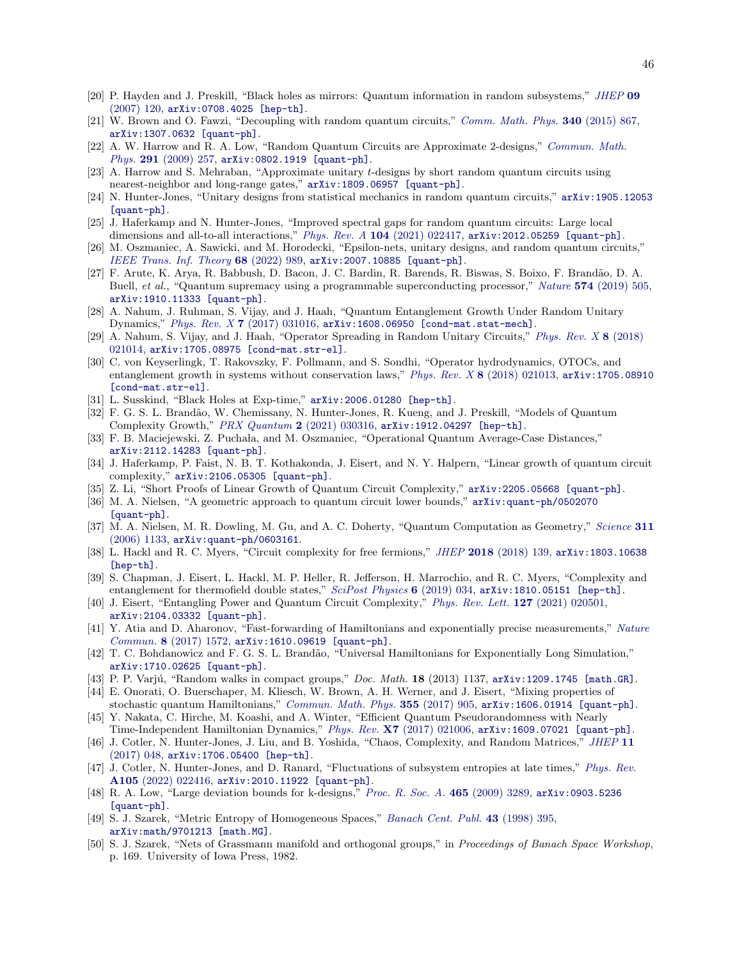- <span id="page-45-0"></span>[20] P. Hayden and J. Preskill, "Black holes as mirrors: Quantum information in random subsystems," [JHEP](http://dx.doi.org/10.1088/1126-6708/2007/09/120) 09  $(2007)$  120,  $arXiv:0708.4025$  [hep-th].
- <span id="page-45-1"></span>[21] W. Brown and O. Fawzi, "Decoupling with random quantum circuits," [Comm. Math. Phys.](http://dx.doi.org/10.1007/s00220-015-2470-1) 340 (2015) 867, [arXiv:1307.0632 \[quant-ph\]](http://arxiv.org/abs/1307.0632).
- <span id="page-45-2"></span>[22] A. W. Harrow and R. A. Low, "Random Quantum Circuits are Approximate 2-designs," [Commun. Math.](http://dx.doi.org/10.1007/s00220-009-0873-6) Phys. 291  $(2009)$  257, [arXiv:0802.1919 \[quant-ph\]](http://arxiv.org/abs/0802.1919).
- <span id="page-45-29"></span>[23] A. Harrow and S. Mehraban, "Approximate unitary t-designs by short random quantum circuits using nearest-neighbor and long-range gates," [arXiv:1809.06957 \[quant-ph\]](http://arxiv.org/abs/1809.06957).
- <span id="page-45-28"></span>[24] N. Hunter-Jones, "Unitary designs from statistical mechanics in random quantum circuits," [arXiv:1905.12053](http://arxiv.org/abs/1905.12053) [\[quant-ph\]](http://arxiv.org/abs/1905.12053).
- <span id="page-45-27"></span>[25] J. Haferkamp and N. Hunter-Jones, "Improved spectral gaps for random quantum circuits: Large local dimensions and all-to-all interactions," Phys. Rev.  $A$  104 [\(2021\) 022417,](http://dx.doi.org/10.1103/PhysRevA.104.022417)  $arXiv:2012.05259$  [quant-ph].
- <span id="page-45-3"></span>[26] M. Oszmaniec, A. Sawicki, and M. Horodecki, "Epsilon-nets, unitary designs, and random quantum circuits," [IEEE Trans. Inf. Theory](http://dx.doi.org/10.1109/TIT.2021.3128110) 68 (2022) 989, [arXiv:2007.10885 \[quant-ph\]](http://arxiv.org/abs/2007.10885).
- <span id="page-45-4"></span>[27] F. Arute, K. Arya, R. Babbush, D. Bacon, J. C. Bardin, R. Barends, R. Biswas, S. Boixo, F. Brand˜ao, D. A. Buell, et al., "Quantum supremacy using a programmable superconducting processor," Nature 574 [\(2019\) 505,](http://dx.doi.org/10.1038/s41586-019-1666-5) [arXiv:1910.11333 \[quant-ph\]](http://arxiv.org/abs/1910.11333).
- <span id="page-45-5"></span>[28] A. Nahum, J. Ruhman, S. Vijay, and J. Haah, "Quantum Entanglement Growth Under Random Unitary Dynamics," Phys. Rev. X 7 [\(2017\) 031016,](http://dx.doi.org/10.1103/PhysRevX.7.031016) [arXiv:1608.06950 \[cond-mat.stat-mech\]](http://arxiv.org/abs/1608.06950).
- [29] A. Nahum, S. Vijay, and J. Haah, "Operator Spreading in Random Unitary Circuits," [Phys. Rev. X](http://dx.doi.org/10.1103/PhysRevX.8.021014) 8 (2018) [021014,](http://dx.doi.org/10.1103/PhysRevX.8.021014) [arXiv:1705.08975 \[cond-mat.str-el\]](http://arxiv.org/abs/1705.08975).
- <span id="page-45-6"></span>[30] C. von Keyserlingk, T. Rakovszky, F. Pollmann, and S. Sondhi, "Operator hydrodynamics, OTOCs, and entanglement growth in systems without conservation laws," Phys. Rev. X 8 [\(2018\) 021013,](http://dx.doi.org/10.1103/PhysRevX.8.021013) [arXiv:1705.08910](http://arxiv.org/abs/1705.08910) [\[cond-mat.str-el\]](http://arxiv.org/abs/1705.08910).
- <span id="page-45-7"></span>[31] L. Susskind, "Black Holes at Exp-time," [arXiv:2006.01280 \[hep-th\]](http://arxiv.org/abs/2006.01280).
- <span id="page-45-8"></span>[32] F. G. S. L. Brand˜ao, W. Chemissany, N. Hunter-Jones, R. Kueng, and J. Preskill, "Models of Quantum Complexity Growth," [PRX Quantum](http://dx.doi.org/10.1103/PRXQuantum.2.030316) 2 (2021) 030316, [arXiv:1912.04297 \[hep-th\]](http://arxiv.org/abs/1912.04297).
- <span id="page-45-19"></span>[33] F. B. Maciejewski, Z. Puchała, and M. Oszmaniec, "Operational Quantum Average-Case Distances," [arXiv:2112.14283 \[quant-ph\]](http://arxiv.org/abs/2112.14283).
- <span id="page-45-9"></span>[34] J. Haferkamp, P. Faist, N. B. T. Kothakonda, J. Eisert, and N. Y. Halpern, "Linear growth of quantum circuit complexity," [arXiv:2106.05305 \[quant-ph\]](http://arxiv.org/abs/2106.05305).
- <span id="page-45-10"></span>[35] Z. Li, "Short Proofs of Linear Growth of Quantum Circuit Complexity," [arXiv:2205.05668 \[quant-ph\]](http://arxiv.org/abs/2205.05668).
- <span id="page-45-11"></span>[36] M. A. Nielsen, "A geometric approach to quantum circuit lower bounds," [arXiv:quant-ph/0502070](http://arxiv.org/abs/quant-ph/0502070) [\[quant-ph\]](http://arxiv.org/abs/quant-ph/0502070).
- <span id="page-45-12"></span>[37] M. A. Nielsen, M. R. Dowling, M. Gu, and A. C. Doherty, "Quantum Computation as Geometry," [Science](http://dx.doi.org/10.1126/science.1121541) 311 [\(2006\) 1133,](http://dx.doi.org/10.1126/science.1121541) [arXiv:quant-ph/0603161](http://arxiv.org/abs/quant-ph/0603161).
- <span id="page-45-13"></span>[38] L. Hackl and R. C. Myers, "Circuit complexity for free fermions," JHEP 2018 [\(2018\) 139,](http://dx.doi.org/10.1007/JHEP07(2018)139) [arXiv:1803.10638](http://arxiv.org/abs/1803.10638) [\[hep-th\]](http://arxiv.org/abs/1803.10638).
- <span id="page-45-14"></span>[39] S. Chapman, J. Eisert, L. Hackl, M. P. Heller, R. Jefferson, H. Marrochio, and R. C. Myers, "Complexity and entanglement for thermofield double states," [SciPost Physics](http://dx.doi.org/10.21468/SciPostPhys.6.3.034) 6 (2019) 034, [arXiv:1810.05151 \[hep-th\]](http://arxiv.org/abs/1810.05151).
- <span id="page-45-15"></span>[40] J. Eisert, "Entangling Power and Quantum Circuit Complexity," [Phys. Rev. Lett.](http://dx.doi.org/10.1103/PhysRevLett.127.020501) 127 (2021) 020501, [arXiv:2104.03332 \[quant-ph\]](http://arxiv.org/abs/2104.03332).
- <span id="page-45-16"></span>[41] Y. Atia and D. Aharonov, "Fast-forwarding of Hamiltonians and exponentially precise measurements," [Nature](http://dx.doi.org/10.1038/s41467-017-01637-7) Commun. 8 [\(2017\) 1572,](http://dx.doi.org/10.1038/s41467-017-01637-7) [arXiv:1610.09619 \[quant-ph\]](http://arxiv.org/abs/1610.09619).
- <span id="page-45-17"></span>[42] T. C. Bohdanowicz and F. G. S. L. Brandão, "Universal Hamiltonians for Exponentially Long Simulation," [arXiv:1710.02625 \[quant-ph\]](http://arxiv.org/abs/1710.02625).
- <span id="page-45-18"></span>[43] P. P. Varjú, "Random walks in compact groups," Doc. Math.  $18$  (2013) 1137, [arXiv:1209.1745 \[math.GR\]](http://arxiv.org/abs/1209.1745).
- <span id="page-45-20"></span>[44] E. Onorati, O. Buerschaper, M. Kliesch, W. Brown, A. H. Werner, and J. Eisert, "Mixing properties of stochastic quantum Hamiltonians," [Commun. Math. Phys.](http://dx.doi.org/10.1007/s00220-017-2950-6) 355 (2017) 905, [arXiv:1606.01914 \[quant-ph\]](http://arxiv.org/abs/1606.01914).
- <span id="page-45-21"></span>[45] Y. Nakata, C. Hirche, M. Koashi, and A. Winter, "Efficient Quantum Pseudorandomness with Nearly Time-Independent Hamiltonian Dynamics," Phys. Rev. X7 [\(2017\) 021006,](http://dx.doi.org/10.1103/PhysRevX.7.021006) [arXiv:1609.07021 \[quant-ph\]](http://arxiv.org/abs/1609.07021).
- <span id="page-45-22"></span>[46] J. Cotler, N. Hunter-Jones, J. Liu, and B. Yoshida, "Chaos, Complexity, and Random Matrices," [JHEP](http://dx.doi.org/10.1007/JHEP11(2017)048) 11 [\(2017\) 048,](http://dx.doi.org/10.1007/JHEP11(2017)048) [arXiv:1706.05400 \[hep-th\]](http://arxiv.org/abs/1706.05400).
- <span id="page-45-23"></span>[47] J. Cotler, N. Hunter-Jones, and D. Ranard, "Fluctuations of subsystem entropies at late times," [Phys. Rev.](http://dx.doi.org/10.1103/PhysRevA.105.022416) A105 [\(2022\) 022416,](http://dx.doi.org/10.1103/PhysRevA.105.022416) [arXiv:2010.11922 \[quant-ph\]](http://arxiv.org/abs/2010.11922).
- <span id="page-45-24"></span>[48] R. A. Low, "Large deviation bounds for k-designs," [Proc. R. Soc. A.](http://dx.doi.org/10.1098/rspa.2009.0232) 465 (2009) 3289, [arXiv:0903.5236](http://arxiv.org/abs/0903.5236) [\[quant-ph\]](http://arxiv.org/abs/0903.5236).
- <span id="page-45-25"></span>[49] S. J. Szarek, "Metric Entropy of Homogeneous Spaces," [Banach Cent. Publ.](http://dx.doi.org/10.4064/-43-1-395-410) 43 (1998) 395, [arXiv:math/9701213 \[math.MG\]](http://arxiv.org/abs/math/9701213).
- <span id="page-45-26"></span>[50] S. J. Szarek, "Nets of Grassmann manifold and orthogonal groups," in Proceedings of Banach Space Workshop, p. 169. University of Iowa Press, 1982.